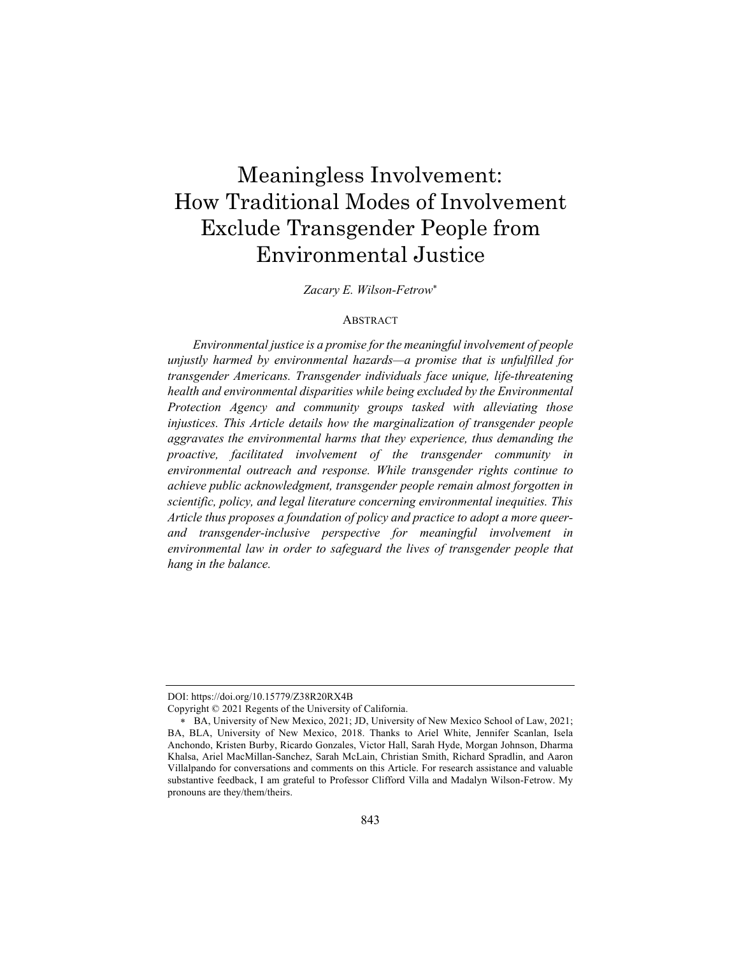# Meaningless Involvement: How Traditional Modes of Involvement Exclude Transgender People from Environmental Justice

*Zacary E. Wilson-Fetrow*\*

# ABSTRACT

*Environmental justice is a promise for the meaningful involvement of people unjustly harmed by environmental hazards—a promise that is unfulfilled for transgender Americans. Transgender individuals face unique, life-threatening health and environmental disparities while being excluded by the Environmental Protection Agency and community groups tasked with alleviating those injustices. This Article details how the marginalization of transgender people aggravates the environmental harms that they experience, thus demanding the proactive, facilitated involvement of the transgender community in environmental outreach and response. While transgender rights continue to achieve public acknowledgment, transgender people remain almost forgotten in scientific, policy, and legal literature concerning environmental inequities. This Article thus proposes a foundation of policy and practice to adopt a more queerand transgender-inclusive perspective for meaningful involvement in environmental law in order to safeguard the lives of transgender people that hang in the balance.*

DOI: https://doi.org/10.15779/Z38R20RX4B

Copyright © 2021 Regents of the University of California.

\* BA, University of New Mexico, 2021; JD, University of New Mexico School of Law, 2021; BA, BLA, University of New Mexico, 2018. Thanks to Ariel White, Jennifer Scanlan, Isela Anchondo, Kristen Burby, Ricardo Gonzales, Victor Hall, Sarah Hyde, Morgan Johnson, Dharma Khalsa, Ariel MacMillan-Sanchez, Sarah McLain, Christian Smith, Richard Spradlin, and Aaron Villalpando for conversations and comments on this Article. For research assistance and valuable substantive feedback, I am grateful to Professor Clifford Villa and Madalyn Wilson-Fetrow. My pronouns are they/them/theirs.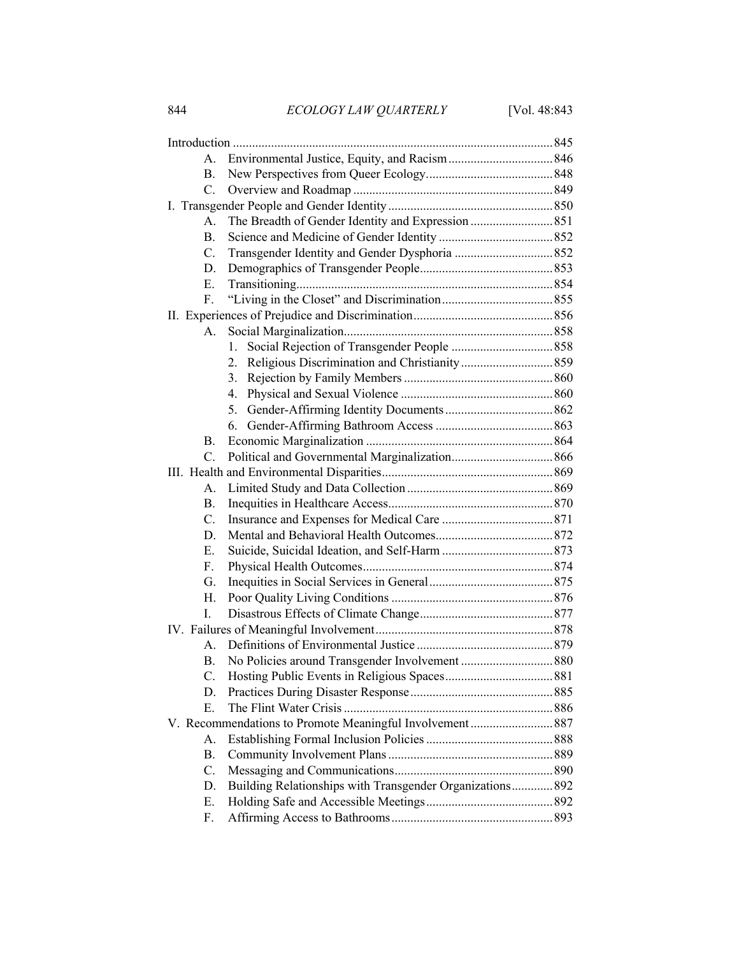| А.             |                                                           |  |
|----------------|-----------------------------------------------------------|--|
| В.             |                                                           |  |
| $C_{\cdot}$    |                                                           |  |
|                |                                                           |  |
| $A_{\cdot}$    |                                                           |  |
| <b>B.</b>      |                                                           |  |
| C.             |                                                           |  |
| D.             |                                                           |  |
| E.             |                                                           |  |
| F.             |                                                           |  |
|                |                                                           |  |
| А.             |                                                           |  |
|                | 1.                                                        |  |
|                | 2.                                                        |  |
|                | 3.                                                        |  |
|                | 4.                                                        |  |
|                | 5.                                                        |  |
|                | 6.                                                        |  |
| В.             |                                                           |  |
| $\mathbf{C}$ . |                                                           |  |
|                |                                                           |  |
| А.             |                                                           |  |
| <b>B.</b>      |                                                           |  |
| C.             |                                                           |  |
| D.             |                                                           |  |
| Е.             |                                                           |  |
| F.             |                                                           |  |
| G.             |                                                           |  |
| Η.             |                                                           |  |
| L.             |                                                           |  |
|                |                                                           |  |
| $A_{-}$        |                                                           |  |
| В.             |                                                           |  |
| C.             |                                                           |  |
| D.             |                                                           |  |
| E.             |                                                           |  |
|                | V. Recommendations to Promote Meaningful Involvement 887  |  |
| A.             |                                                           |  |
| В.             |                                                           |  |
| C.             |                                                           |  |
| D.             | Building Relationships with Transgender Organizations 892 |  |
| Е.             |                                                           |  |
| F.             |                                                           |  |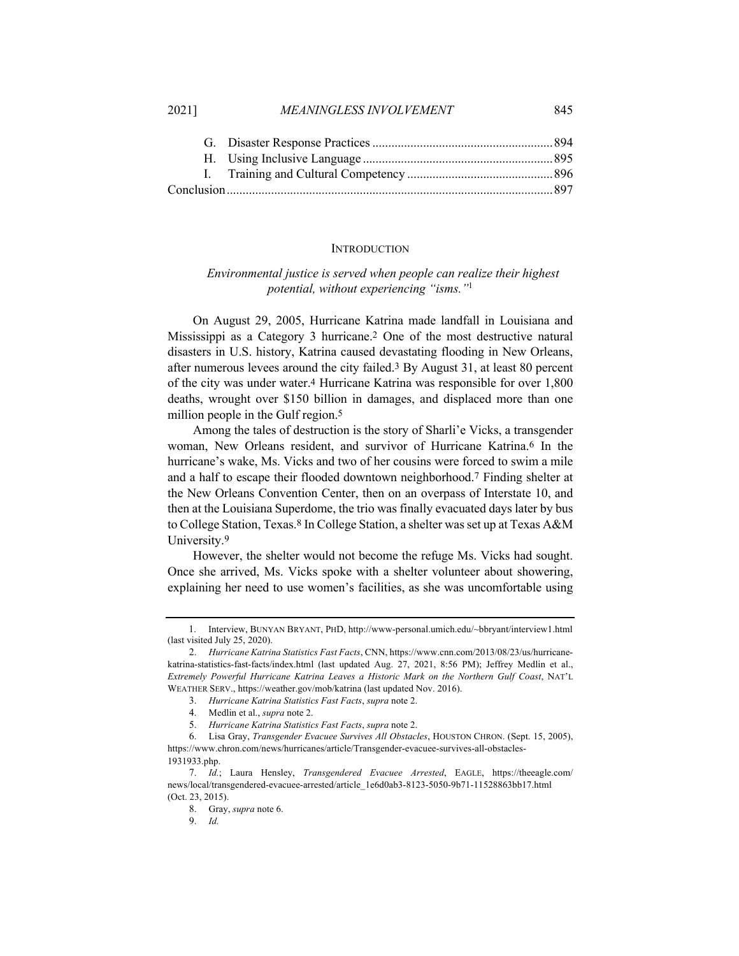#### **INTRODUCTION**

# *Environmental justice is served when people can realize their highest potential, without experiencing "isms."*<sup>1</sup>

On August 29, 2005, Hurricane Katrina made landfall in Louisiana and Mississippi as a Category 3 hurricane.2 One of the most destructive natural disasters in U.S. history, Katrina caused devastating flooding in New Orleans, after numerous levees around the city failed.3 By August 31, at least 80 percent of the city was under water.4 Hurricane Katrina was responsible for over 1,800 deaths, wrought over \$150 billion in damages, and displaced more than one million people in the Gulf region.<sup>5</sup>

Among the tales of destruction is the story of Sharli'e Vicks, a transgender woman, New Orleans resident, and survivor of Hurricane Katrina.<sup>6</sup> In the hurricane's wake, Ms. Vicks and two of her cousins were forced to swim a mile and a half to escape their flooded downtown neighborhood.7 Finding shelter at the New Orleans Convention Center, then on an overpass of Interstate 10, and then at the Louisiana Superdome, the trio was finally evacuated days later by bus to College Station, Texas.8 In College Station, a shelter was set up at Texas A&M University.<sup>9</sup>

However, the shelter would not become the refuge Ms. Vicks had sought. Once she arrived, Ms. Vicks spoke with a shelter volunteer about showering, explaining her need to use women's facilities, as she was uncomfortable using

<sup>1.</sup> Interview, BUNYAN BRYANT, PHD, http://www-personal.umich.edu/~bbryant/interview1.html (last visited July 25, 2020).

<sup>2.</sup> *Hurricane Katrina Statistics Fast Facts*, CNN, https://www.cnn.com/2013/08/23/us/hurricanekatrina-statistics-fast-facts/index.html (last updated Aug. 27, 2021, 8:56 PM); Jeffrey Medlin et al., *Extremely Powerful Hurricane Katrina Leaves a Historic Mark on the Northern Gulf Coast*, NAT'L WEATHER SERV., https://weather.gov/mob/katrina (last updated Nov. 2016).

<sup>3.</sup> *Hurricane Katrina Statistics Fast Facts*, *supra* note 2.

<sup>4.</sup> Medlin et al., *supra* note 2.

<sup>5.</sup> *Hurricane Katrina Statistics Fast Facts*, *supra* note 2.

<sup>6.</sup> Lisa Gray, *Transgender Evacuee Survives All Obstacles*, HOUSTON CHRON. (Sept. 15, 2005), https://www.chron.com/news/hurricanes/article/Transgender-evacuee-survives-all-obstacles-1931933.php.

<sup>7.</sup> *Id.*; Laura Hensley, *Transgendered Evacuee Arrested*, EAGLE, https://theeagle.com/ news/local/transgendered-evacuee-arrested/article\_1e6d0ab3-8123-5050-9b71-11528863bb17.html (Oct. 23, 2015).

<sup>8.</sup> Gray, *supra* note 6.

<sup>9.</sup> *Id.*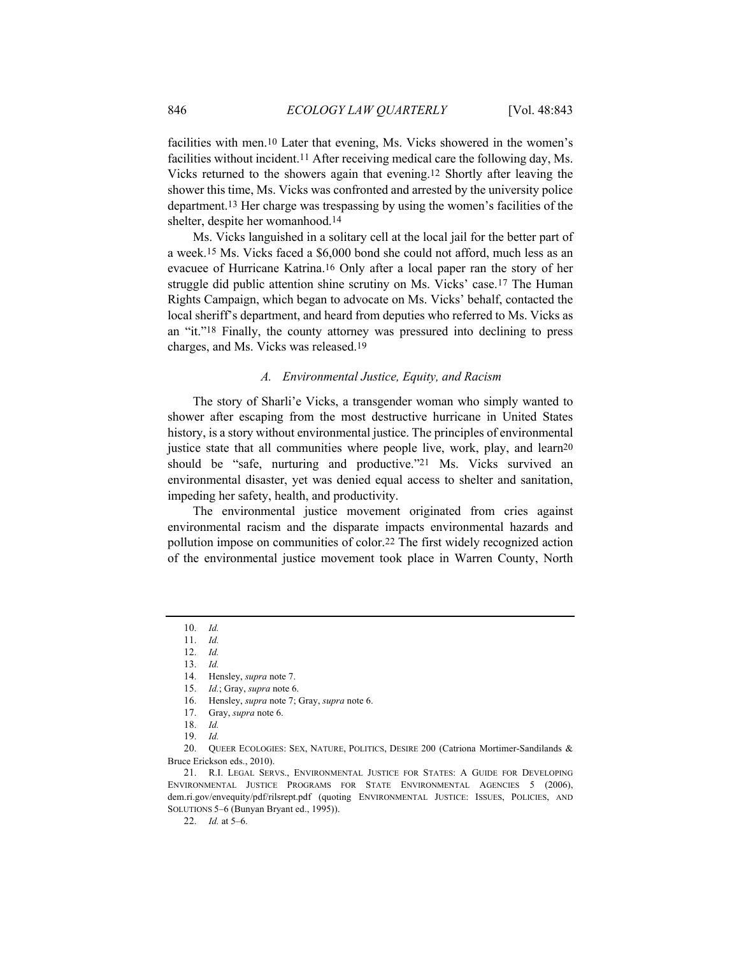facilities with men.10 Later that evening, Ms. Vicks showered in the women's facilities without incident.11 After receiving medical care the following day, Ms. Vicks returned to the showers again that evening.12 Shortly after leaving the shower this time, Ms. Vicks was confronted and arrested by the university police department.13 Her charge was trespassing by using the women's facilities of the shelter, despite her womanhood.14

Ms. Vicks languished in a solitary cell at the local jail for the better part of a week.15 Ms. Vicks faced a \$6,000 bond she could not afford, much less as an evacuee of Hurricane Katrina.16 Only after a local paper ran the story of her struggle did public attention shine scrutiny on Ms. Vicks' case.17 The Human Rights Campaign, which began to advocate on Ms. Vicks' behalf, contacted the local sheriff's department, and heard from deputies who referred to Ms. Vicks as an "it."18 Finally, the county attorney was pressured into declining to press charges, and Ms. Vicks was released.19

## *A. Environmental Justice, Equity, and Racism*

The story of Sharli'e Vicks, a transgender woman who simply wanted to shower after escaping from the most destructive hurricane in United States history, is a story without environmental justice. The principles of environmental justice state that all communities where people live, work, play, and learn<sup>20</sup> should be "safe, nurturing and productive."21 Ms. Vicks survived an environmental disaster, yet was denied equal access to shelter and sanitation, impeding her safety, health, and productivity.

The environmental justice movement originated from cries against environmental racism and the disparate impacts environmental hazards and pollution impose on communities of color.22 The first widely recognized action of the environmental justice movement took place in Warren County, North

<sup>10.</sup> *Id.*

<sup>11.</sup> *Id.*

<sup>12.</sup> *Id.*

<sup>13.</sup> *Id.*

<sup>14.</sup> Hensley, *supra* note 7. 15. *Id.*; Gray, *supra* note 6.

<sup>16.</sup> Hensley, *supra* note 7; Gray, *supra* note 6.

<sup>17.</sup> Gray, *supra* note 6.

<sup>18.</sup> *Id.*

<sup>19.</sup> *Id.*

<sup>20.</sup> QUEER ECOLOGIES: SEX, NATURE, POLITICS, DESIRE 200 (Catriona Mortimer-Sandilands & Bruce Erickson eds., 2010).

<sup>21.</sup> R.I. LEGAL SERVS., ENVIRONMENTAL JUSTICE FOR STATES: A GUIDE FOR DEVELOPING ENVIRONMENTAL JUSTICE PROGRAMS FOR STATE ENVIRONMENTAL AGENCIES 5 (2006), dem.ri.gov/envequity/pdf/rilsrept.pdf (quoting ENVIRONMENTAL JUSTICE: ISSUES, POLICIES, AND SOLUTIONS 5–6 (Bunyan Bryant ed., 1995)).

<sup>22.</sup> *Id.* at 5–6.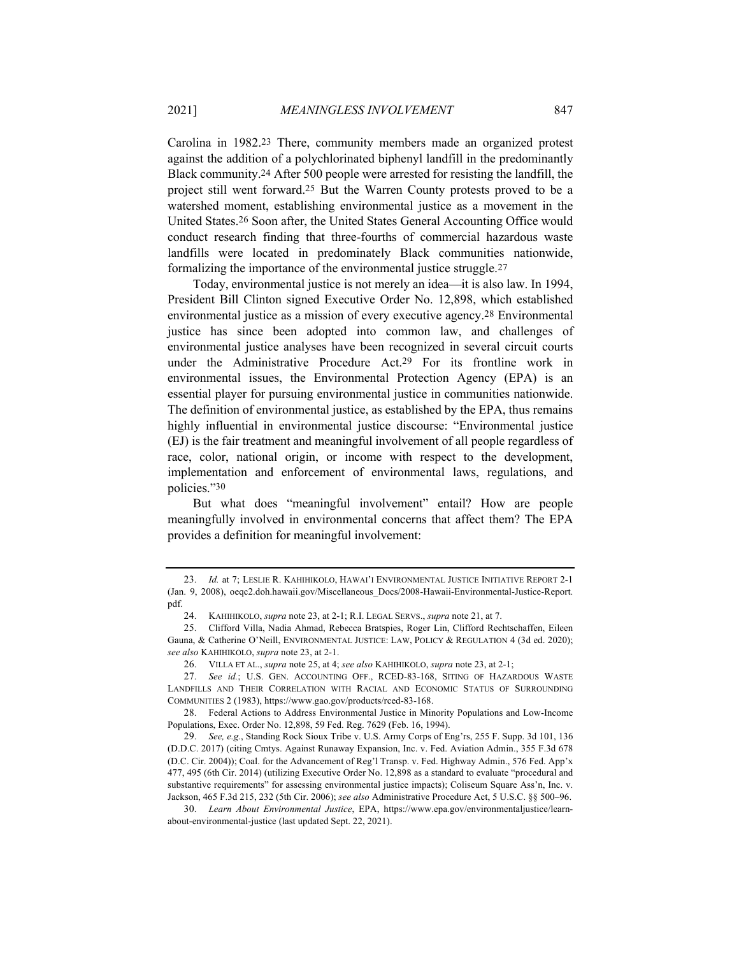Carolina in 1982.23 There, community members made an organized protest against the addition of a polychlorinated biphenyl landfill in the predominantly Black community.24 After 500 people were arrested for resisting the landfill, the project still went forward.25 But the Warren County protests proved to be a watershed moment, establishing environmental justice as a movement in the United States.26 Soon after, the United States General Accounting Office would conduct research finding that three-fourths of commercial hazardous waste landfills were located in predominately Black communities nationwide, formalizing the importance of the environmental justice struggle.27

Today, environmental justice is not merely an idea—it is also law. In 1994, President Bill Clinton signed Executive Order No. 12,898, which established environmental justice as a mission of every executive agency.28 Environmental justice has since been adopted into common law, and challenges of environmental justice analyses have been recognized in several circuit courts under the Administrative Procedure Act.29 For its frontline work in environmental issues, the Environmental Protection Agency (EPA) is an essential player for pursuing environmental justice in communities nationwide. The definition of environmental justice, as established by the EPA, thus remains highly influential in environmental justice discourse: "Environmental justice (EJ) is the fair treatment and meaningful involvement of all people regardless of race, color, national origin, or income with respect to the development, implementation and enforcement of environmental laws, regulations, and policies."30

But what does "meaningful involvement" entail? How are people meaningfully involved in environmental concerns that affect them? The EPA provides a definition for meaningful involvement:

<sup>23.</sup> *Id.* at 7; LESLIE R. KAHIHIKOLO, HAWAI'I ENVIRONMENTAL JUSTICE INITIATIVE REPORT 2-1 (Jan. 9, 2008), oeqc2.doh.hawaii.gov/Miscellaneous\_Docs/2008-Hawaii-Environmental-Justice-Report. pdf.

<sup>24.</sup> KAHIHIKOLO, *supra* note 23, at 2-1; R.I. LEGAL SERVS., *supra* note 21, at 7.

<sup>25.</sup> Clifford Villa, Nadia Ahmad, Rebecca Bratspies, Roger Lin, Clifford Rechtschaffen, Eileen Gauna, & Catherine O'Neill, ENVIRONMENTAL JUSTICE: LAW, POLICY & REGULATION 4 (3d ed. 2020); *see also* KAHIHIKOLO, *supra* note 23, at 2-1.

<sup>26.</sup> VILLA ET AL., *supra* note 25, at 4; *see also* KAHIHIKOLO, *supra* note 23, at 2-1;

<sup>27.</sup> *See id.*; U.S. GEN. ACCOUNTING OFF., RCED-83-168, SITING OF HAZARDOUS WASTE LANDFILLS AND THEIR CORRELATION WITH RACIAL AND ECONOMIC STATUS OF SURROUNDING COMMUNITIES 2 (1983), https://www.gao.gov/products/rced-83-168.

<sup>28.</sup> Federal Actions to Address Environmental Justice in Minority Populations and Low-Income Populations, Exec. Order No. 12,898, 59 Fed. Reg. 7629 (Feb. 16, 1994).

<sup>29.</sup> *See, e.g.*, Standing Rock Sioux Tribe v. U.S. Army Corps of Eng'rs, 255 F. Supp. 3d 101, 136 (D.D.C. 2017) (citing Cmtys. Against Runaway Expansion, Inc. v. Fed. Aviation Admin., 355 F.3d 678 (D.C. Cir. 2004)); Coal. for the Advancement of Reg'l Transp. v. Fed. Highway Admin., 576 Fed. App'x 477, 495 (6th Cir. 2014) (utilizing Executive Order No. 12,898 as a standard to evaluate "procedural and substantive requirements" for assessing environmental justice impacts); Coliseum Square Ass'n, Inc. v. Jackson, 465 F.3d 215, 232 (5th Cir. 2006); *see also* Administrative Procedure Act, 5 U.S.C. §§ 500–96.

<sup>30.</sup> *Learn About Environmental Justice*, EPA, https://www.epa.gov/environmentaljustice/learnabout-environmental-justice (last updated Sept. 22, 2021).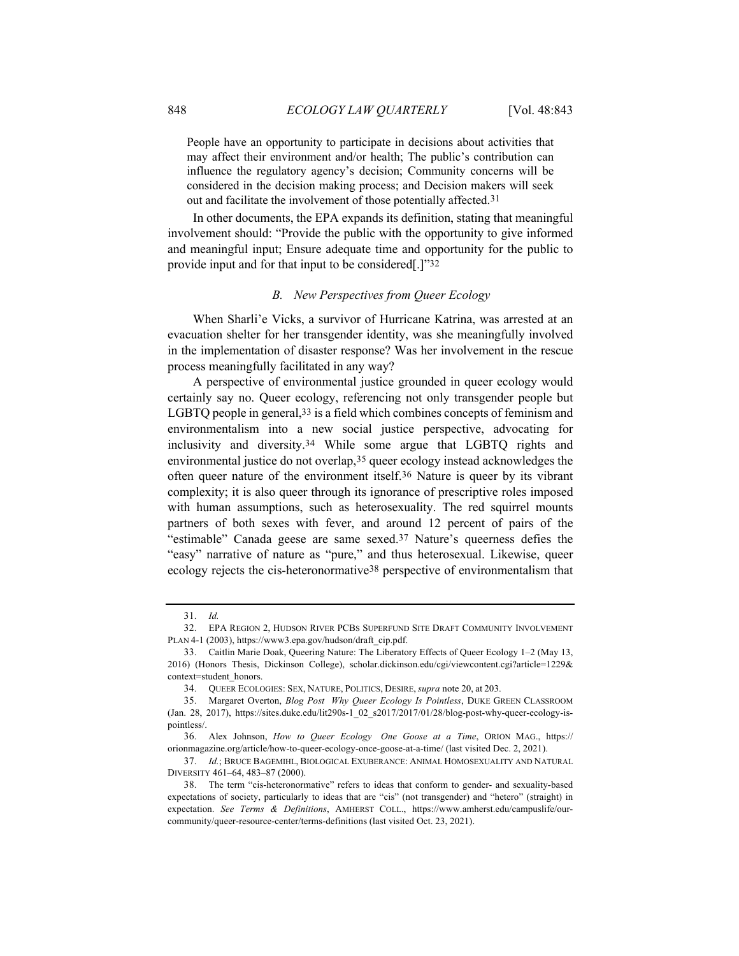People have an opportunity to participate in decisions about activities that may affect their environment and/or health; The public's contribution can influence the regulatory agency's decision; Community concerns will be considered in the decision making process; and Decision makers will seek out and facilitate the involvement of those potentially affected.31

In other documents, the EPA expands its definition, stating that meaningful involvement should: "Provide the public with the opportunity to give informed and meaningful input; Ensure adequate time and opportunity for the public to provide input and for that input to be considered[.]"32

#### *B. New Perspectives from Queer Ecology*

When Sharli'e Vicks, a survivor of Hurricane Katrina, was arrested at an evacuation shelter for her transgender identity, was she meaningfully involved in the implementation of disaster response? Was her involvement in the rescue process meaningfully facilitated in any way?

A perspective of environmental justice grounded in queer ecology would certainly say no. Queer ecology, referencing not only transgender people but LGBTQ people in general,33 is a field which combines concepts of feminism and environmentalism into a new social justice perspective, advocating for inclusivity and diversity.34 While some argue that LGBTQ rights and environmental justice do not overlap,35 queer ecology instead acknowledges the often queer nature of the environment itself.36 Nature is queer by its vibrant complexity; it is also queer through its ignorance of prescriptive roles imposed with human assumptions, such as heterosexuality. The red squirrel mounts partners of both sexes with fever, and around 12 percent of pairs of the "estimable" Canada geese are same sexed.37 Nature's queerness defies the "easy" narrative of nature as "pure," and thus heterosexual. Likewise, queer ecology rejects the cis-heteronormative38 perspective of environmentalism that

<sup>31.</sup> *Id.*

<sup>32.</sup> EPA REGION 2, HUDSON RIVER PCBS SUPERFUND SITE DRAFT COMMUNITY INVOLVEMENT PLAN 4-1 (2003), https://www3.epa.gov/hudson/draft\_cip.pdf.

<sup>33.</sup> Caitlin Marie Doak, Queering Nature: The Liberatory Effects of Queer Ecology 1–2 (May 13, 2016) (Honors Thesis, Dickinson College), scholar.dickinson.edu/cgi/viewcontent.cgi?article=1229& context=student\_honors.

<sup>34.</sup> QUEER ECOLOGIES: SEX, NATURE, POLITICS, DESIRE, *supra* note 20, at 203.

<sup>35.</sup> Margaret Overton, *Blog Post Why Queer Ecology Is Pointless*, DUKE GREEN CLASSROOM (Jan. 28, 2017), https://sites.duke.edu/lit290s-1\_02\_s2017/2017/01/28/blog-post-why-queer-ecology-ispointless/.

<sup>36.</sup> Alex Johnson, *How to Queer Ecology One Goose at a Time*, ORION MAG., https:// orionmagazine.org/article/how-to-queer-ecology-once-goose-at-a-time/ (last visited Dec. 2, 2021).

<sup>37.</sup> *Id.*; BRUCE BAGEMIHL, BIOLOGICAL EXUBERANCE: ANIMAL HOMOSEXUALITY AND NATURAL DIVERSITY 461–64, 483–87 (2000).

<sup>38.</sup> The term "cis-heteronormative" refers to ideas that conform to gender- and sexuality-based expectations of society, particularly to ideas that are "cis" (not transgender) and "hetero" (straight) in expectation. *See Terms & Definitions*, AMHERST COLL., https://www.amherst.edu/campuslife/ourcommunity/queer-resource-center/terms-definitions (last visited Oct. 23, 2021).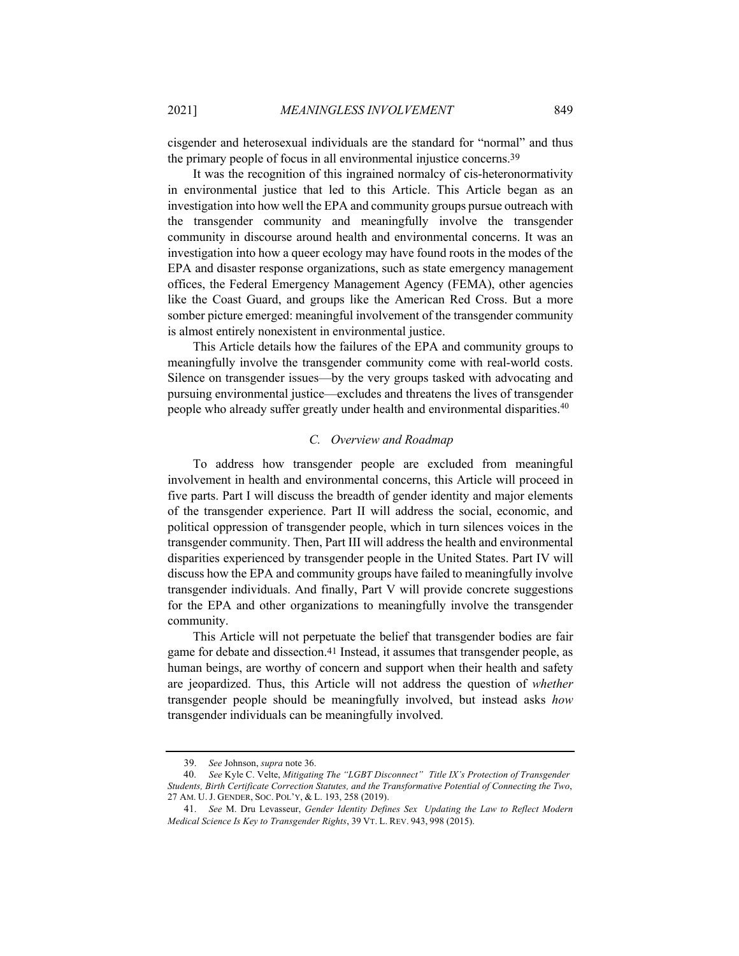cisgender and heterosexual individuals are the standard for "normal" and thus the primary people of focus in all environmental injustice concerns.39

It was the recognition of this ingrained normalcy of cis-heteronormativity in environmental justice that led to this Article. This Article began as an investigation into how well the EPA and community groups pursue outreach with the transgender community and meaningfully involve the transgender community in discourse around health and environmental concerns. It was an investigation into how a queer ecology may have found roots in the modes of the EPA and disaster response organizations, such as state emergency management offices, the Federal Emergency Management Agency (FEMA), other agencies like the Coast Guard, and groups like the American Red Cross. But a more somber picture emerged: meaningful involvement of the transgender community is almost entirely nonexistent in environmental justice.

This Article details how the failures of the EPA and community groups to meaningfully involve the transgender community come with real-world costs. Silence on transgender issues—by the very groups tasked with advocating and pursuing environmental justice—excludes and threatens the lives of transgender people who already suffer greatly under health and environmental disparities.<sup>40</sup>

## *C. Overview and Roadmap*

To address how transgender people are excluded from meaningful involvement in health and environmental concerns, this Article will proceed in five parts. Part I will discuss the breadth of gender identity and major elements of the transgender experience. Part II will address the social, economic, and political oppression of transgender people, which in turn silences voices in the transgender community. Then, Part III will address the health and environmental disparities experienced by transgender people in the United States. Part IV will discuss how the EPA and community groups have failed to meaningfully involve transgender individuals. And finally, Part V will provide concrete suggestions for the EPA and other organizations to meaningfully involve the transgender community.

This Article will not perpetuate the belief that transgender bodies are fair game for debate and dissection.41 Instead, it assumes that transgender people, as human beings, are worthy of concern and support when their health and safety are jeopardized. Thus, this Article will not address the question of *whether* transgender people should be meaningfully involved, but instead asks *how* transgender individuals can be meaningfully involved.

<sup>39.</sup> *See* Johnson, *supra* note 36.

<sup>40.</sup> *See* Kyle C. Velte, *Mitigating The "LGBT Disconnect" Title IX's Protection of Transgender Students, Birth Certificate Correction Statutes, and the Transformative Potential of Connecting the Two*, 27 AM. U. J. GENDER, SOC. POL'Y, & L. 193, 258 (2019).

<sup>41.</sup> *See* M. Dru Levasseur, *Gender Identity Defines Sex Updating the Law to Reflect Modern Medical Science Is Key to Transgender Rights*, 39 VT. L. REV. 943, 998 (2015).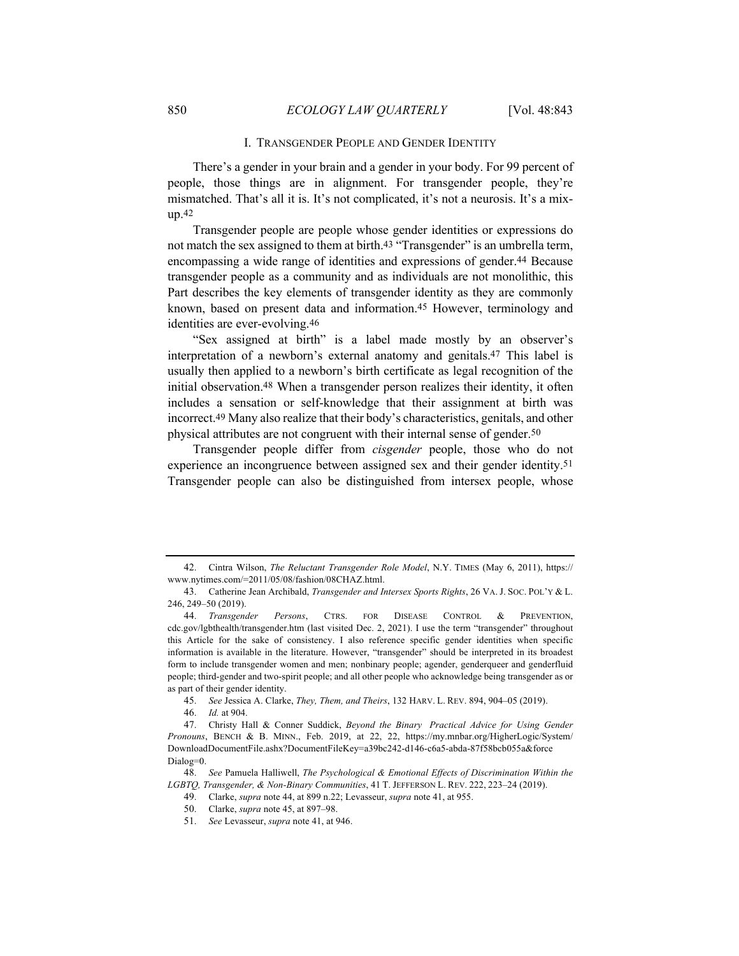#### I. TRANSGENDER PEOPLE AND GENDER IDENTITY

There's a gender in your brain and a gender in your body. For 99 percent of people, those things are in alignment. For transgender people, they're mismatched. That's all it is. It's not complicated, it's not a neurosis. It's a mixup.42

Transgender people are people whose gender identities or expressions do not match the sex assigned to them at birth.<sup>43</sup> "Transgender" is an umbrella term, encompassing a wide range of identities and expressions of gender.44 Because transgender people as a community and as individuals are not monolithic, this Part describes the key elements of transgender identity as they are commonly known, based on present data and information.45 However, terminology and identities are ever-evolving.46

"Sex assigned at birth" is a label made mostly by an observer's interpretation of a newborn's external anatomy and genitals.47 This label is usually then applied to a newborn's birth certificate as legal recognition of the initial observation.48 When a transgender person realizes their identity, it often includes a sensation or self-knowledge that their assignment at birth was incorrect.49 Many also realize that their body's characteristics, genitals, and other physical attributes are not congruent with their internal sense of gender.50

Transgender people differ from *cisgender* people, those who do not experience an incongruence between assigned sex and their gender identity.51 Transgender people can also be distinguished from intersex people, whose

45. *See* Jessica A. Clarke, *They, Them, and Theirs*, 132 HARV. L. REV. 894, 904–05 (2019).

46. *Id.* at 904.

48. *See* Pamuela Halliwell, *The Psychological & Emotional Effects of Discrimination Within the LGBTQ, Transgender, & Non-Binary Communities*, 41 T. JEFFERSON L. REV. 222, 223–24 (2019).

<sup>42.</sup> Cintra Wilson, *The Reluctant Transgender Role Model*, N.Y. TIMES (May 6, 2011), https:// www.nytimes.com/=2011/05/08/fashion/08CHAZ.html.

<sup>43.</sup> Catherine Jean Archibald, *Transgender and Intersex Sports Rights*, 26 VA. J. SOC. POL'Y & L. 246, 249–50 (2019).

<sup>44.</sup> *Transgender Persons*, CTRS. FOR DISEASE CONTROL & PREVENTION, cdc.gov/lgbthealth/transgender.htm (last visited Dec. 2, 2021). I use the term "transgender" throughout this Article for the sake of consistency. I also reference specific gender identities when specific information is available in the literature. However, "transgender" should be interpreted in its broadest form to include transgender women and men; nonbinary people; agender, genderqueer and genderfluid people; third-gender and two-spirit people; and all other people who acknowledge being transgender as or as part of their gender identity.

<sup>47.</sup> Christy Hall & Conner Suddick, *Beyond the Binary Practical Advice for Using Gender Pronouns*, BENCH & B. MINN., Feb. 2019, at 22, 22, https://my.mnbar.org/HigherLogic/System/ DownloadDocumentFile.ashx?DocumentFileKey=a39bc242-d146-c6a5-abda-87f58bcb055a&force Dialog=0.

<sup>49.</sup> Clarke, *supra* note 44, at 899 n.22; Levasseur, *supra* note 41, at 955.

<sup>50.</sup> Clarke, *supra* note 45, at 897–98.

<sup>51.</sup> *See* Levasseur, *supra* note 41, at 946.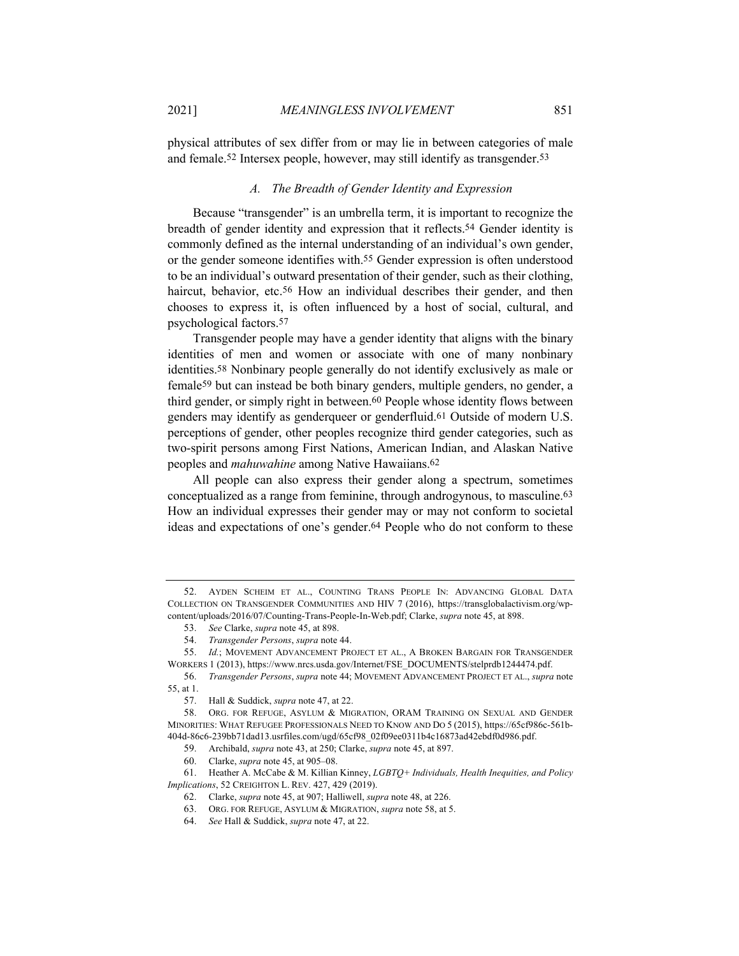physical attributes of sex differ from or may lie in between categories of male and female.52 Intersex people, however, may still identify as transgender.53

# *A. The Breadth of Gender Identity and Expression*

Because "transgender" is an umbrella term, it is important to recognize the breadth of gender identity and expression that it reflects.54 Gender identity is commonly defined as the internal understanding of an individual's own gender, or the gender someone identifies with.55 Gender expression is often understood to be an individual's outward presentation of their gender, such as their clothing, haircut, behavior, etc.<sup>56</sup> How an individual describes their gender, and then chooses to express it, is often influenced by a host of social, cultural, and psychological factors.57

Transgender people may have a gender identity that aligns with the binary identities of men and women or associate with one of many nonbinary identities.58 Nonbinary people generally do not identify exclusively as male or female59 but can instead be both binary genders, multiple genders, no gender, a third gender, or simply right in between.60 People whose identity flows between genders may identify as genderqueer or genderfluid.61 Outside of modern U.S. perceptions of gender, other peoples recognize third gender categories, such as two-spirit persons among First Nations, American Indian, and Alaskan Native peoples and *mahuwahine* among Native Hawaiians.62

All people can also express their gender along a spectrum, sometimes conceptualized as a range from feminine, through androgynous, to masculine.63 How an individual expresses their gender may or may not conform to societal ideas and expectations of one's gender.64 People who do not conform to these

61. Heather A. McCabe & M. Killian Kinney, *LGBTQ+ Individuals, Health Inequities, and Policy Implications*, 52 CREIGHTON L. REV. 427, 429 (2019).

<sup>52.</sup> AYDEN SCHEIM ET AL., COUNTING TRANS PEOPLE IN: ADVANCING GLOBAL DATA COLLECTION ON TRANSGENDER COMMUNITIES AND HIV 7 (2016), https://transglobalactivism.org/wpcontent/uploads/2016/07/Counting-Trans-People-In-Web.pdf; Clarke, *supra* note 45, at 898.

<sup>53.</sup> *See* Clarke, *supra* note 45, at 898.

<sup>54.</sup> *Transgender Persons*, *supra* note 44.

<sup>55.</sup> *Id.*; MOVEMENT ADVANCEMENT PROJECT ET AL., A BROKEN BARGAIN FOR TRANSGENDER WORKERS 1 (2013), https://www.nrcs.usda.gov/Internet/FSE\_DOCUMENTS/stelprdb1244474.pdf.

<sup>56.</sup> *Transgender Persons*, *supra* note 44; MOVEMENT ADVANCEMENT PROJECT ET AL., *supra* note 55, at 1.

<sup>57.</sup> Hall & Suddick, *supra* note 47, at 22.

<sup>58.</sup> ORG. FOR REFUGE, ASYLUM & MIGRATION, ORAM TRAINING ON SEXUAL AND GENDER MINORITIES: WHAT REFUGEE PROFESSIONALS NEED TO KNOW AND DO 5 (2015), https://65cf986c-561b-404d-86c6-239bb71dad13.usrfiles.com/ugd/65cf98\_02f09ee0311b4c16873ad42ebdf0d986.pdf.

<sup>59.</sup> Archibald, *supra* note 43, at 250; Clarke, *supra* note 45, at 897.

<sup>60.</sup> Clarke, *supra* note 45, at 905–08.

<sup>62.</sup> Clarke, *supra* note 45, at 907; Halliwell, *supra* note 48, at 226.

<sup>63.</sup> ORG. FOR REFUGE, ASYLUM & MIGRATION, *supra* note 58, at 5.

<sup>64.</sup> *See* Hall & Suddick, *supra* note 47, at 22.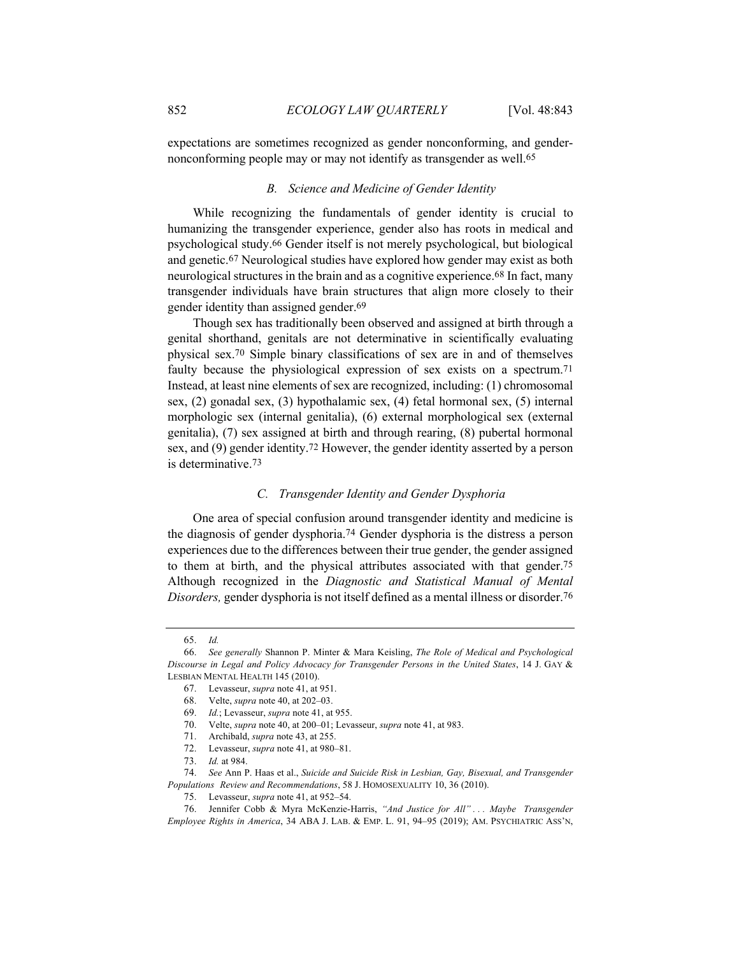expectations are sometimes recognized as gender nonconforming, and gendernonconforming people may or may not identify as transgender as well.65

# *B. Science and Medicine of Gender Identity*

While recognizing the fundamentals of gender identity is crucial to humanizing the transgender experience, gender also has roots in medical and psychological study.66 Gender itself is not merely psychological, but biological and genetic.67 Neurological studies have explored how gender may exist as both neurological structures in the brain and as a cognitive experience.68 In fact, many transgender individuals have brain structures that align more closely to their gender identity than assigned gender.69

Though sex has traditionally been observed and assigned at birth through a genital shorthand, genitals are not determinative in scientifically evaluating physical sex.70 Simple binary classifications of sex are in and of themselves faulty because the physiological expression of sex exists on a spectrum.71 Instead, at least nine elements of sex are recognized, including: (1) chromosomal sex, (2) gonadal sex, (3) hypothalamic sex, (4) fetal hormonal sex, (5) internal morphologic sex (internal genitalia), (6) external morphological sex (external genitalia), (7) sex assigned at birth and through rearing, (8) pubertal hormonal sex, and (9) gender identity.72 However, the gender identity asserted by a person is determinative.73

## *C. Transgender Identity and Gender Dysphoria*

One area of special confusion around transgender identity and medicine is the diagnosis of gender dysphoria.74 Gender dysphoria is the distress a person experiences due to the differences between their true gender, the gender assigned to them at birth, and the physical attributes associated with that gender.75 Although recognized in the *Diagnostic and Statistical Manual of Mental Disorders,* gender dysphoria is not itself defined as a mental illness or disorder.76

<sup>65.</sup> *Id.*

<sup>66.</sup> *See generally* Shannon P. Minter & Mara Keisling, *The Role of Medical and Psychological Discourse in Legal and Policy Advocacy for Transgender Persons in the United States*, 14 J. GAY & LESBIAN MENTAL HEALTH 145 (2010).

<sup>67.</sup> Levasseur, *supra* note 41, at 951.

<sup>68.</sup> Velte, *supra* note 40, at 202–03.

<sup>69.</sup> *Id.*; Levasseur, *supra* note 41, at 955.

<sup>70.</sup> Velte, *supra* note 40, at 200–01; Levasseur, *supra* note 41, at 983.

<sup>71.</sup> Archibald, *supra* note 43, at 255.

<sup>72.</sup> Levasseur, *supra* note 41, at 980–81.

<sup>73.</sup> *Id.* at 984.

<sup>74.</sup> *See* Ann P. Haas et al., *Suicide and Suicide Risk in Lesbian, Gay, Bisexual, and Transgender Populations Review and Recommendations*, 58 J. HOMOSEXUALITY 10, 36 (2010).

<sup>75.</sup> Levasseur, *supra* note 41, at 952–54.

<sup>76.</sup> Jennifer Cobb & Myra McKenzie-Harris, *"And Justice for All" . . . Maybe Transgender Employee Rights in America*, 34 ABA J. LAB. & EMP. L. 91, 94–95 (2019); AM. PSYCHIATRIC ASS'N,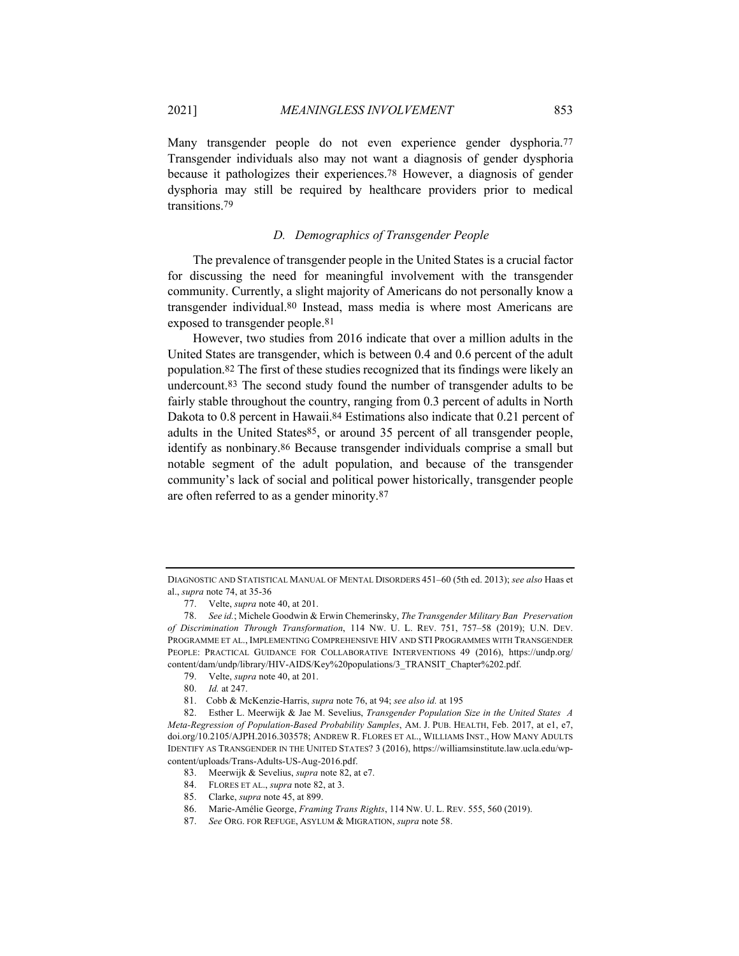Many transgender people do not even experience gender dysphoria.77 Transgender individuals also may not want a diagnosis of gender dysphoria because it pathologizes their experiences.78 However, a diagnosis of gender dysphoria may still be required by healthcare providers prior to medical transitions.79

## *D. Demographics of Transgender People*

The prevalence of transgender people in the United States is a crucial factor for discussing the need for meaningful involvement with the transgender community. Currently, a slight majority of Americans do not personally know a transgender individual.80 Instead, mass media is where most Americans are exposed to transgender people.81

However, two studies from 2016 indicate that over a million adults in the United States are transgender, which is between 0.4 and 0.6 percent of the adult population.82 The first of these studies recognized that its findings were likely an undercount.83 The second study found the number of transgender adults to be fairly stable throughout the country, ranging from 0.3 percent of adults in North Dakota to 0.8 percent in Hawaii.<sup>84</sup> Estimations also indicate that 0.21 percent of adults in the United States<sup>85</sup>, or around 35 percent of all transgender people, identify as nonbinary.86 Because transgender individuals comprise a small but notable segment of the adult population, and because of the transgender community's lack of social and political power historically, transgender people are often referred to as a gender minority.87

DIAGNOSTIC AND STATISTICAL MANUAL OF MENTAL DISORDERS 451–60 (5th ed. 2013); *see also* Haas et al., *supra* note 74, at 35-36

<sup>77.</sup> Velte, *supra* note 40, at 201.

<sup>78.</sup> *See id.*; Michele Goodwin & Erwin Chemerinsky, *The Transgender Military Ban Preservation of Discrimination Through Transformation*, 114 NW. U. L. REV. 751, 757–58 (2019); U.N. DEV. PROGRAMME ET AL., IMPLEMENTING COMPREHENSIVE HIV AND STI PROGRAMMES WITH TRANSGENDER PEOPLE: PRACTICAL GUIDANCE FOR COLLABORATIVE INTERVENTIONS 49 (2016), https://undp.org/ content/dam/undp/library/HIV-AIDS/Key%20populations/3\_TRANSIT\_Chapter%202.pdf.

<sup>79.</sup> Velte, *supra* note 40, at 201.

<sup>80.</sup> *Id.* at 247.

<sup>81.</sup> Cobb & McKenzie-Harris, *supra* note 76, at 94; *see also id.* at 195

<sup>82.</sup> Esther L. Meerwijk & Jae M. Sevelius, *Transgender Population Size in the United States A Meta-Regression of Population-Based Probability Samples*, AM. J. PUB. HEALTH, Feb. 2017, at e1, e7, doi.org/10.2105/AJPH.2016.303578; ANDREW R. FLORES ET AL., WILLIAMS INST., HOW MANY ADULTS IDENTIFY AS TRANSGENDER IN THE UNITED STATES? 3 (2016), https://williamsinstitute.law.ucla.edu/wpcontent/uploads/Trans-Adults-US-Aug-2016.pdf.

<sup>83.</sup> Meerwijk & Sevelius, *supra* note 82, at e7.

<sup>84.</sup> FLORES ET AL., *supra* note 82, at 3.

<sup>85.</sup> Clarke, *supra* note 45, at 899.

<sup>86.</sup> Marie-Amélie George, *Framing Trans Rights*, 114 NW. U. L. REV. 555, 560 (2019).

<sup>87.</sup> *See* ORG. FOR REFUGE, ASYLUM & MIGRATION, *supra* note 58.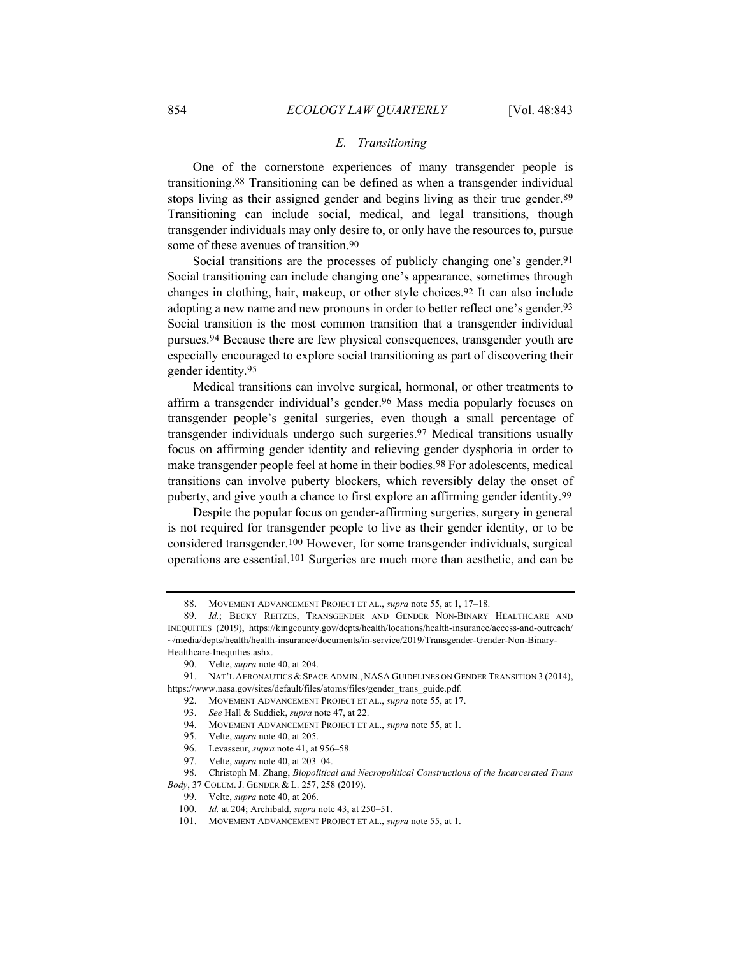#### *E. Transitioning*

One of the cornerstone experiences of many transgender people is transitioning.88 Transitioning can be defined as when a transgender individual stops living as their assigned gender and begins living as their true gender.89 Transitioning can include social, medical, and legal transitions, though transgender individuals may only desire to, or only have the resources to, pursue some of these avenues of transition.90

Social transitions are the processes of publicly changing one's gender.<sup>91</sup> Social transitioning can include changing one's appearance, sometimes through changes in clothing, hair, makeup, or other style choices.92 It can also include adopting a new name and new pronouns in order to better reflect one's gender.<sup>93</sup> Social transition is the most common transition that a transgender individual pursues.94 Because there are few physical consequences, transgender youth are especially encouraged to explore social transitioning as part of discovering their gender identity.95

Medical transitions can involve surgical, hormonal, or other treatments to affirm a transgender individual's gender.96 Mass media popularly focuses on transgender people's genital surgeries, even though a small percentage of transgender individuals undergo such surgeries.97 Medical transitions usually focus on affirming gender identity and relieving gender dysphoria in order to make transgender people feel at home in their bodies.98 For adolescents, medical transitions can involve puberty blockers, which reversibly delay the onset of puberty, and give youth a chance to first explore an affirming gender identity.99

Despite the popular focus on gender-affirming surgeries, surgery in general is not required for transgender people to live as their gender identity, or to be considered transgender.100 However, for some transgender individuals, surgical operations are essential.101 Surgeries are much more than aesthetic, and can be

- 93. *See* Hall & Suddick, *supra* note 47, at 22.
- 94. MOVEMENT ADVANCEMENT PROJECT ET AL., *supra* note 55, at 1.
- 95. Velte, *supra* note 40, at 205.
- 96. Levasseur, *supra* note 41, at 956–58.
- 97. Velte, *supra* note 40, at 203–04.

- 99. Velte, *supra* note 40, at 206.
- 100. *Id.* at 204; Archibald, *supra* note 43, at 250–51.
- 101. MOVEMENT ADVANCEMENT PROJECT ET AL., *supra* note 55, at 1.

<sup>88.</sup> MOVEMENT ADVANCEMENT PROJECT ET AL., *supra* note 55, at 1, 17–18.

<sup>89.</sup> *Id.*; BECKY REITZES, TRANSGENDER AND GENDER NON-BINARY HEALTHCARE AND INEQUITIES (2019), https://kingcounty.gov/depts/health/locations/health-insurance/access-and-outreach/ ~/media/depts/health/health-insurance/documents/in-service/2019/Transgender-Gender-Non-Binary-Healthcare-Inequities.ashx.

<sup>90.</sup> Velte, *supra* note 40, at 204.

<sup>91.</sup> NAT'L AERONAUTICS & SPACE ADMIN., NASA GUIDELINES ON GENDER TRANSITION 3 (2014), https://www.nasa.gov/sites/default/files/atoms/files/gender\_trans\_guide.pdf.

<sup>92.</sup> MOVEMENT ADVANCEMENT PROJECT ET AL., *supra* note 55, at 17.

<sup>98.</sup> Christoph M. Zhang, *Biopolitical and Necropolitical Constructions of the Incarcerated Trans Body*, 37 COLUM. J. GENDER & L. 257, 258 (2019).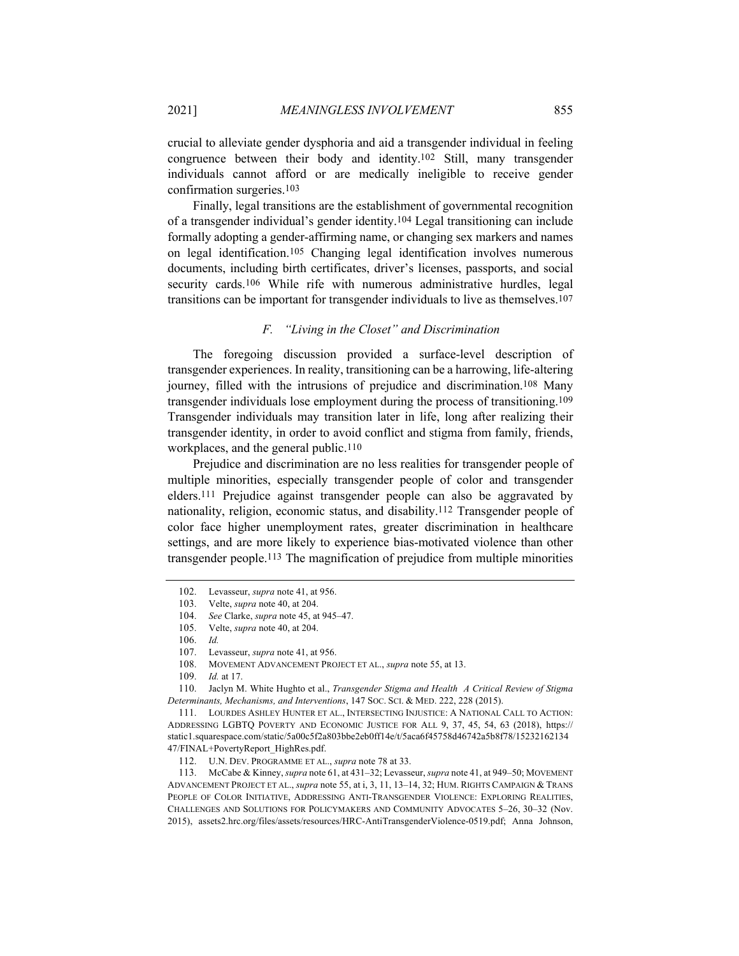crucial to alleviate gender dysphoria and aid a transgender individual in feeling congruence between their body and identity.102 Still, many transgender individuals cannot afford or are medically ineligible to receive gender confirmation surgeries.103

Finally, legal transitions are the establishment of governmental recognition of a transgender individual's gender identity.104 Legal transitioning can include formally adopting a gender-affirming name, or changing sex markers and names on legal identification.105 Changing legal identification involves numerous documents, including birth certificates, driver's licenses, passports, and social security cards.<sup>106</sup> While rife with numerous administrative hurdles, legal transitions can be important for transgender individuals to live as themselves.107

## *F. "Living in the Closet" and Discrimination*

The foregoing discussion provided a surface-level description of transgender experiences. In reality, transitioning can be a harrowing, life-altering journey, filled with the intrusions of prejudice and discrimination.108 Many transgender individuals lose employment during the process of transitioning.109 Transgender individuals may transition later in life, long after realizing their transgender identity, in order to avoid conflict and stigma from family, friends, workplaces, and the general public.110

Prejudice and discrimination are no less realities for transgender people of multiple minorities, especially transgender people of color and transgender elders.111 Prejudice against transgender people can also be aggravated by nationality, religion, economic status, and disability.112 Transgender people of color face higher unemployment rates, greater discrimination in healthcare settings, and are more likely to experience bias-motivated violence than other transgender people.113 The magnification of prejudice from multiple minorities

110. Jaclyn M. White Hughto et al., *Transgender Stigma and Health A Critical Review of Stigma Determinants, Mechanisms, and Interventions*, 147 SOC. SCI. & MED. 222, 228 (2015).

111. LOURDES ASHLEY HUNTER ET AL., INTERSECTING INJUSTICE: A NATIONAL CALL TO ACTION: ADDRESSING LGBTQ POVERTY AND ECONOMIC JUSTICE FOR ALL 9, 37, 45, 54, 63 (2018), https:// static1.squarespace.com/static/5a00c5f2a803bbe2eb0ff14e/t/5aca6f45758d46742a5b8f78/15232162134 47/FINAL+PovertyReport\_HighRes.pdf.

112. U.N. DEV. PROGRAMME ET AL., *supra* note 78 at 33.

113. McCabe & Kinney, *supra* note 61, at 431–32; Levasseur, *supra* note 41, at 949–50; MOVEMENT ADVANCEMENT PROJECT ET AL., *supra* note 55, at i, 3, 11, 13–14, 32; HUM. RIGHTS CAMPAIGN & TRANS PEOPLE OF COLOR INITIATIVE, ADDRESSING ANTI-TRANSGENDER VIOLENCE: EXPLORING REALITIES, CHALLENGES AND SOLUTIONS FOR POLICYMAKERS AND COMMUNITY ADVOCATES 5–26, 30–32 (Nov. 2015), assets2.hrc.org/files/assets/resources/HRC-AntiTransgenderViolence-0519.pdf; Anna Johnson,

<sup>102.</sup> Levasseur, *supra* note 41, at 956.

<sup>103.</sup> Velte, *supra* note 40, at 204.

<sup>104.</sup> *See* Clarke, *supra* note 45, at 945–47.

<sup>105.</sup> Velte, *supra* note 40, at 204.

<sup>106.</sup> *Id.*

<sup>107.</sup> Levasseur, *supra* note 41, at 956.

<sup>108.</sup> MOVEMENT ADVANCEMENT PROJECT ET AL., *supra* note 55, at 13.

<sup>109.</sup> *Id.* at 17.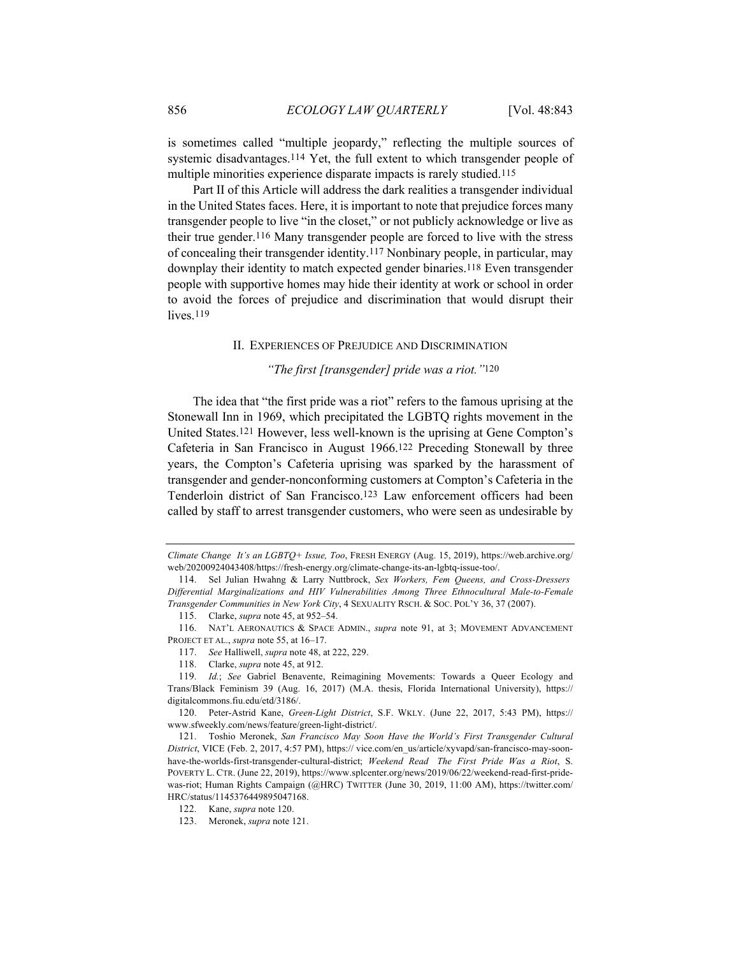is sometimes called "multiple jeopardy," reflecting the multiple sources of systemic disadvantages.114 Yet, the full extent to which transgender people of multiple minorities experience disparate impacts is rarely studied.115

Part II of this Article will address the dark realities a transgender individual in the United States faces. Here, it is important to note that prejudice forces many transgender people to live "in the closet," or not publicly acknowledge or live as their true gender.116 Many transgender people are forced to live with the stress of concealing their transgender identity.117 Nonbinary people, in particular, may downplay their identity to match expected gender binaries.118 Even transgender people with supportive homes may hide their identity at work or school in order to avoid the forces of prejudice and discrimination that would disrupt their lives.<sup>119</sup>

## II. EXPERIENCES OF PREJUDICE AND DISCRIMINATION

# *"The first [transgender] pride was a riot."*120

The idea that "the first pride was a riot" refers to the famous uprising at the Stonewall Inn in 1969, which precipitated the LGBTQ rights movement in the United States.121 However, less well-known is the uprising at Gene Compton's Cafeteria in San Francisco in August 1966.122 Preceding Stonewall by three years, the Compton's Cafeteria uprising was sparked by the harassment of transgender and gender-nonconforming customers at Compton's Cafeteria in the Tenderloin district of San Francisco.123 Law enforcement officers had been called by staff to arrest transgender customers, who were seen as undesirable by

*Climate Change It's an LGBTQ+ Issue, Too*, FRESH ENERGY (Aug. 15, 2019), https://web.archive.org/ web/20200924043408/https://fresh-energy.org/climate-change-its-an-lgbtq-issue-too/.

<sup>114.</sup> Sel Julian Hwahng & Larry Nuttbrock, *Sex Workers, Fem Queens, and Cross-Dressers Differential Marginalizations and HIV Vulnerabilities Among Three Ethnocultural Male-to-Female Transgender Communities in New York City*, 4 SEXUALITY RSCH. & SOC. POL'Y 36, 37 (2007).

<sup>115.</sup> Clarke, *supra* note 45, at 952–54.

<sup>116.</sup> NAT'L AERONAUTICS & SPACE ADMIN., *supra* note 91, at 3; MOVEMENT ADVANCEMENT PROJECT ET AL., *supra* note 55, at 16–17.

<sup>117.</sup> *See* Halliwell, *supra* note 48, at 222, 229.

<sup>118.</sup> Clarke, *supra* note 45, at 912.

<sup>119.</sup> *Id.*; *See* Gabriel Benavente, Reimagining Movements: Towards a Queer Ecology and Trans/Black Feminism 39 (Aug. 16, 2017) (M.A. thesis, Florida International University), https:// digitalcommons.fiu.edu/etd/3186/.

<sup>120.</sup> Peter-Astrid Kane, *Green-Light District*, S.F. WKLY. (June 22, 2017, 5:43 PM), https:// www.sfweekly.com/news/feature/green-light-district/.

<sup>121.</sup> Toshio Meronek, *San Francisco May Soon Have the World's First Transgender Cultural District*, VICE (Feb. 2, 2017, 4:57 PM), https:// vice.com/en\_us/article/xyvapd/san-francisco-may-soonhave-the-worlds-first-transgender-cultural-district; *Weekend Read The First Pride Was a Riot*, S. POVERTY L. CTR. (June 22, 2019), https://www.splcenter.org/news/2019/06/22/weekend-read-first-pridewas-riot; Human Rights Campaign (@HRC) TWITTER (June 30, 2019, 11:00 AM), https://twitter.com/ HRC/status/1145376449895047168.

<sup>122.</sup> Kane, *supra* note 120.

<sup>123.</sup> Meronek, *supra* note 121.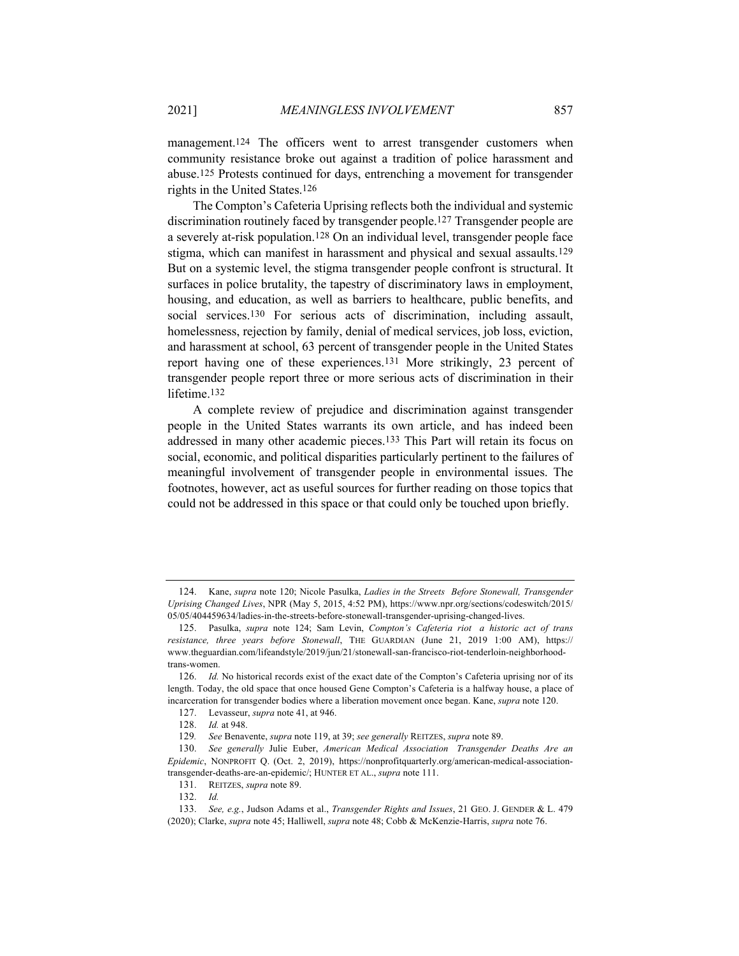management.<sup>124</sup> The officers went to arrest transgender customers when community resistance broke out against a tradition of police harassment and abuse.125 Protests continued for days, entrenching a movement for transgender rights in the United States.126

The Compton's Cafeteria Uprising reflects both the individual and systemic discrimination routinely faced by transgender people.127 Transgender people are a severely at-risk population.128 On an individual level, transgender people face stigma, which can manifest in harassment and physical and sexual assaults.129 But on a systemic level, the stigma transgender people confront is structural. It surfaces in police brutality, the tapestry of discriminatory laws in employment, housing, and education, as well as barriers to healthcare, public benefits, and social services.130 For serious acts of discrimination, including assault, homelessness, rejection by family, denial of medical services, job loss, eviction, and harassment at school, 63 percent of transgender people in the United States report having one of these experiences.131 More strikingly, 23 percent of transgender people report three or more serious acts of discrimination in their lifetime.132

A complete review of prejudice and discrimination against transgender people in the United States warrants its own article, and has indeed been addressed in many other academic pieces.133 This Part will retain its focus on social, economic, and political disparities particularly pertinent to the failures of meaningful involvement of transgender people in environmental issues. The footnotes, however, act as useful sources for further reading on those topics that could not be addressed in this space or that could only be touched upon briefly.

<sup>124.</sup> Kane, *supra* note 120; Nicole Pasulka, *Ladies in the Streets Before Stonewall, Transgender Uprising Changed Lives*, NPR (May 5, 2015, 4:52 PM), https://www.npr.org/sections/codeswitch/2015/ 05/05/404459634/ladies-in-the-streets-before-stonewall-transgender-uprising-changed-lives.

<sup>125.</sup> Pasulka, *supra* note 124; Sam Levin, *Compton's Cafeteria riot a historic act of trans resistance, three years before Stonewall*, THE GUARDIAN (June 21, 2019 1:00 AM), https:// www.theguardian.com/lifeandstyle/2019/jun/21/stonewall-san-francisco-riot-tenderloin-neighborhoodtrans-women.

<sup>126.</sup> *Id.* No historical records exist of the exact date of the Compton's Cafeteria uprising nor of its length. Today, the old space that once housed Gene Compton's Cafeteria is a halfway house, a place of incarceration for transgender bodies where a liberation movement once began. Kane, *supra* note 120.

<sup>127.</sup> Levasseur, *supra* note 41, at 946.

<sup>128.</sup> *Id.* at 948.

<sup>129</sup>*. See* Benavente, *supra* note 119, at 39; *see generally* REITZES, *supra* note 89.

<sup>130.</sup> *See generally* Julie Euber, *American Medical Association Transgender Deaths Are an Epidemic*, NONPROFIT Q. (Oct. 2, 2019), https://nonprofitquarterly.org/american-medical-associationtransgender-deaths-are-an-epidemic/; HUNTER ET AL., *supra* note 111.

<sup>131.</sup> REITZES, *supra* note 89.

<sup>132.</sup> *Id.*

<sup>133.</sup> *See, e.g.*, Judson Adams et al., *Transgender Rights and Issues*, 21 GEO. J. GENDER & L. 479 (2020); Clarke, *supra* note 45; Halliwell, *supra* note 48; Cobb & McKenzie-Harris, *supra* note 76.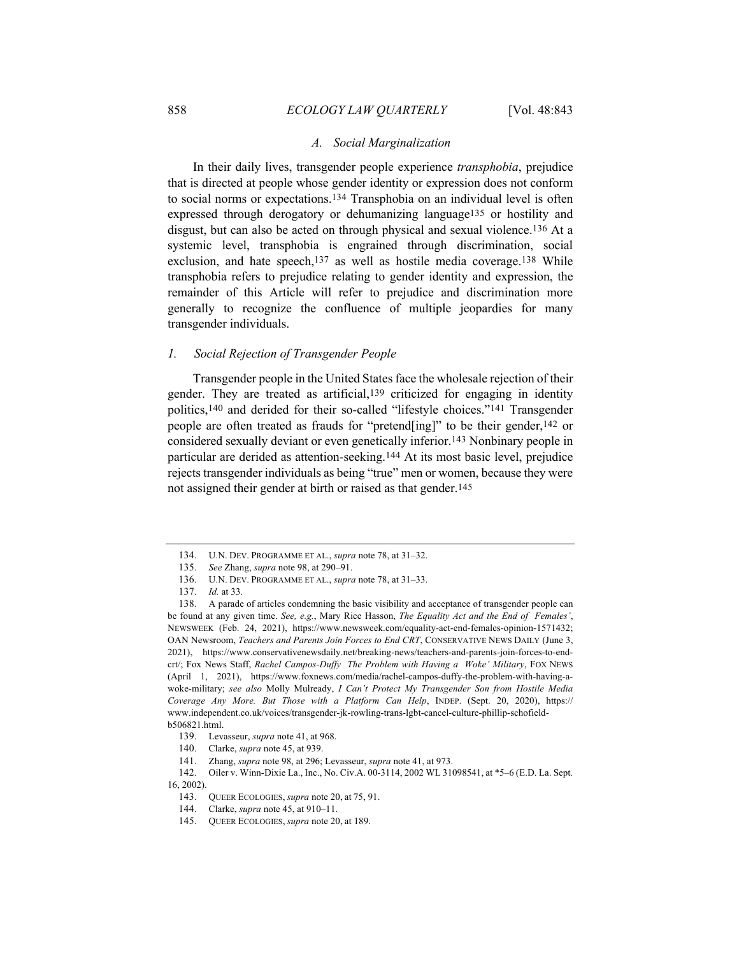#### *A. Social Marginalization*

In their daily lives, transgender people experience *transphobia*, prejudice that is directed at people whose gender identity or expression does not conform to social norms or expectations.134 Transphobia on an individual level is often expressed through derogatory or dehumanizing language135 or hostility and disgust, but can also be acted on through physical and sexual violence.136 At a systemic level, transphobia is engrained through discrimination, social exclusion, and hate speech,137 as well as hostile media coverage.138 While transphobia refers to prejudice relating to gender identity and expression, the remainder of this Article will refer to prejudice and discrimination more generally to recognize the confluence of multiple jeopardies for many transgender individuals.

## *1. Social Rejection of Transgender People*

Transgender people in the United States face the wholesale rejection of their gender. They are treated as artificial,139 criticized for engaging in identity politics,140 and derided for their so-called "lifestyle choices."141 Transgender people are often treated as frauds for "pretend[ing]" to be their gender,<sup>142</sup> or considered sexually deviant or even genetically inferior.143 Nonbinary people in particular are derided as attention-seeking.144 At its most basic level, prejudice rejects transgender individuals as being "true" men or women, because they were not assigned their gender at birth or raised as that gender.145

<sup>134.</sup> U.N. DEV. PROGRAMME ET AL., *supra* note 78, at 31–32.

<sup>135.</sup> *See* Zhang, *supra* note 98, at 290–91.

<sup>136.</sup> U.N. DEV. PROGRAMME ET AL., *supra* note 78, at 31–33.

<sup>137.</sup> *Id.* at 33.

<sup>138.</sup> A parade of articles condemning the basic visibility and acceptance of transgender people can be found at any given time. *See, e.g.*, Mary Rice Hasson, *The Equality Act and the End of Females'*, NEWSWEEK (Feb. 24, 2021), https://www.newsweek.com/equality-act-end-females-opinion-1571432; OAN Newsroom, *Teachers and Parents Join Forces to End CRT*, CONSERVATIVE NEWS DAILY (June 3, 2021), https://www.conservativenewsdaily.net/breaking-news/teachers-and-parents-join-forces-to-endcrt/; Fox News Staff, *Rachel Campos-Duffy The Problem with Having a Woke' Military*, FOX NEWS (April 1, 2021), https://www.foxnews.com/media/rachel-campos-duffy-the-problem-with-having-awoke-military; *see also* Molly Mulready, *I Can't Protect My Transgender Son from Hostile Media Coverage Any More. But Those with a Platform Can Help*, INDEP. (Sept. 20, 2020), https:// www.independent.co.uk/voices/transgender-jk-rowling-trans-lgbt-cancel-culture-phillip-schofieldb506821.html.

<sup>139.</sup> Levasseur, *supra* note 41, at 968.

<sup>140.</sup> Clarke, *supra* note 45, at 939.

<sup>141.</sup> Zhang, *supra* note 98, at 296; Levasseur, *supra* note 41, at 973.

<sup>142.</sup> Oiler v. Winn-Dixie La., Inc., No. Civ.A. 00-3114, 2002 WL 31098541, at \*5–6 (E.D. La. Sept.

<sup>16, 2002).</sup>

<sup>143.</sup> QUEER ECOLOGIES, *supra* note 20, at 75, 91.

<sup>144.</sup> Clarke, *supra* note 45, at 910–11.

<sup>145.</sup> QUEER ECOLOGIES, *supra* note 20, at 189.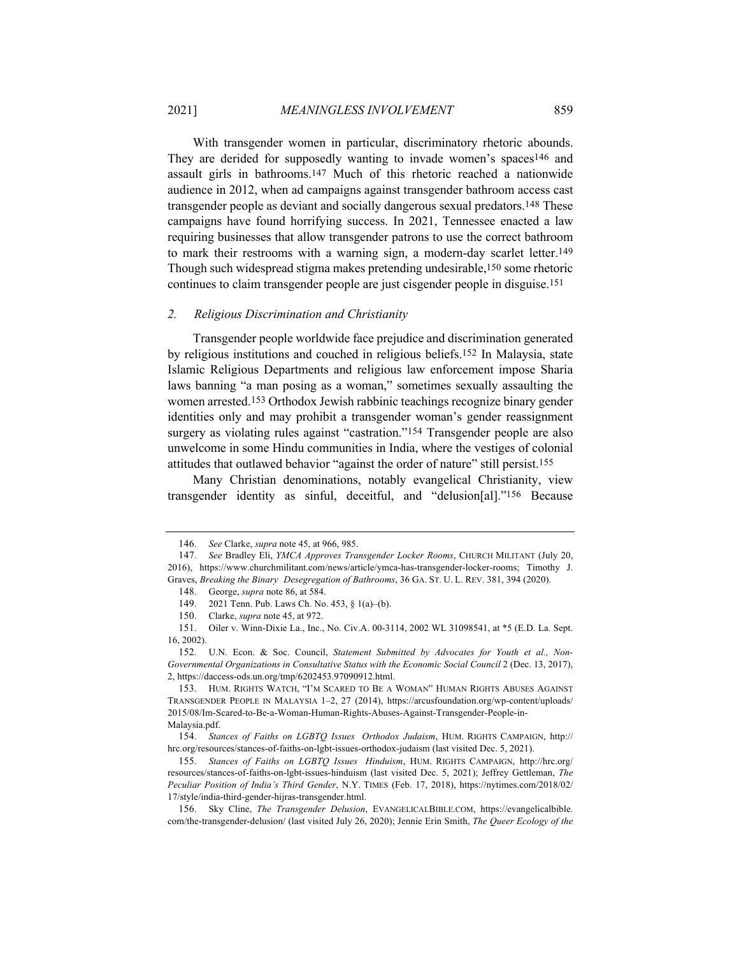With transgender women in particular, discriminatory rhetoric abounds. They are derided for supposedly wanting to invade women's spaces146 and assault girls in bathrooms.147 Much of this rhetoric reached a nationwide audience in 2012, when ad campaigns against transgender bathroom access cast transgender people as deviant and socially dangerous sexual predators.148 These campaigns have found horrifying success. In 2021, Tennessee enacted a law requiring businesses that allow transgender patrons to use the correct bathroom to mark their restrooms with a warning sign, a modern-day scarlet letter.149 Though such widespread stigma makes pretending undesirable,150 some rhetoric

#### continues to claim transgender people are just cisgender people in disguise.151

#### *2. Religious Discrimination and Christianity*

Transgender people worldwide face prejudice and discrimination generated by religious institutions and couched in religious beliefs.152 In Malaysia, state Islamic Religious Departments and religious law enforcement impose Sharia laws banning "a man posing as a woman," sometimes sexually assaulting the women arrested.153 Orthodox Jewish rabbinic teachings recognize binary gender identities only and may prohibit a transgender woman's gender reassignment surgery as violating rules against "castration."<sup>154</sup> Transgender people are also unwelcome in some Hindu communities in India, where the vestiges of colonial attitudes that outlawed behavior "against the order of nature" still persist.155

Many Christian denominations, notably evangelical Christianity, view transgender identity as sinful, deceitful, and "delusion[al]."156 Because

<sup>146.</sup> *See* Clarke, *supra* note 45, at 966, 985.

<sup>147.</sup> *See* Bradley Eli, *YMCA Approves Transgender Locker Rooms*, CHURCH MILITANT (July 20, 2016), https://www.churchmilitant.com/news/article/ymca-has-transgender-locker-rooms; Timothy J. Graves, *Breaking the Binary Desegregation of Bathrooms*, 36 GA. ST. U. L. REV. 381, 394 (2020).

<sup>148.</sup> George, *supra* note 86, at 584.

<sup>149. 2021</sup> Tenn. Pub. Laws Ch. No. 453, § 1(a)–(b).

<sup>150.</sup> Clarke, *supra* note 45, at 972.

<sup>151.</sup> Oiler v. Winn-Dixie La., Inc., No. Civ.A. 00-3114, 2002 WL 31098541, at \*5 (E.D. La. Sept. 16, 2002).

<sup>152.</sup> U.N. Econ. & Soc. Council, *Statement Submitted by Advocates for Youth et al., Non-Governmental Organizations in Consultative Status with the Economic Social Council* 2 (Dec. 13, 2017), 2, https://daccess-ods.un.org/tmp/6202453.97090912.html.

<sup>153.</sup> HUM. RIGHTS WATCH, "I'M SCARED TO BE A WOMAN" HUMAN RIGHTS ABUSES AGAINST TRANSGENDER PEOPLE IN MALAYSIA 1–2, 27 (2014), https://arcusfoundation.org/wp-content/uploads/ 2015/08/Im-Scared-to-Be-a-Woman-Human-Rights-Abuses-Against-Transgender-People-in-Malaysia.pdf.

<sup>154.</sup> *Stances of Faiths on LGBTQ Issues Orthodox Judaism*, HUM. RIGHTS CAMPAIGN, http:// hrc.org/resources/stances-of-faiths-on-lgbt-issues-orthodox-judaism (last visited Dec. 5, 2021).

<sup>155.</sup> *Stances of Faiths on LGBTQ Issues Hinduism*, HUM. RIGHTS CAMPAIGN, http://hrc.org/ resources/stances-of-faiths-on-lgbt-issues-hinduism (last visited Dec. 5, 2021); Jeffrey Gettleman, *The Peculiar Position of India's Third Gender*, N.Y. TIMES (Feb. 17, 2018), https://nytimes.com/2018/02/ 17/style/india-third-gender-hijras-transgender.html.

<sup>156.</sup> Sky Cline, *The Transgender Delusion*, EVANGELICALBIBLE.COM, https://evangelicalbible. com/the-transgender-delusion/ (last visited July 26, 2020); Jennie Erin Smith, *The Queer Ecology of the*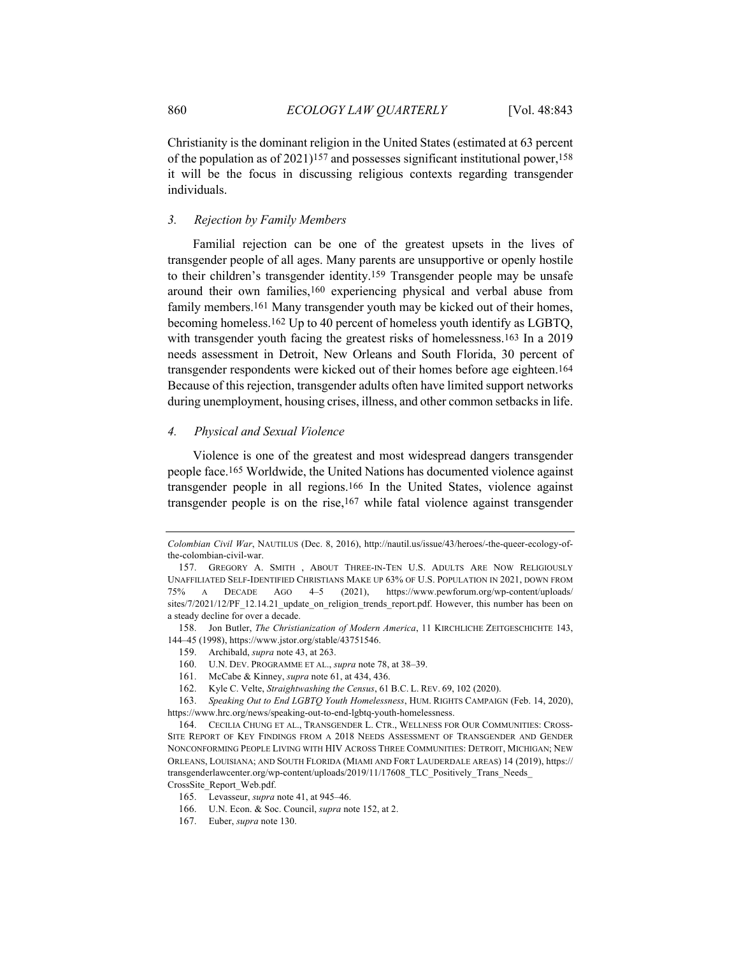Christianity is the dominant religion in the United States (estimated at 63 percent of the population as of 2021)157 and possesses significant institutional power,158 it will be the focus in discussing religious contexts regarding transgender individuals.

## *3. Rejection by Family Members*

Familial rejection can be one of the greatest upsets in the lives of transgender people of all ages. Many parents are unsupportive or openly hostile to their children's transgender identity.159 Transgender people may be unsafe around their own families,160 experiencing physical and verbal abuse from family members.161 Many transgender youth may be kicked out of their homes, becoming homeless.162 Up to 40 percent of homeless youth identify as LGBTQ, with transgender youth facing the greatest risks of homelessness.<sup>163</sup> In a 2019 needs assessment in Detroit, New Orleans and South Florida, 30 percent of transgender respondents were kicked out of their homes before age eighteen.164 Because of this rejection, transgender adults often have limited support networks during unemployment, housing crises, illness, and other common setbacks in life.

# *4. Physical and Sexual Violence*

Violence is one of the greatest and most widespread dangers transgender people face.165 Worldwide, the United Nations has documented violence against transgender people in all regions.166 In the United States, violence against transgender people is on the rise,<sup>167</sup> while fatal violence against transgender

CrossSite\_Report\_Web.pdf.

*Colombian Civil War*, NAUTILUS (Dec. 8, 2016), http://nautil.us/issue/43/heroes/-the-queer-ecology-ofthe-colombian-civil-war.

<sup>157.</sup> GREGORY A. SMITH , ABOUT THREE-IN-TEN U.S. ADULTS ARE NOW RELIGIOUSLY UNAFFILIATED SELF-IDENTIFIED CHRISTIANS MAKE UP 63% OF U.S. POPULATION IN 2021, DOWN FROM 75% A DECADE AGO 4–5 (2021), https://www.pewforum.org/wp-content/uploads/ sites/7/2021/12/PF\_12.14.21\_update\_on\_religion\_trends\_report.pdf. However, this number has been on a steady decline for over a decade.

<sup>158.</sup> Jon Butler, *The Christianization of Modern America*, 11 KIRCHLICHE ZEITGESCHICHTE 143, 144–45 (1998), https://www.jstor.org/stable/43751546.

<sup>159.</sup> Archibald, *supra* note 43, at 263.

<sup>160.</sup> U.N. DEV. PROGRAMME ET AL., *supra* note 78, at 38–39.

<sup>161.</sup> McCabe & Kinney, *supra* note 61, at 434, 436.

<sup>162.</sup> Kyle C. Velte, *Straightwashing the Census*, 61 B.C. L. REV. 69, 102 (2020).

<sup>163.</sup> *Speaking Out to End LGBTQ Youth Homelessness*, HUM. RIGHTS CAMPAIGN (Feb. 14, 2020), https://www.hrc.org/news/speaking-out-to-end-lgbtq-youth-homelessness.

<sup>164.</sup> CECILIA CHUNG ET AL., TRANSGENDER L. CTR., WELLNESS FOR OUR COMMUNITIES: CROSS-SITE REPORT OF KEY FINDINGS FROM A 2018 NEEDS ASSESSMENT OF TRANSGENDER AND GENDER NONCONFORMING PEOPLE LIVING WITH HIV ACROSS THREE COMMUNITIES: DETROIT, MICHIGAN; NEW ORLEANS, LOUISIANA; AND SOUTH FLORIDA (MIAMI AND FORT LAUDERDALE AREAS) 14 (2019), https:// transgenderlawcenter.org/wp-content/uploads/2019/11/17608\_TLC\_Positively\_Trans\_Needs

<sup>165.</sup> Levasseur, *supra* note 41, at 945–46.

<sup>166.</sup> U.N. Econ. & Soc. Council, *supra* note 152, at 2.

<sup>167.</sup> Euber, *supra* note 130.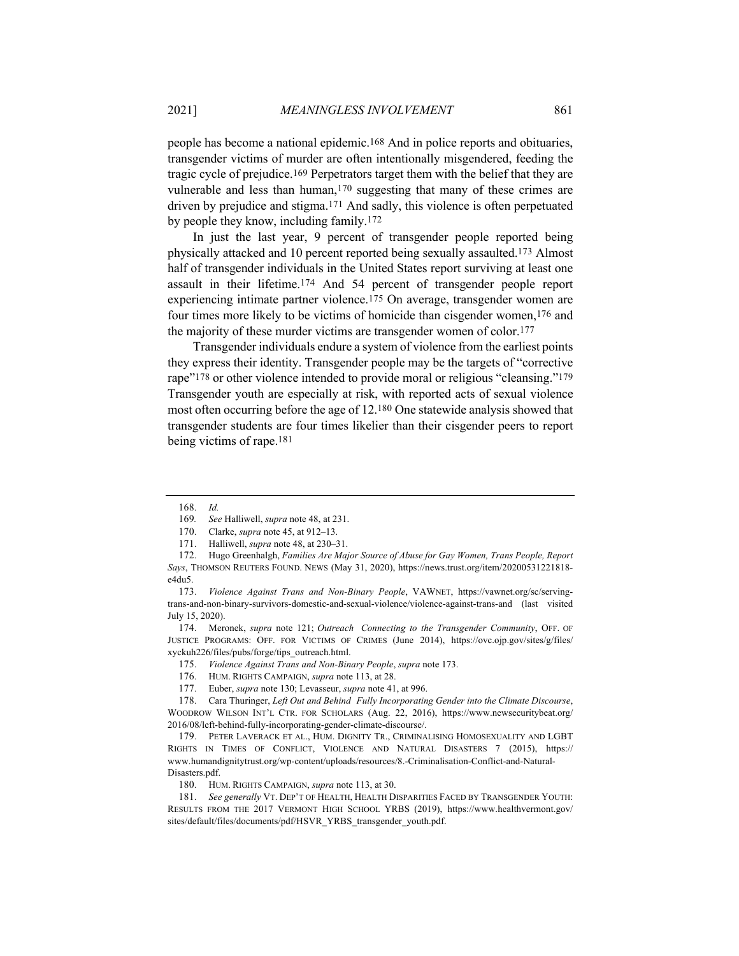people has become a national epidemic.168 And in police reports and obituaries, transgender victims of murder are often intentionally misgendered, feeding the tragic cycle of prejudice.169 Perpetrators target them with the belief that they are vulnerable and less than human,170 suggesting that many of these crimes are driven by prejudice and stigma.171 And sadly, this violence is often perpetuated by people they know, including family.172

In just the last year, 9 percent of transgender people reported being physically attacked and 10 percent reported being sexually assaulted.173 Almost half of transgender individuals in the United States report surviving at least one assault in their lifetime.174 And 54 percent of transgender people report experiencing intimate partner violence.175 On average, transgender women are four times more likely to be victims of homicide than cisgender women,176 and the majority of these murder victims are transgender women of color.177

Transgender individuals endure a system of violence from the earliest points they express their identity. Transgender people may be the targets of "corrective rape"178 or other violence intended to provide moral or religious "cleansing."179 Transgender youth are especially at risk, with reported acts of sexual violence most often occurring before the age of 12.180 One statewide analysis showed that transgender students are four times likelier than their cisgender peers to report being victims of rape.181

<sup>168.</sup> *Id.*

<sup>169</sup>*. See* Halliwell, *supra* note 48, at 231.

<sup>170.</sup> Clarke, *supra* note 45, at 912–13.

<sup>171.</sup> Halliwell, *supra* note 48, at 230–31.

<sup>172.</sup> Hugo Greenhalgh, *Families Are Major Source of Abuse for Gay Women, Trans People, Report Says*, THOMSON REUTERS FOUND. NEWS (May 31, 2020), https://news.trust.org/item/20200531221818 e4du5.

<sup>173.</sup> *Violence Against Trans and Non-Binary People*, VAWNET, https://vawnet.org/sc/servingtrans-and-non-binary-survivors-domestic-and-sexual-violence/violence-against-trans-and (last visited July 15, 2020).

<sup>174.</sup> Meronek, *supra* note 121; *Outreach Connecting to the Transgender Community*, OFF. OF JUSTICE PROGRAMS: OFF. FOR VICTIMS OF CRIMES (June 2014), https://ovc.ojp.gov/sites/g/files/ xyckuh226/files/pubs/forge/tips\_outreach.html.

<sup>175.</sup> *Violence Against Trans and Non-Binary People*, *supra* note 173.

<sup>176.</sup> HUM. RIGHTS CAMPAIGN, *supra* note 113, at 28.

<sup>177.</sup> Euber, *supra* note 130; Levasseur, *supra* note 41, at 996.

<sup>178.</sup> Cara Thuringer, *Left Out and Behind Fully Incorporating Gender into the Climate Discourse*, WOODROW WILSON INT'L CTR. FOR SCHOLARS (Aug. 22, 2016), https://www.newsecuritybeat.org/ 2016/08/left-behind-fully-incorporating-gender-climate-discourse/.

<sup>179.</sup> PETER LAVERACK ET AL., HUM. DIGNITY TR., CRIMINALISING HOMOSEXUALITY AND LGBT RIGHTS IN TIMES OF CONFLICT, VIOLENCE AND NATURAL DISASTERS 7 (2015), https:// www.humandignitytrust.org/wp-content/uploads/resources/8.-Criminalisation-Conflict-and-Natural-Disasters.pdf.

<sup>180.</sup> HUM. RIGHTS CAMPAIGN, *supra* note 113, at 30.

<sup>181.</sup> *See generally* VT. DEP'T OF HEALTH, HEALTH DISPARITIES FACED BY TRANSGENDER YOUTH: RESULTS FROM THE 2017 VERMONT HIGH SCHOOL YRBS (2019), https://www.healthvermont.gov/ sites/default/files/documents/pdf/HSVR\_YRBS\_transgender\_youth.pdf.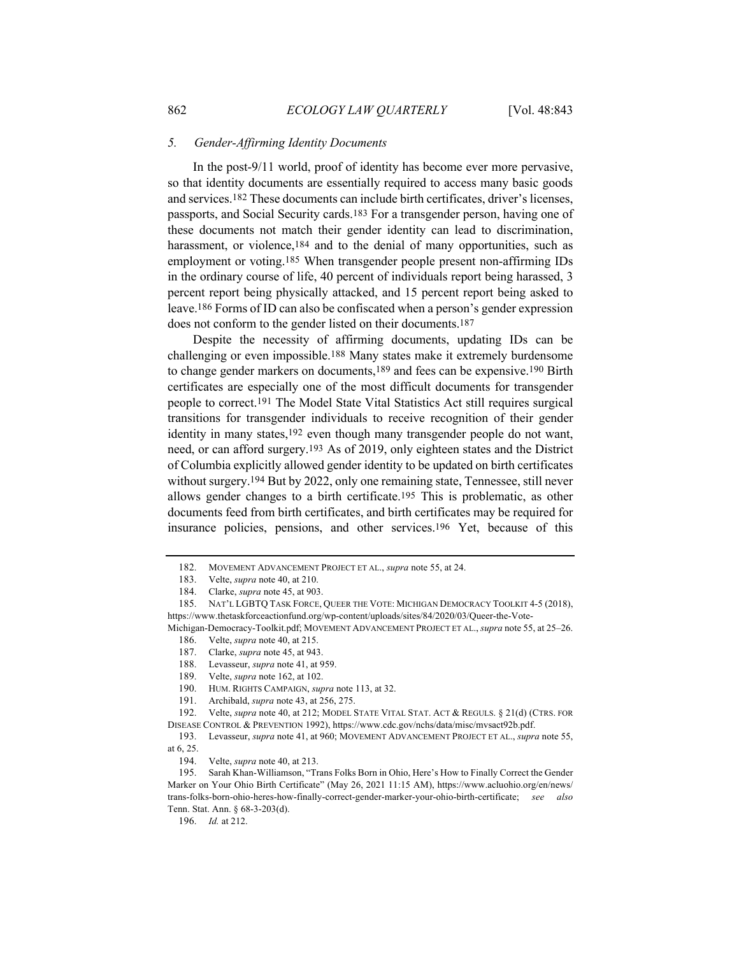#### *5. Gender-Affirming Identity Documents*

In the post-9/11 world, proof of identity has become ever more pervasive, so that identity documents are essentially required to access many basic goods and services.182 These documents can include birth certificates, driver's licenses, passports, and Social Security cards.183 For a transgender person, having one of these documents not match their gender identity can lead to discrimination, harassment, or violence,<sup>184</sup> and to the denial of many opportunities, such as employment or voting.185 When transgender people present non-affirming IDs in the ordinary course of life, 40 percent of individuals report being harassed, 3 percent report being physically attacked, and 15 percent report being asked to leave.186 Forms of ID can also be confiscated when a person's gender expression does not conform to the gender listed on their documents.187

Despite the necessity of affirming documents, updating IDs can be challenging or even impossible.188 Many states make it extremely burdensome to change gender markers on documents,189 and fees can be expensive.190 Birth certificates are especially one of the most difficult documents for transgender people to correct.191 The Model State Vital Statistics Act still requires surgical transitions for transgender individuals to receive recognition of their gender identity in many states,<sup>192</sup> even though many transgender people do not want, need, or can afford surgery.193 As of 2019, only eighteen states and the District of Columbia explicitly allowed gender identity to be updated on birth certificates without surgery.<sup>194</sup> But by 2022, only one remaining state, Tennessee, still never allows gender changes to a birth certificate.195 This is problematic, as other documents feed from birth certificates, and birth certificates may be required for insurance policies, pensions, and other services.196 Yet, because of this

<sup>182.</sup> MOVEMENT ADVANCEMENT PROJECT ET AL., *supra* note 55, at 24.

<sup>183.</sup> Velte, *supra* note 40, at 210.

<sup>184.</sup> Clarke, *supra* note 45, at 903.

<sup>185.</sup> NAT'L LGBTQ TASK FORCE, QUEER THE VOTE: MICHIGAN DEMOCRACY TOOLKIT 4-5 (2018), https://www.thetaskforceactionfund.org/wp-content/uploads/sites/84/2020/03/Queer-the-Vote-

Michigan-Democracy-Toolkit.pdf; MOVEMENT ADVANCEMENT PROJECT ET AL., *supra* note 55, at 25–26. 186. Velte, *supra* note 40, at 215.

<sup>187.</sup> Clarke, *supra* note 45, at 943.

<sup>188.</sup> Levasseur, *supra* note 41, at 959.

<sup>189.</sup> Velte, *supra* note 162, at 102.

<sup>190.</sup> HUM. RIGHTS CAMPAIGN, *supra* note 113, at 32.

<sup>191.</sup> Archibald, *supra* note 43, at 256, 275.

<sup>192.</sup> Velte, *supra* note 40, at 212; MODEL STATE VITAL STAT. ACT & REGULS. § 21(d) (CTRS. FOR DISEASE CONTROL & PREVENTION 1992), https://www.cdc.gov/nchs/data/misc/mvsact92b.pdf.

<sup>193.</sup> Levasseur, *supra* note 41, at 960; MOVEMENT ADVANCEMENT PROJECT ET AL., *supra* note 55, at 6, 25.

<sup>194.</sup> Velte, *supra* note 40, at 213.

<sup>195.</sup> Sarah Khan-Williamson, "Trans Folks Born in Ohio, Here's How to Finally Correct the Gender Marker on Your Ohio Birth Certificate" (May 26, 2021 11:15 AM), https://www.acluohio.org/en/news/ trans-folks-born-ohio-heres-how-finally-correct-gender-marker-your-ohio-birth-certificate; *see also*  Tenn. Stat. Ann. § 68-3-203(d).

<sup>196.</sup> *Id.* at 212.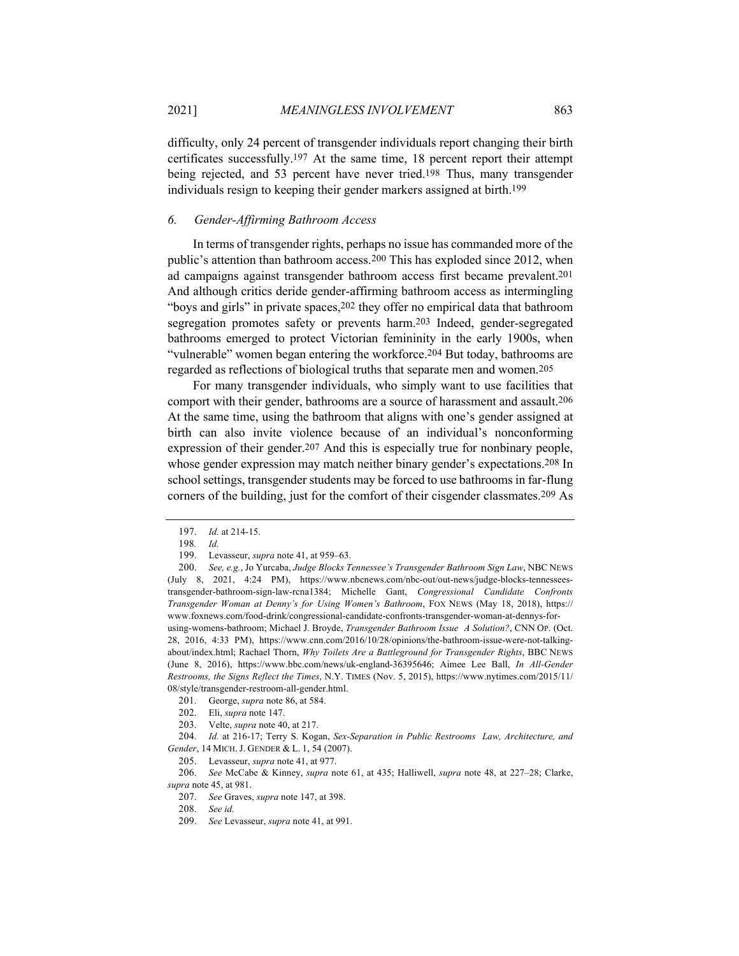difficulty, only 24 percent of transgender individuals report changing their birth certificates successfully.197 At the same time, 18 percent report their attempt being rejected, and 53 percent have never tried.<sup>198</sup> Thus, many transgender individuals resign to keeping their gender markers assigned at birth.199

# *6. Gender-Affirming Bathroom Access*

In terms of transgender rights, perhaps no issue has commanded more of the public's attention than bathroom access.200 This has exploded since 2012, when ad campaigns against transgender bathroom access first became prevalent.201 And although critics deride gender-affirming bathroom access as intermingling "boys and girls" in private spaces,202 they offer no empirical data that bathroom segregation promotes safety or prevents harm.203 Indeed, gender-segregated bathrooms emerged to protect Victorian femininity in the early 1900s, when "vulnerable" women began entering the workforce.204 But today, bathrooms are regarded as reflections of biological truths that separate men and women.205

For many transgender individuals, who simply want to use facilities that comport with their gender, bathrooms are a source of harassment and assault.206 At the same time, using the bathroom that aligns with one's gender assigned at birth can also invite violence because of an individual's nonconforming expression of their gender.207 And this is especially true for nonbinary people, whose gender expression may match neither binary gender's expectations.208 In school settings, transgender students may be forced to use bathrooms in far-flung corners of the building, just for the comfort of their cisgender classmates.209 As

204. *Id.* at 216-17; Terry S. Kogan, *Sex-Separation in Public Restrooms Law, Architecture, and Gender*, 14 MICH. J. GENDER & L. 1, 54 (2007).

205. Levasseur, *supra* note 41, at 977.

206. *See* McCabe & Kinney, *supra* note 61, at 435; Halliwell, *supra* note 48, at 227–28; Clarke, *supra* note 45, at 981.

<sup>197.</sup> *Id.* at 214-15.

<sup>198</sup>*. Id.* 

<sup>199.</sup> Levasseur, *supra* note 41, at 959–63.

<sup>200.</sup> *See, e.g.*, Jo Yurcaba, *Judge Blocks Tennessee's Transgender Bathroom Sign Law*, NBC NEWS (July 8, 2021, 4:24 PM), https://www.nbcnews.com/nbc-out/out-news/judge-blocks-tennesseestransgender-bathroom-sign-law-rcna1384; Michelle Gant, *Congressional Candidate Confronts Transgender Woman at Denny's for Using Women's Bathroom*, FOX NEWS (May 18, 2018), https:// www.foxnews.com/food-drink/congressional-candidate-confronts-transgender-woman-at-dennys-forusing-womens-bathroom; Michael J. Broyde, *Transgender Bathroom Issue A Solution?*, CNN OP. (Oct. 28, 2016, 4:33 PM), https://www.cnn.com/2016/10/28/opinions/the-bathroom-issue-were-not-talkingabout/index.html; Rachael Thorn, *Why Toilets Are a Battleground for Transgender Rights*, BBC NEWS (June 8, 2016), https://www.bbc.com/news/uk-england-36395646; Aimee Lee Ball, *In All-Gender Restrooms, the Signs Reflect the Times*, N.Y. TIMES (Nov. 5, 2015), https://www.nytimes.com/2015/11/ 08/style/transgender-restroom-all-gender.html.

<sup>201.</sup> George, *supra* note 86, at 584.

<sup>202.</sup> Eli, *supra* note 147.

<sup>203.</sup> Velte, *supra* note 40, at 217.

<sup>207.</sup> *See* Graves, *supra* note 147, at 398.

<sup>208.</sup> *See id.*

<sup>209.</sup> *See* Levasseur, *supra* note 41, at 991.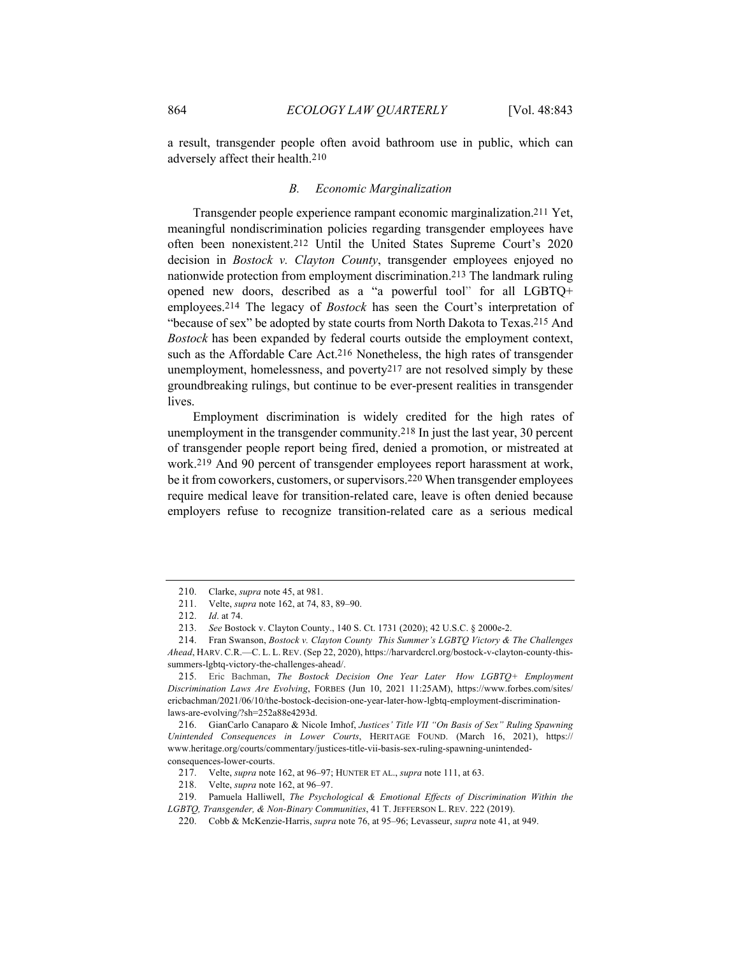a result, transgender people often avoid bathroom use in public, which can adversely affect their health.210

## *B. Economic Marginalization*

Transgender people experience rampant economic marginalization.211 Yet, meaningful nondiscrimination policies regarding transgender employees have often been nonexistent.212 Until the United States Supreme Court's 2020 decision in *Bostock v. Clayton County*, transgender employees enjoyed no nationwide protection from employment discrimination.213 The landmark ruling opened new doors, described as a "a powerful tool" for all LGBTQ+ employees.214 The legacy of *Bostock* has seen the Court's interpretation of "because of sex" be adopted by state courts from North Dakota to Texas.215 And *Bostock* has been expanded by federal courts outside the employment context, such as the Affordable Care Act.216 Nonetheless, the high rates of transgender unemployment, homelessness, and poverty217 are not resolved simply by these groundbreaking rulings, but continue to be ever-present realities in transgender lives.

Employment discrimination is widely credited for the high rates of unemployment in the transgender community.218 In just the last year, 30 percent of transgender people report being fired, denied a promotion, or mistreated at work.219 And 90 percent of transgender employees report harassment at work, be it from coworkers, customers, or supervisors.220 When transgender employees require medical leave for transition-related care, leave is often denied because employers refuse to recognize transition-related care as a serious medical

<sup>210.</sup> Clarke, *supra* note 45, at 981.

<sup>211.</sup> Velte, *supra* note 162, at 74, 83, 89–90.

<sup>212.</sup> *Id*. at 74.

<sup>213.</sup> *See* Bostock v. Clayton County., 140 S. Ct. 1731 (2020); 42 U.S.C. § 2000e-2.

<sup>214.</sup> Fran Swanson, *Bostock v. Clayton County This Summer's LGBTQ Victory & The Challenges Ahead*, HARV. C.R.—C. L. L. REV. (Sep 22, 2020), https://harvardcrcl.org/bostock-v-clayton-county-thissummers-lgbtq-victory-the-challenges-ahead/.

<sup>215.</sup> Eric Bachman, *The Bostock Decision One Year Later How LGBTQ+ Employment Discrimination Laws Are Evolving*, FORBES (Jun 10, 2021 11:25AM), https://www.forbes.com/sites/ ericbachman/2021/06/10/the-bostock-decision-one-year-later-how-lgbtq-employment-discriminationlaws-are-evolving/?sh=252a88e4293d.

<sup>216.</sup> GianCarlo Canaparo & Nicole Imhof, *Justices' Title VII "On Basis of Sex" Ruling Spawning Unintended Consequences in Lower Courts*, HERITAGE FOUND. (March 16, 2021), https:// www.heritage.org/courts/commentary/justices-title-vii-basis-sex-ruling-spawning-unintendedconsequences-lower-courts.

<sup>217.</sup> Velte, *supra* note 162, at 96–97; HUNTER ET AL., *supra* note 111, at 63.

<sup>218.</sup> Velte, *supra* note 162, at 96–97.

<sup>219.</sup> Pamuela Halliwell, *The Psychological & Emotional Effects of Discrimination Within the LGBTQ, Transgender, & Non-Binary Communities*, 41 T. JEFFERSON L. REV. 222 (2019).

<sup>220.</sup> Cobb & McKenzie-Harris, *supra* note 76, at 95–96; Levasseur, *supra* note 41, at 949.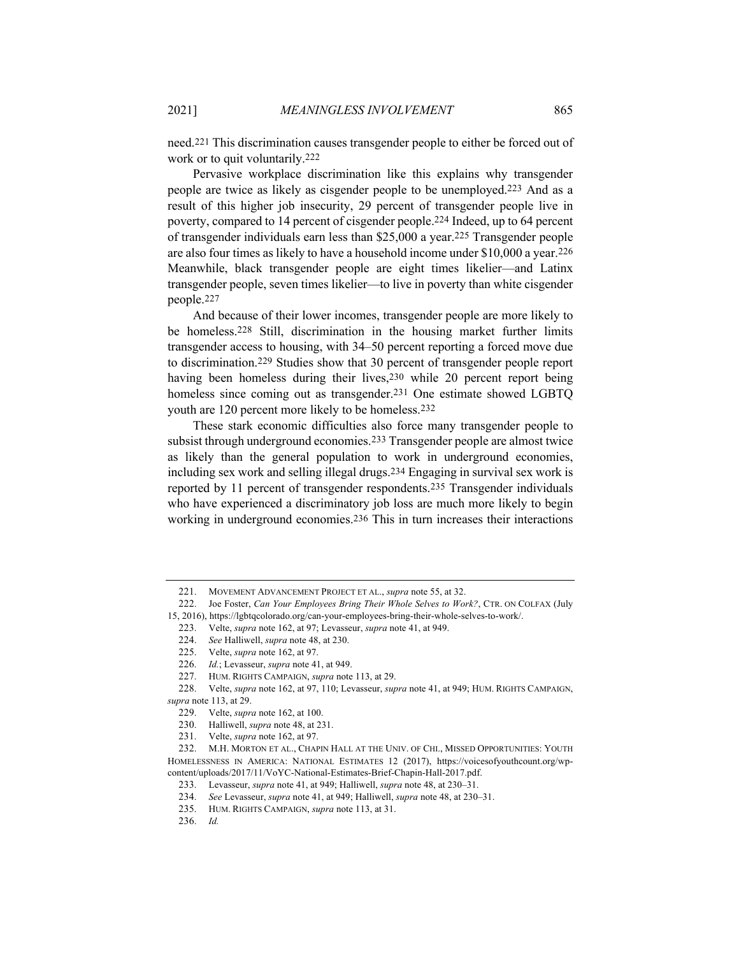need.221 This discrimination causes transgender people to either be forced out of work or to quit voluntarily.222

Pervasive workplace discrimination like this explains why transgender people are twice as likely as cisgender people to be unemployed.223 And as a result of this higher job insecurity, 29 percent of transgender people live in poverty, compared to 14 percent of cisgender people.224 Indeed, up to 64 percent of transgender individuals earn less than \$25,000 a year.225 Transgender people are also four times as likely to have a household income under \$10,000 a year.226 Meanwhile, black transgender people are eight times likelier—and Latinx transgender people, seven times likelier—to live in poverty than white cisgender people.227

And because of their lower incomes, transgender people are more likely to be homeless.228 Still, discrimination in the housing market further limits transgender access to housing, with 34–50 percent reporting a forced move due to discrimination.229 Studies show that 30 percent of transgender people report having been homeless during their lives, 230 while 20 percent report being homeless since coming out as transgender.231 One estimate showed LGBTQ youth are 120 percent more likely to be homeless.232

These stark economic difficulties also force many transgender people to subsist through underground economies.233 Transgender people are almost twice as likely than the general population to work in underground economies, including sex work and selling illegal drugs.234 Engaging in survival sex work is reported by 11 percent of transgender respondents.235 Transgender individuals who have experienced a discriminatory job loss are much more likely to begin working in underground economies.236 This in turn increases their interactions

<sup>221.</sup> MOVEMENT ADVANCEMENT PROJECT ET AL., *supra* note 55, at 32.

<sup>222.</sup> Joe Foster, *Can Your Employees Bring Their Whole Selves to Work?*, CTR. ON COLFAX (July 15, 2016), https://lgbtqcolorado.org/can-your-employees-bring-their-whole-selves-to-work/.

<sup>223.</sup> Velte, *supra* note 162, at 97; Levasseur, *supra* note 41, at 949.

<sup>224.</sup> *See* Halliwell, *supra* note 48, at 230.

<sup>225.</sup> Velte, *supra* note 162, at 97.

<sup>226.</sup> *Id.*; Levasseur, *supra* note 41, at 949.

<sup>227.</sup> HUM. RIGHTS CAMPAIGN, *supra* note 113, at 29.

<sup>228.</sup> Velte, *supra* note 162, at 97, 110; Levasseur, *supra* note 41, at 949; HUM. RIGHTS CAMPAIGN, *supra* note 113, at 29.

<sup>229.</sup> Velte, *supra* note 162, at 100.

<sup>230.</sup> Halliwell, *supra* note 48, at 231.

<sup>231.</sup> Velte, *supra* note 162, at 97.

<sup>232.</sup> M.H. MORTON ET AL., CHAPIN HALL AT THE UNIV. OF CHI., MISSED OPPORTUNITIES: YOUTH HOMELESSNESS IN AMERICA: NATIONAL ESTIMATES 12 (2017), https://voicesofyouthcount.org/wpcontent/uploads/2017/11/VoYC-National-Estimates-Brief-Chapin-Hall-2017.pdf.

<sup>233.</sup> Levasseur, *supra* note 41, at 949; Halliwell, *supra* note 48, at 230–31.

<sup>234.</sup> *See* Levasseur, *supra* note 41, at 949; Halliwell, *supra* note 48, at 230–31.

<sup>235.</sup> HUM. RIGHTS CAMPAIGN, *supra* note 113, at 31.

<sup>236.</sup> *Id.*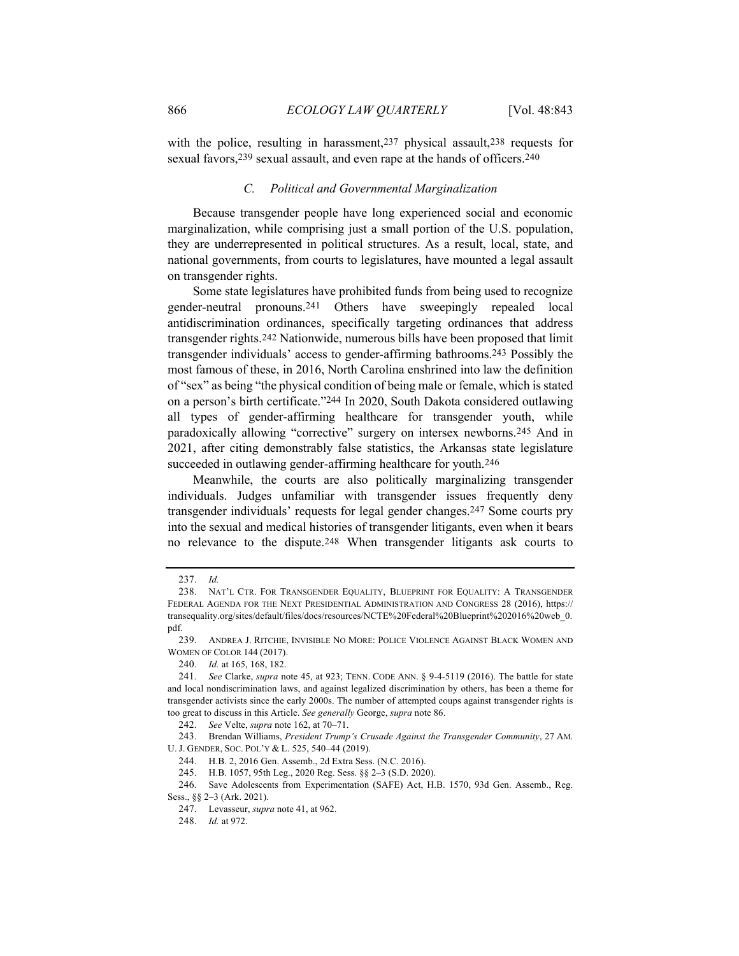with the police, resulting in harassment, 237 physical assault, 238 requests for sexual favors, 239 sexual assault, and even rape at the hands of officers. 240

## *C. Political and Governmental Marginalization*

Because transgender people have long experienced social and economic marginalization, while comprising just a small portion of the U.S. population, they are underrepresented in political structures. As a result, local, state, and national governments, from courts to legislatures, have mounted a legal assault on transgender rights.

Some state legislatures have prohibited funds from being used to recognize gender-neutral pronouns.241 Others have sweepingly repealed local antidiscrimination ordinances, specifically targeting ordinances that address transgender rights.242 Nationwide, numerous bills have been proposed that limit transgender individuals' access to gender-affirming bathrooms.243 Possibly the most famous of these, in 2016, North Carolina enshrined into law the definition of "sex" as being "the physical condition of being male or female, which is stated on a person's birth certificate."244 In 2020, South Dakota considered outlawing all types of gender-affirming healthcare for transgender youth, while paradoxically allowing "corrective" surgery on intersex newborns.245 And in 2021, after citing demonstrably false statistics, the Arkansas state legislature succeeded in outlawing gender-affirming healthcare for youth.246

Meanwhile, the courts are also politically marginalizing transgender individuals. Judges unfamiliar with transgender issues frequently deny transgender individuals' requests for legal gender changes.247 Some courts pry into the sexual and medical histories of transgender litigants, even when it bears no relevance to the dispute.248 When transgender litigants ask courts to

<sup>237.</sup> *Id.* 

<sup>238.</sup> NAT'L CTR. FOR TRANSGENDER EQUALITY, BLUEPRINT FOR EQUALITY: A TRANSGENDER FEDERAL AGENDA FOR THE NEXT PRESIDENTIAL ADMINISTRATION AND CONGRESS 28 (2016), https:// transequality.org/sites/default/files/docs/resources/NCTE%20Federal%20Blueprint%202016%20web\_0. pdf.

<sup>239.</sup> ANDREA J. RITCHIE, INVISIBLE NO MORE: POLICE VIOLENCE AGAINST BLACK WOMEN AND WOMEN OF COLOR 144 (2017).

<sup>240.</sup> *Id.* at 165, 168, 182.

<sup>241.</sup> *See* Clarke, *supra* note 45, at 923; TENN. CODE ANN. § 9-4-5119 (2016). The battle for state and local nondiscrimination laws, and against legalized discrimination by others, has been a theme for transgender activists since the early 2000s. The number of attempted coups against transgender rights is too great to discuss in this Article. *See generally* George, *supra* note 86.

<sup>242.</sup> *See* Velte, *supra* note 162, at 70–71.

<sup>243.</sup> Brendan Williams, *President Trump's Crusade Against the Transgender Community*, 27 AM. U. J. GENDER, SOC. POL'Y & L. 525, 540–44 (2019).

<sup>244.</sup> H.B. 2, 2016 Gen. Assemb., 2d Extra Sess. (N.C. 2016).

<sup>245.</sup> H.B. 1057, 95th Leg., 2020 Reg. Sess. §§ 2–3 (S.D. 2020).

<sup>246.</sup> Save Adolescents from Experimentation (SAFE) Act, H.B. 1570, 93d Gen. Assemb., Reg. Sess., §§ 2–3 (Ark. 2021).

<sup>247.</sup> Levasseur, *supra* note 41, at 962.

<sup>248.</sup> *Id.* at 972.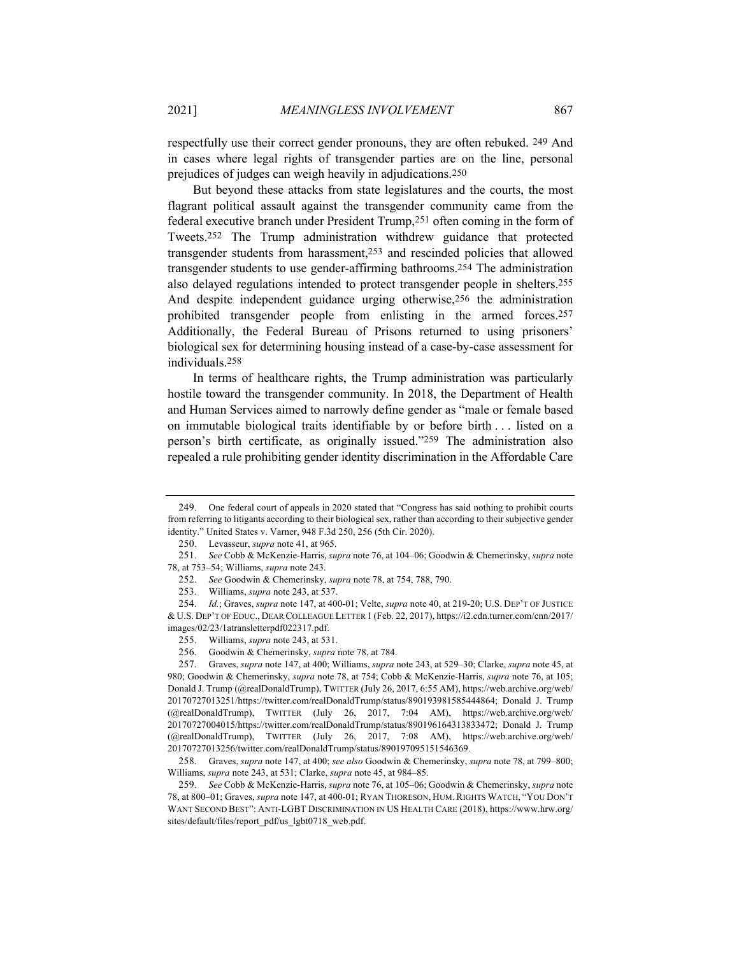respectfully use their correct gender pronouns, they are often rebuked. 249 And in cases where legal rights of transgender parties are on the line, personal prejudices of judges can weigh heavily in adjudications.250

But beyond these attacks from state legislatures and the courts, the most flagrant political assault against the transgender community came from the federal executive branch under President Trump,251 often coming in the form of Tweets.252 The Trump administration withdrew guidance that protected transgender students from harassment,253 and rescinded policies that allowed transgender students to use gender-affirming bathrooms.254 The administration also delayed regulations intended to protect transgender people in shelters.255 And despite independent guidance urging otherwise,256 the administration prohibited transgender people from enlisting in the armed forces.257 Additionally, the Federal Bureau of Prisons returned to using prisoners' biological sex for determining housing instead of a case-by-case assessment for individuals.258

In terms of healthcare rights, the Trump administration was particularly hostile toward the transgender community. In 2018, the Department of Health and Human Services aimed to narrowly define gender as "male or female based on immutable biological traits identifiable by or before birth . . . listed on a person's birth certificate, as originally issued."259 The administration also repealed a rule prohibiting gender identity discrimination in the Affordable Care

<sup>249.</sup> One federal court of appeals in 2020 stated that "Congress has said nothing to prohibit courts from referring to litigants according to their biological sex, rather than according to their subjective gender identity." United States v. Varner, 948 F.3d 250, 256 (5th Cir. 2020).

<sup>250.</sup> Levasseur, *supra* note 41, at 965.

<sup>251.</sup> *See* Cobb & McKenzie-Harris, *supra* note 76, at 104–06; Goodwin & Chemerinsky, *supra* note 78, at 753–54; Williams, *supra* note 243.

<sup>252.</sup> *See* Goodwin & Chemerinsky, *supra* note 78, at 754, 788, 790.

<sup>253.</sup> Williams, *supra* note 243, at 537.

<sup>254.</sup> *Id.*; Graves, *supra* note 147, at 400-01; Velte, *supra* note 40, at 219-20; U.S. DEP'T OF JUSTICE & U.S. DEP'T OF EDUC., DEAR COLLEAGUE LETTER 1 (Feb. 22, 2017), https://i2.cdn.turner.com/cnn/2017/ images/02/23/1atransletterpdf022317.pdf.

<sup>255.</sup> Williams, *supra* note 243, at 531.

<sup>256.</sup> Goodwin & Chemerinsky, *supra* note 78, at 784.

<sup>257.</sup> Graves, *supra* note 147, at 400; Williams, *supra* note 243, at 529–30; Clarke, *supra* note 45, at 980; Goodwin & Chemerinsky, *supra* note 78, at 754; Cobb & McKenzie-Harris, *supra* note 76, at 105; Donald J. Trump (@realDonaldTrump), TWITTER (July 26, 2017, 6:55 AM), https://web.archive.org/web/ 20170727013251/https://twitter.com/realDonaldTrump/status/890193981585444864; Donald J. Trump (@realDonaldTrump), TWITTER (July 26, 2017, 7:04 AM), https://web.archive.org/web/ 20170727004015/https://twitter.com/realDonaldTrump/status/890196164313833472; Donald J. Trump (@realDonaldTrump), TWITTER (July 26, 2017, 7:08 AM), https://web.archive.org/web/ 20170727013256/twitter.com/realDonaldTrump/status/890197095151546369.

<sup>258.</sup> Graves, *supra* note 147, at 400; *see also* Goodwin & Chemerinsky, *supra* note 78, at 799–800; Williams, *supra* note 243, at 531; Clarke, *supra* note 45, at 984–85.

<sup>259.</sup> *See* Cobb & McKenzie-Harris, *supra* note 76, at 105–06; Goodwin & Chemerinsky, *supra* note 78, at 800–01; Graves, *supra* note 147, at 400-01; RYAN THORESON, HUM. RIGHTS WATCH, "YOU DON'T WANT SECOND BEST": ANTI-LGBT DISCRIMINATION IN US HEALTH CARE (2018), https://www.hrw.org/ sites/default/files/report\_pdf/us\_lgbt0718\_web.pdf.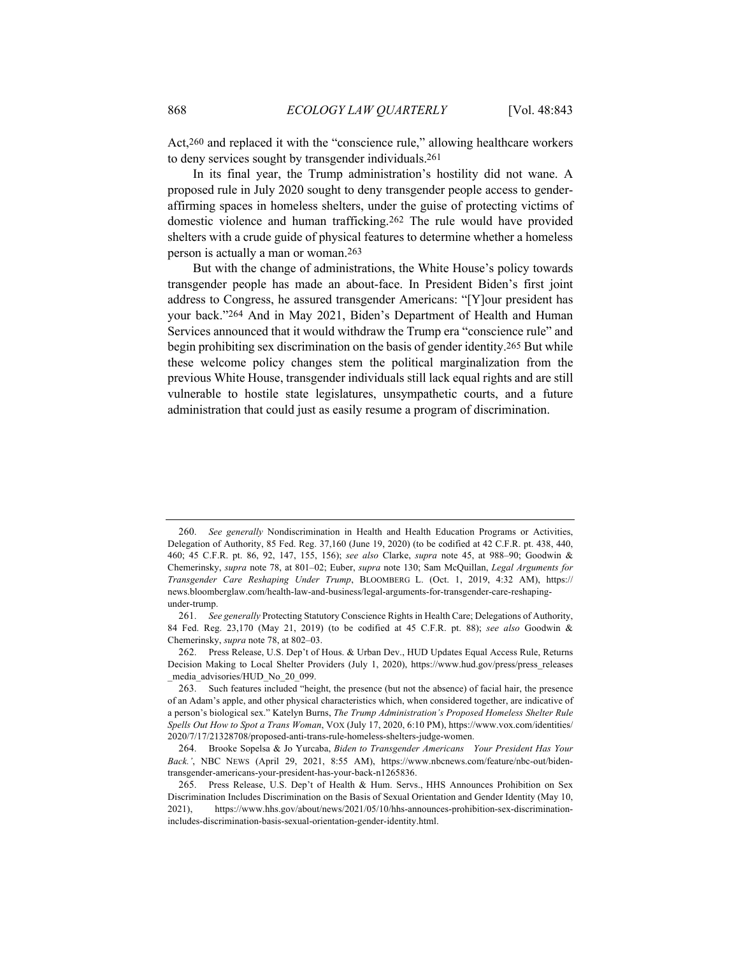Act,260 and replaced it with the "conscience rule," allowing healthcare workers to deny services sought by transgender individuals.261

In its final year, the Trump administration's hostility did not wane. A proposed rule in July 2020 sought to deny transgender people access to genderaffirming spaces in homeless shelters, under the guise of protecting victims of domestic violence and human trafficking.262 The rule would have provided shelters with a crude guide of physical features to determine whether a homeless person is actually a man or woman.263

But with the change of administrations, the White House's policy towards transgender people has made an about-face. In President Biden's first joint address to Congress, he assured transgender Americans: "[Y]our president has your back."264 And in May 2021, Biden's Department of Health and Human Services announced that it would withdraw the Trump era "conscience rule" and begin prohibiting sex discrimination on the basis of gender identity.265 But while these welcome policy changes stem the political marginalization from the previous White House, transgender individuals still lack equal rights and are still vulnerable to hostile state legislatures, unsympathetic courts, and a future administration that could just as easily resume a program of discrimination.

<sup>260.</sup> *See generally* Nondiscrimination in Health and Health Education Programs or Activities, Delegation of Authority, 85 Fed. Reg. 37,160 (June 19, 2020) (to be codified at 42 C.F.R. pt. 438, 440, 460; 45 C.F.R. pt. 86, 92, 147, 155, 156); *see also* Clarke, *supra* note 45, at 988–90; Goodwin & Chemerinsky, *supra* note 78, at 801–02; Euber, *supra* note 130; Sam McQuillan, *Legal Arguments for Transgender Care Reshaping Under Trump*, BLOOMBERG L. (Oct. 1, 2019, 4:32 AM), https:// news.bloomberglaw.com/health-law-and-business/legal-arguments-for-transgender-care-reshapingunder-trump.

<sup>261.</sup> *See generally* Protecting Statutory Conscience Rights in Health Care; Delegations of Authority, 84 Fed. Reg. 23,170 (May 21, 2019) (to be codified at 45 C.F.R. pt. 88); *see also* Goodwin & Chemerinsky, *supra* note 78, at 802–03.

<sup>262.</sup> Press Release, U.S. Dep't of Hous. & Urban Dev., HUD Updates Equal Access Rule, Returns Decision Making to Local Shelter Providers (July 1, 2020), https://www.hud.gov/press/press\_releases \_media\_advisories/HUD\_No\_20\_099.

<sup>263.</sup> Such features included "height, the presence (but not the absence) of facial hair, the presence of an Adam's apple, and other physical characteristics which, when considered together, are indicative of a person's biological sex." Katelyn Burns, *The Trump Administration's Proposed Homeless Shelter Rule Spells Out How to Spot a Trans Woman*, VOX (July 17, 2020, 6:10 PM), https://www.vox.com/identities/ 2020/7/17/21328708/proposed-anti-trans-rule-homeless-shelters-judge-women.

<sup>264.</sup> Brooke Sopelsa & Jo Yurcaba, *Biden to Transgender Americans Your President Has Your Back.'*, NBC NEWS (April 29, 2021, 8:55 AM), https://www.nbcnews.com/feature/nbc-out/bidentransgender-americans-your-president-has-your-back-n1265836.

<sup>265.</sup> Press Release, U.S. Dep't of Health & Hum. Servs., HHS Announces Prohibition on Sex Discrimination Includes Discrimination on the Basis of Sexual Orientation and Gender Identity (May 10, 2021), https://www.hhs.gov/about/news/2021/05/10/hhs-announces-prohibition-sex-discriminationincludes-discrimination-basis-sexual-orientation-gender-identity.html.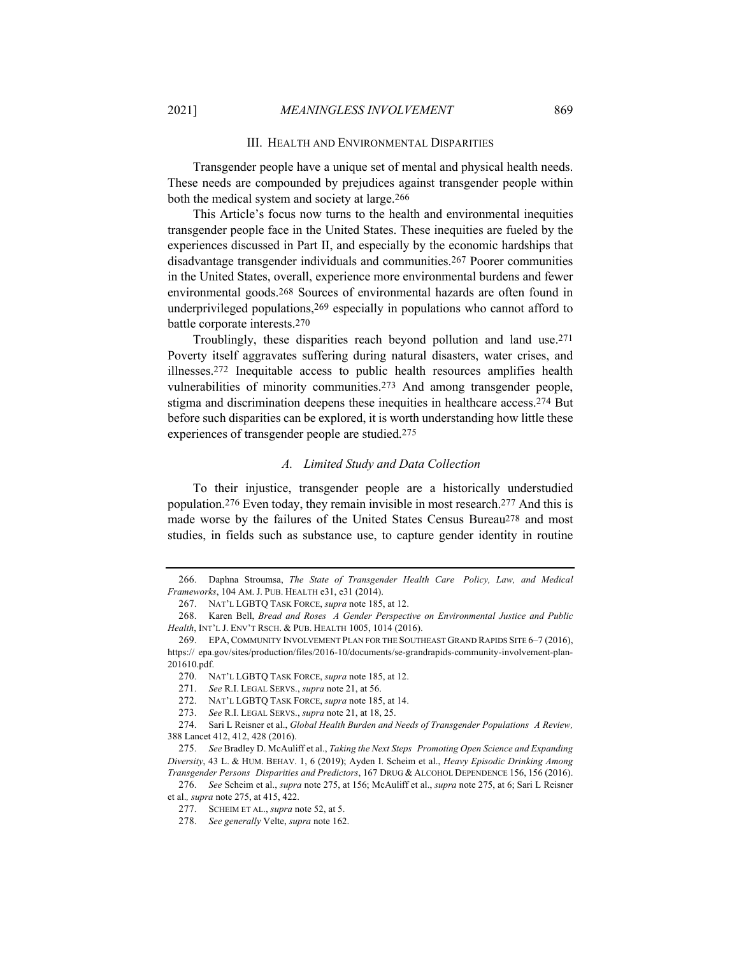#### III. HEALTH AND ENVIRONMENTAL DISPARITIES

Transgender people have a unique set of mental and physical health needs. These needs are compounded by prejudices against transgender people within both the medical system and society at large.266

This Article's focus now turns to the health and environmental inequities transgender people face in the United States. These inequities are fueled by the experiences discussed in Part II, and especially by the economic hardships that disadvantage transgender individuals and communities.267 Poorer communities in the United States, overall, experience more environmental burdens and fewer environmental goods.268 Sources of environmental hazards are often found in underprivileged populations,269 especially in populations who cannot afford to battle corporate interests.270

Troublingly, these disparities reach beyond pollution and land use.271 Poverty itself aggravates suffering during natural disasters, water crises, and illnesses.272 Inequitable access to public health resources amplifies health vulnerabilities of minority communities.273 And among transgender people, stigma and discrimination deepens these inequities in healthcare access.274 But before such disparities can be explored, it is worth understanding how little these experiences of transgender people are studied.275

#### *A. Limited Study and Data Collection*

To their injustice, transgender people are a historically understudied population.276 Even today, they remain invisible in most research.277 And this is made worse by the failures of the United States Census Bureau278 and most studies, in fields such as substance use, to capture gender identity in routine

273. *See* R.I. LEGAL SERVS., *supra* note 21, at 18, 25.

<sup>266.</sup> Daphna Stroumsa, *The State of Transgender Health Care Policy, Law, and Medical Frameworks*, 104 AM. J. PUB. HEALTH e31, e31 (2014).

<sup>267.</sup> NAT'L LGBTQ TASK FORCE, *supra* note 185, at 12.

<sup>268.</sup> Karen Bell, *Bread and Roses A Gender Perspective on Environmental Justice and Public Health*, INT'L J. ENV'T RSCH. & PUB. HEALTH 1005, 1014 (2016).

<sup>269.</sup> EPA, COMMUNITY INVOLVEMENT PLAN FOR THE SOUTHEAST GRAND RAPIDS SITE 6–7 (2016), https:// epa.gov/sites/production/files/2016-10/documents/se-grandrapids-community-involvement-plan-201610.pdf.

<sup>270.</sup> NAT'L LGBTQ TASK FORCE, *supra* note 185, at 12.

<sup>271.</sup> *See* R.I. LEGAL SERVS., *supra* note 21, at 56.

<sup>272.</sup> NAT'L LGBTQ TASK FORCE, *supra* note 185, at 14.

<sup>274.</sup> Sari L Reisner et al., *Global Health Burden and Needs of Transgender Populations A Review,* 388 Lancet 412, 412, 428 (2016).

<sup>275.</sup> *See* Bradley D. McAuliff et al., *Taking the Next Steps Promoting Open Science and Expanding Diversity*, 43 L. & HUM. BEHAV. 1, 6 (2019); Ayden I. Scheim et al., *Heavy Episodic Drinking Among Transgender Persons Disparities and Predictors*, 167 DRUG & ALCOHOL DEPENDENCE 156, 156 (2016).

<sup>276.</sup> *See* Scheim et al., *supra* note 275, at 156; McAuliff et al., *supra* note 275, at 6; Sari L Reisner et al.*, supra* note 275, at 415, 422.

<sup>277.</sup> SCHEIM ET AL., *supra* note 52, at 5.

<sup>278.</sup> *See generally* Velte, *supra* note 162.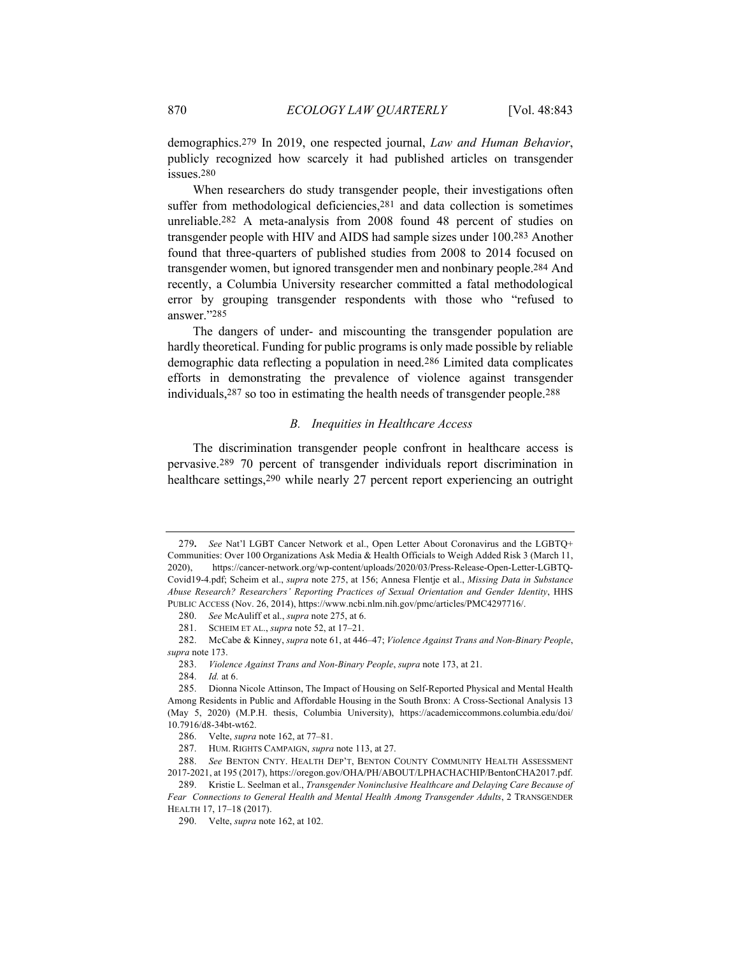demographics.279 In 2019, one respected journal, *Law and Human Behavior*, publicly recognized how scarcely it had published articles on transgender issues.280

When researchers do study transgender people, their investigations often suffer from methodological deficiencies,<sup>281</sup> and data collection is sometimes unreliable.282 A meta-analysis from 2008 found 48 percent of studies on transgender people with HIV and AIDS had sample sizes under 100.283 Another found that three-quarters of published studies from 2008 to 2014 focused on transgender women, but ignored transgender men and nonbinary people.284 And recently, a Columbia University researcher committed a fatal methodological error by grouping transgender respondents with those who "refused to answer."285

The dangers of under- and miscounting the transgender population are hardly theoretical. Funding for public programs is only made possible by reliable demographic data reflecting a population in need.286 Limited data complicates efforts in demonstrating the prevalence of violence against transgender individuals,287 so too in estimating the health needs of transgender people.288

## *B. Inequities in Healthcare Access*

The discrimination transgender people confront in healthcare access is pervasive.289 70 percent of transgender individuals report discrimination in healthcare settings,290 while nearly 27 percent report experiencing an outright

<sup>279</sup>**.** *See* Nat'l LGBT Cancer Network et al., Open Letter About Coronavirus and the LGBTQ+ Communities: Over 100 Organizations Ask Media & Health Officials to Weigh Added Risk 3 (March 11, 2020), https://cancer-network.org/wp-content/uploads/2020/03/Press-Release-Open-Letter-LGBTQ-Covid19-4.pdf; Scheim et al., *supra* note 275, at 156; Annesa Flentje et al., *Missing Data in Substance Abuse Research? Researchers' Reporting Practices of Sexual Orientation and Gender Identity*, HHS PUBLIC ACCESS (Nov. 26, 2014), https://www.ncbi.nlm.nih.gov/pmc/articles/PMC4297716/.

<sup>280.</sup> *See* McAuliff et al., *supra* note 275, at 6.

<sup>281.</sup> SCHEIM ET AL., *supra* note 52, at 17–21.

<sup>282.</sup> McCabe & Kinney, *supra* note 61, at 446–47; *Violence Against Trans and Non-Binary People*, *supra* note 173.

<sup>283.</sup> *Violence Against Trans and Non-Binary People*, *supra* note 173, at 21.

<sup>284.</sup> *Id.* at 6.

<sup>285.</sup> Dionna Nicole Attinson, The Impact of Housing on Self-Reported Physical and Mental Health Among Residents in Public and Affordable Housing in the South Bronx: A Cross-Sectional Analysis 13 (May 5, 2020) (M.P.H. thesis, Columbia University), https://academiccommons.columbia.edu/doi/ 10.7916/d8-34bt-wt62.

<sup>286.</sup> Velte, *supra* note 162, at 77–81.

<sup>287.</sup> HUM. RIGHTS CAMPAIGN, *supra* note 113, at 27.

<sup>288.</sup> *See* BENTON CNTY. HEALTH DEP'T, BENTON COUNTY COMMUNITY HEALTH ASSESSMENT 2017-2021, at 195 (2017), https://oregon.gov/OHA/PH/ABOUT/LPHACHACHIP/BentonCHA2017.pdf.

<sup>289.</sup> Kristie L. Seelman et al., *Transgender Noninclusive Healthcare and Delaying Care Because of*  Fear Connections to General Health and Mental Health Among Transgender Adults, 2 TRANSGENDER HEALTH 17, 17–18 (2017).

<sup>290.</sup> Velte, *supra* note 162, at 102.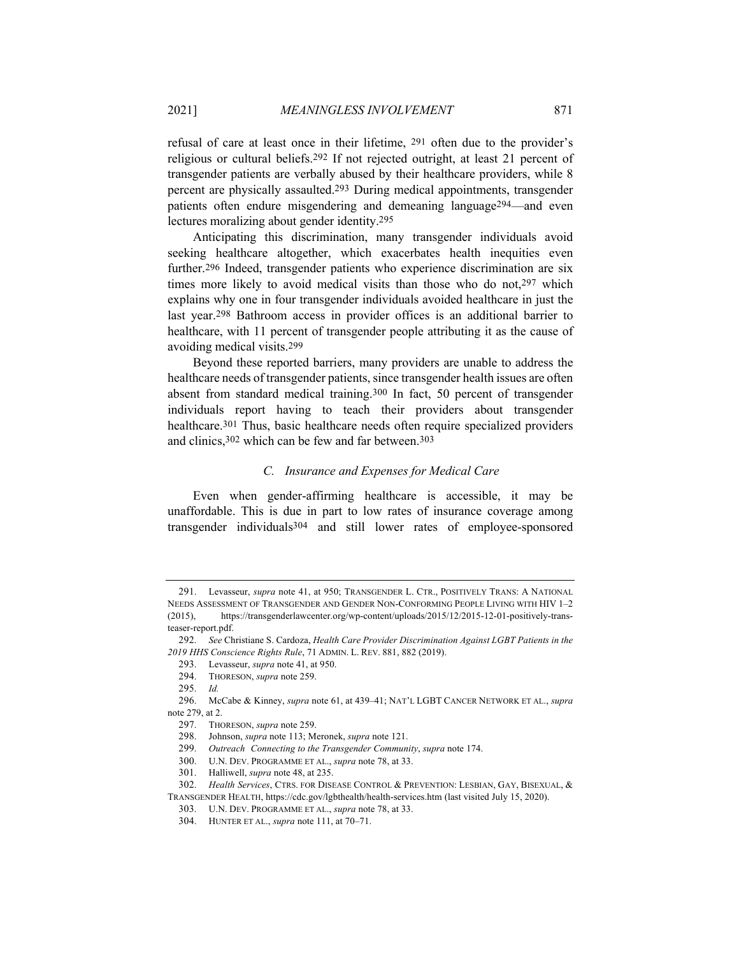refusal of care at least once in their lifetime, 291 often due to the provider's religious or cultural beliefs.292 If not rejected outright, at least 21 percent of transgender patients are verbally abused by their healthcare providers, while 8 percent are physically assaulted.293 During medical appointments, transgender patients often endure misgendering and demeaning language294—and even lectures moralizing about gender identity.295

Anticipating this discrimination, many transgender individuals avoid seeking healthcare altogether, which exacerbates health inequities even further.296 Indeed, transgender patients who experience discrimination are six times more likely to avoid medical visits than those who do not, 297 which explains why one in four transgender individuals avoided healthcare in just the last year.298 Bathroom access in provider offices is an additional barrier to healthcare, with 11 percent of transgender people attributing it as the cause of avoiding medical visits.299

Beyond these reported barriers, many providers are unable to address the healthcare needs of transgender patients, since transgender health issues are often absent from standard medical training.300 In fact, 50 percent of transgender individuals report having to teach their providers about transgender healthcare.301 Thus, basic healthcare needs often require specialized providers and clinics,302 which can be few and far between.303

# *C. Insurance and Expenses for Medical Care*

Even when gender-affirming healthcare is accessible, it may be unaffordable. This is due in part to low rates of insurance coverage among transgender individuals304 and still lower rates of employee-sponsored

<sup>291.</sup> Levasseur, *supra* note 41, at 950; TRANSGENDER L. CTR., POSITIVELY TRANS: A NATIONAL NEEDS ASSESSMENT OF TRANSGENDER AND GENDER NON-CONFORMING PEOPLE LIVING WITH HIV 1–2 (2015), https://transgenderlawcenter.org/wp-content/uploads/2015/12/2015-12-01-positively-transteaser-report.pdf.

<sup>292.</sup> *See* Christiane S. Cardoza, *Health Care Provider Discrimination Against LGBT Patients in the 2019 HHS Conscience Rights Rule*, 71 ADMIN. L. REV. 881, 882 (2019).

<sup>293.</sup> Levasseur, *supra* note 41, at 950.

<sup>294.</sup> THORESON, *supra* note 259.

<sup>295.</sup> *Id.*

<sup>296.</sup> McCabe & Kinney, *supra* note 61, at 439–41; NAT'L LGBT CANCER NETWORK ET AL., *supra*  note 279, at 2.

<sup>297.</sup> THORESON, *supra* note 259.

<sup>298.</sup> Johnson, *supra* note 113; Meronek, *supra* note 121.

<sup>299.</sup> *Outreach Connecting to the Transgender Community*, *supra* note 174.

<sup>300.</sup> U.N. DEV. PROGRAMME ET AL., *supra* note 78, at 33.

<sup>301.</sup> Halliwell, *supra* note 48, at 235.

<sup>302.</sup> *Health Services*, CTRS. FOR DISEASE CONTROL & PREVENTION: LESBIAN, GAY, BISEXUAL, & TRANSGENDER HEALTH, https://cdc.gov/lgbthealth/health-services.htm (last visited July 15, 2020).

<sup>303.</sup> U.N. DEV. PROGRAMME ET AL., *supra* note 78, at 33.

<sup>304.</sup> HUNTER ET AL., *supra* note 111, at 70–71.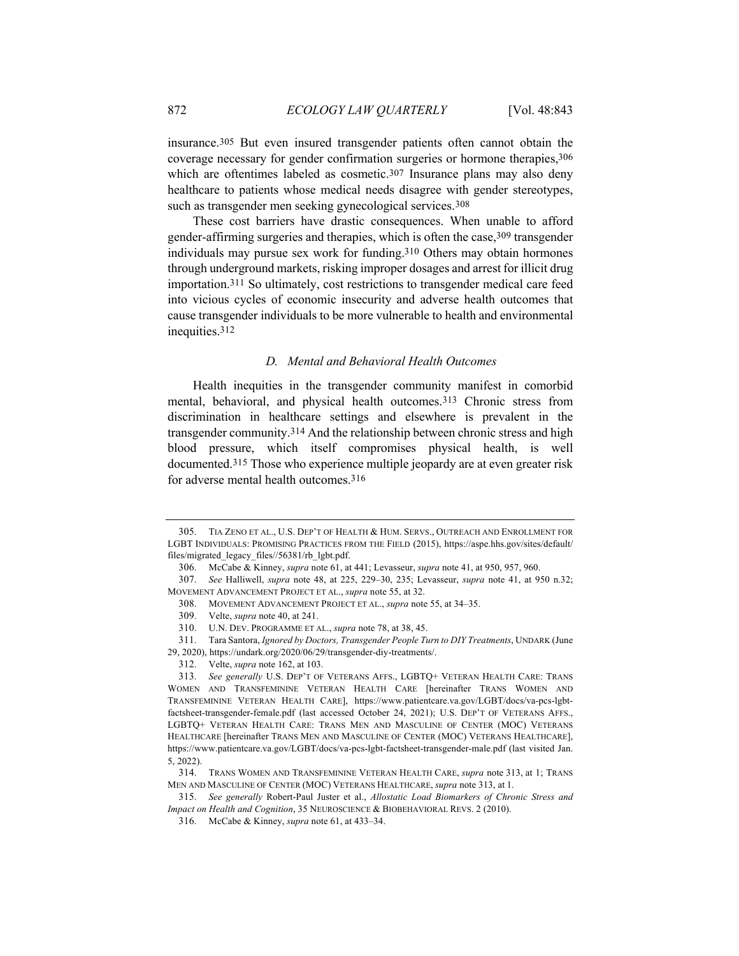insurance.305 But even insured transgender patients often cannot obtain the coverage necessary for gender confirmation surgeries or hormone therapies,306 which are oftentimes labeled as cosmetic.<sup>307</sup> Insurance plans may also deny healthcare to patients whose medical needs disagree with gender stereotypes, such as transgender men seeking gynecological services.308

These cost barriers have drastic consequences. When unable to afford gender-affirming surgeries and therapies, which is often the case,309 transgender individuals may pursue sex work for funding.310 Others may obtain hormones through underground markets, risking improper dosages and arrest for illicit drug importation.311 So ultimately, cost restrictions to transgender medical care feed into vicious cycles of economic insecurity and adverse health outcomes that cause transgender individuals to be more vulnerable to health and environmental inequities.312

## *D. Mental and Behavioral Health Outcomes*

Health inequities in the transgender community manifest in comorbid mental, behavioral, and physical health outcomes.313 Chronic stress from discrimination in healthcare settings and elsewhere is prevalent in the transgender community.314 And the relationship between chronic stress and high blood pressure, which itself compromises physical health, is well documented.315 Those who experience multiple jeopardy are at even greater risk for adverse mental health outcomes.316

312. Velte, *supra* note 162, at 103.

<sup>305.</sup> TIA ZENO ET AL., U.S. DEP'T OF HEALTH & HUM. SERVS., OUTREACH AND ENROLLMENT FOR LGBT INDIVIDUALS: PROMISING PRACTICES FROM THE FIELD (2015), https://aspe.hhs.gov/sites/default/ files/migrated\_legacy\_files//56381/rb\_lgbt.pdf.

<sup>306.</sup> McCabe & Kinney, *supra* note 61, at 441; Levasseur, *supra* note 41, at 950, 957, 960.

<sup>307.</sup> *See* Halliwell, *supra* note 48, at 225, 229–30, 235; Levasseur, *supra* note 41, at 950 n.32; MOVEMENT ADVANCEMENT PROJECT ET AL., *supra* note 55, at 32.

<sup>308.</sup> MOVEMENT ADVANCEMENT PROJECT ET AL., *supra* note 55, at 34–35.

<sup>309.</sup> Velte, *supra* note 40, at 241.

<sup>310.</sup> U.N. DEV. PROGRAMME ET AL., *supra* note 78, at 38, 45.

<sup>311.</sup> Tara Santora, *Ignored by Doctors, Transgender People Turn to DIY Treatments*, UNDARK (June 29, 2020), https://undark.org/2020/06/29/transgender-diy-treatments/.

<sup>313.</sup> *See generally* U.S. DEP'T OF VETERANS AFFS., LGBTQ+ VETERAN HEALTH CARE: TRANS WOMEN AND TRANSFEMININE VETERAN HEALTH CARE [hereinafter TRANS WOMEN AND TRANSFEMININE VETERAN HEALTH CARE], https://www.patientcare.va.gov/LGBT/docs/va-pcs-lgbtfactsheet-transgender-female.pdf (last accessed October 24, 2021); U.S. DEP'T OF VETERANS AFFS., LGBTQ+ VETERAN HEALTH CARE: TRANS MEN AND MASCULINE OF CENTER (MOC) VETERANS HEALTHCARE [hereinafter TRANS MEN AND MASCULINE OF CENTER (MOC) VETERANS HEALTHCARE], https://www.patientcare.va.gov/LGBT/docs/va-pcs-lgbt-factsheet-transgender-male.pdf (last visited Jan. 5, 2022).

<sup>314.</sup> TRANS WOMEN AND TRANSFEMININE VETERAN HEALTH CARE, *supra* note 313, at 1; TRANS MEN AND MASCULINE OF CENTER (MOC) VETERANS HEALTHCARE, *supra* note 313, at 1.

<sup>315.</sup> *See generally* Robert-Paul Juster et al., *Allostatic Load Biomarkers of Chronic Stress and Impact on Health and Cognition*, 35 NEUROSCIENCE & BIOBEHAVIORAL REVS. 2 (2010).

<sup>316.</sup> McCabe & Kinney, *supra* note 61, at 433–34.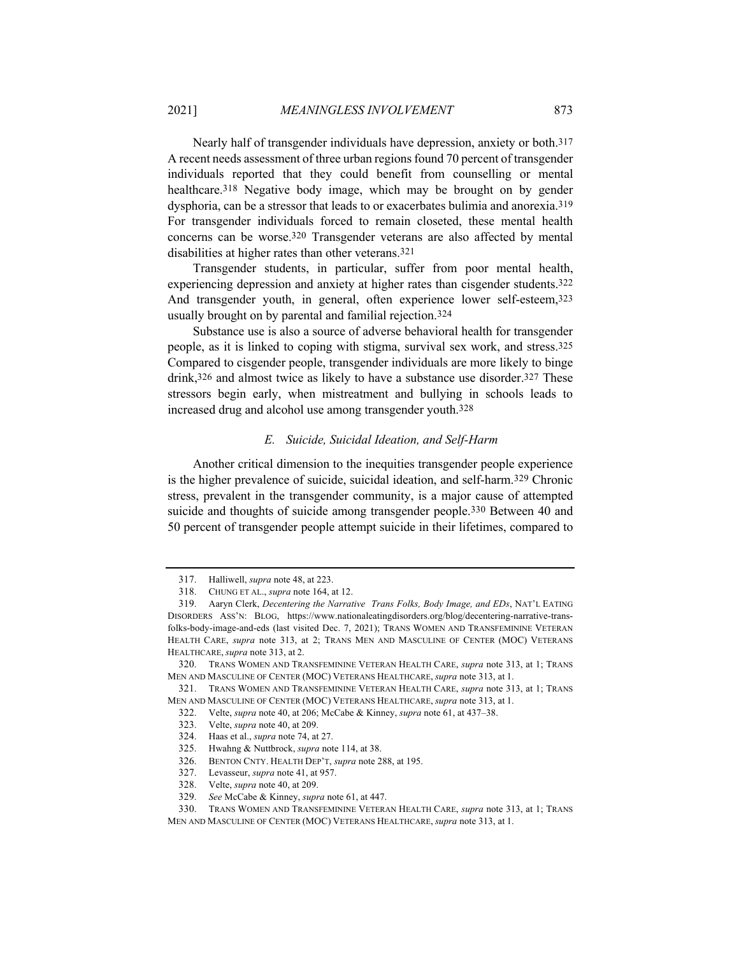Nearly half of transgender individuals have depression, anxiety or both.317 A recent needs assessment of three urban regions found 70 percent of transgender individuals reported that they could benefit from counselling or mental healthcare.318 Negative body image, which may be brought on by gender dysphoria, can be a stressor that leads to or exacerbates bulimia and anorexia.319 For transgender individuals forced to remain closeted, these mental health concerns can be worse.320 Transgender veterans are also affected by mental disabilities at higher rates than other veterans.321

Transgender students, in particular, suffer from poor mental health, experiencing depression and anxiety at higher rates than cisgender students.322 And transgender youth, in general, often experience lower self-esteem,323 usually brought on by parental and familial rejection.324

Substance use is also a source of adverse behavioral health for transgender people, as it is linked to coping with stigma, survival sex work, and stress.325 Compared to cisgender people, transgender individuals are more likely to binge drink,326 and almost twice as likely to have a substance use disorder.327 These stressors begin early, when mistreatment and bullying in schools leads to increased drug and alcohol use among transgender youth.328

## *E. Suicide, Suicidal Ideation, and Self-Harm*

Another critical dimension to the inequities transgender people experience is the higher prevalence of suicide, suicidal ideation, and self-harm.329 Chronic stress, prevalent in the transgender community, is a major cause of attempted suicide and thoughts of suicide among transgender people.<sup>330</sup> Between 40 and 50 percent of transgender people attempt suicide in their lifetimes, compared to

<sup>317.</sup> Halliwell, *supra* note 48, at 223.

<sup>318.</sup> CHUNG ET AL., *supra* note 164, at 12.

<sup>319.</sup> Aaryn Clerk, *Decentering the Narrative Trans Folks, Body Image, and EDs*, NAT'L EATING DISORDERS ASS'N: BLOG, https://www.nationaleatingdisorders.org/blog/decentering-narrative-transfolks-body-image-and-eds (last visited Dec. 7, 2021); TRANS WOMEN AND TRANSFEMININE VETERAN HEALTH CARE, *supra* note 313, at 2; TRANS MEN AND MASCULINE OF CENTER (MOC) VETERANS HEALTHCARE, *supra* note 313, at 2.

<sup>320.</sup> TRANS WOMEN AND TRANSFEMININE VETERAN HEALTH CARE, *supra* note 313, at 1; TRANS MEN AND MASCULINE OF CENTER (MOC) VETERANS HEALTHCARE, *supra* note 313, at 1.

<sup>321.</sup> TRANS WOMEN AND TRANSFEMININE VETERAN HEALTH CARE, *supra* note 313, at 1; TRANS MEN AND MASCULINE OF CENTER (MOC) VETERANS HEALTHCARE, *supra* note 313, at 1.

<sup>322.</sup> Velte, *supra* note 40, at 206; McCabe & Kinney, *supra* note 61, at 437–38.

<sup>323.</sup> Velte, *supra* note 40, at 209.

<sup>324.</sup> Haas et al., *supra* note 74, at 27.

<sup>325.</sup> Hwahng & Nuttbrock, *supra* note 114, at 38.

<sup>326.</sup> BENTON CNTY. HEALTH DEP'T, *supra* note 288, at 195.

<sup>327.</sup> Levasseur, *supra* note 41, at 957.

<sup>328.</sup> Velte, *supra* note 40, at 209.

<sup>329.</sup> *See* McCabe & Kinney, *supra* note 61, at 447.

<sup>330.</sup> TRANS WOMEN AND TRANSFEMININE VETERAN HEALTH CARE, *supra* note 313, at 1; TRANS

MEN AND MASCULINE OF CENTER (MOC) VETERANS HEALTHCARE, *supra* note 313, at 1.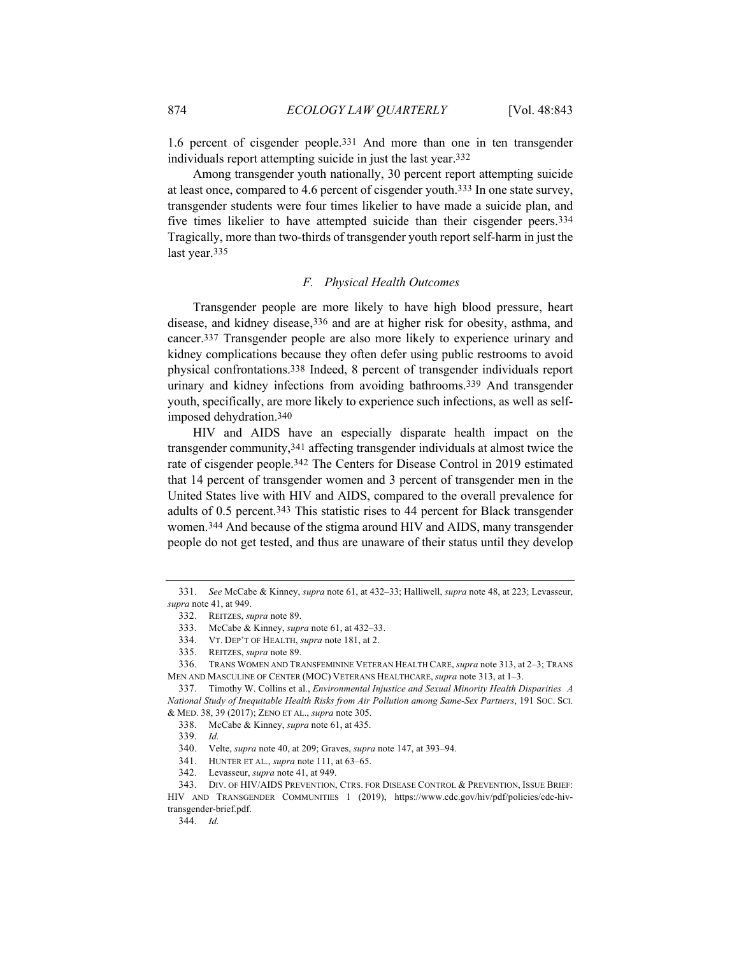1.6 percent of cisgender people.331 And more than one in ten transgender individuals report attempting suicide in just the last year.332

Among transgender youth nationally, 30 percent report attempting suicide at least once, compared to 4.6 percent of cisgender youth.333 In one state survey, transgender students were four times likelier to have made a suicide plan, and five times likelier to have attempted suicide than their cisgender peers.334 Tragically, more than two-thirds of transgender youth report self-harm in just the last year.335

## *F. Physical Health Outcomes*

Transgender people are more likely to have high blood pressure, heart disease, and kidney disease,336 and are at higher risk for obesity, asthma, and cancer.337 Transgender people are also more likely to experience urinary and kidney complications because they often defer using public restrooms to avoid physical confrontations.338 Indeed, 8 percent of transgender individuals report urinary and kidney infections from avoiding bathrooms.339 And transgender youth, specifically, are more likely to experience such infections, as well as selfimposed dehydration.340

HIV and AIDS have an especially disparate health impact on the transgender community,341 affecting transgender individuals at almost twice the rate of cisgender people.342 The Centers for Disease Control in 2019 estimated that 14 percent of transgender women and 3 percent of transgender men in the United States live with HIV and AIDS, compared to the overall prevalence for adults of 0.5 percent.343 This statistic rises to 44 percent for Black transgender women.344 And because of the stigma around HIV and AIDS, many transgender people do not get tested, and thus are unaware of their status until they develop

337. Timothy W. Collins et al., *Environmental Injustice and Sexual Minority Health Disparities A National Study of Inequitable Health Risks from Air Pollution among Same-Sex Partners*, 191 SOC. SCI. & MED. 38, 39 (2017); ZENO ET AL., *supra* note 305.

<sup>331.</sup> *See* McCabe & Kinney, *supra* note 61, at 432–33; Halliwell, *supra* note 48, at 223; Levasseur, *supra* note 41, at 949.

<sup>332.</sup> REITZES, *supra* note 89.

<sup>333.</sup> McCabe & Kinney, *supra* note 61, at 432–33.

<sup>334.</sup> VT. DEP'T OF HEALTH, *supra* note 181, at 2.

<sup>335.</sup> REITZES, *supra* note 89.

<sup>336.</sup> TRANS WOMEN AND TRANSFEMININE VETERAN HEALTH CARE, *supra* note 313, at 2–3; TRANS MEN AND MASCULINE OF CENTER (MOC) VETERANS HEALTHCARE, *supra* note 313, at 1–3.

<sup>338.</sup> McCabe & Kinney, *supra* note 61, at 435.

<sup>339.</sup> *Id.* 

<sup>340.</sup> Velte, *supra* note 40, at 209; Graves, *supra* note 147, at 393–94.

<sup>341.</sup> HUNTER ET AL., *supra* note 111, at 63–65.

<sup>342.</sup> Levasseur, *supra* note 41, at 949.

<sup>343.</sup> DIV. OF HIV/AIDS PREVENTION, CTRS. FOR DISEASE CONTROL & PREVENTION, ISSUE BRIEF: HIV AND TRANSGENDER COMMUNITIES 1 (2019), https://www.cdc.gov/hiv/pdf/policies/cdc-hivtransgender-brief.pdf.

<sup>344.</sup> *Id.*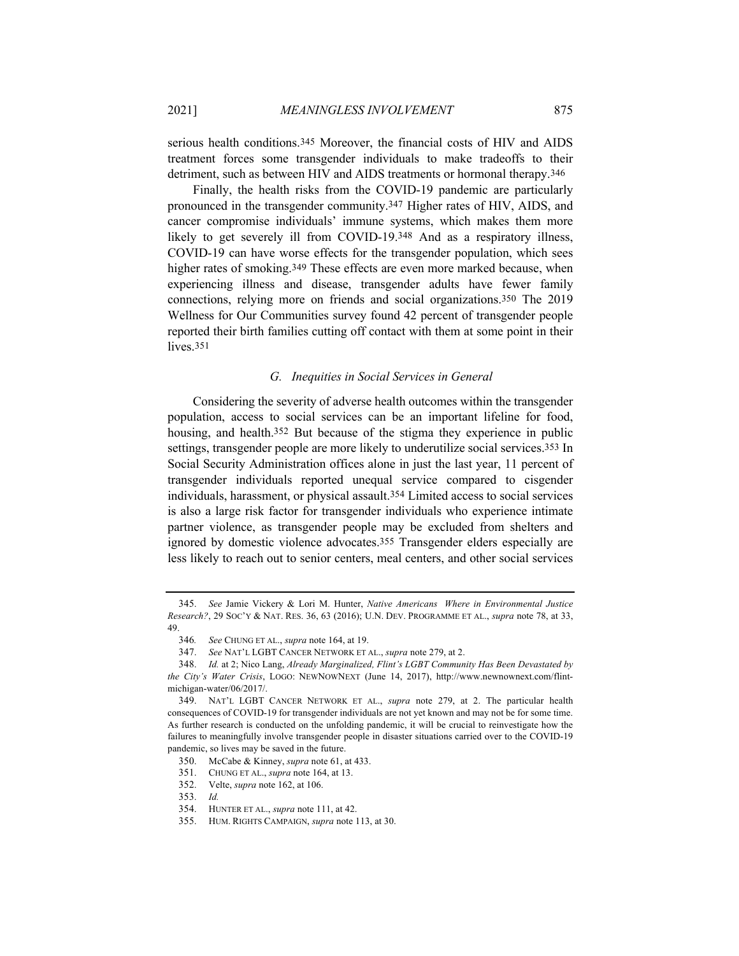serious health conditions.345 Moreover, the financial costs of HIV and AIDS treatment forces some transgender individuals to make tradeoffs to their detriment, such as between HIV and AIDS treatments or hormonal therapy.346

Finally, the health risks from the COVID-19 pandemic are particularly pronounced in the transgender community.347 Higher rates of HIV, AIDS, and cancer compromise individuals' immune systems, which makes them more likely to get severely ill from COVID-19.348 And as a respiratory illness, COVID-19 can have worse effects for the transgender population, which sees higher rates of smoking.<sup>349</sup> These effects are even more marked because, when experiencing illness and disease, transgender adults have fewer family connections, relying more on friends and social organizations.350 The 2019 Wellness for Our Communities survey found 42 percent of transgender people reported their birth families cutting off contact with them at some point in their lives.351

## *G. Inequities in Social Services in General*

Considering the severity of adverse health outcomes within the transgender population, access to social services can be an important lifeline for food, housing, and health.352 But because of the stigma they experience in public settings, transgender people are more likely to underutilize social services.353 In Social Security Administration offices alone in just the last year, 11 percent of transgender individuals reported unequal service compared to cisgender individuals, harassment, or physical assault.354 Limited access to social services is also a large risk factor for transgender individuals who experience intimate partner violence, as transgender people may be excluded from shelters and ignored by domestic violence advocates.355 Transgender elders especially are less likely to reach out to senior centers, meal centers, and other social services

<sup>345.</sup> *See* Jamie Vickery & Lori M. Hunter, *Native Americans Where in Environmental Justice Research?*, 29 SOC'Y & NAT. RES. 36, 63 (2016); U.N. DEV. PROGRAMME ET AL., *supra* note 78, at 33, 49.

<sup>346</sup>*. See* CHUNG ET AL., *supra* note 164, at 19.

<sup>347.</sup> *See* NAT'L LGBT CANCER NETWORK ET AL., *supra* note 279, at 2.

<sup>348.</sup> *Id.* at 2; Nico Lang, *Already Marginalized, Flint's LGBT Community Has Been Devastated by the City's Water Crisis*, LOGO: NEWNOWNEXT (June 14, 2017), http://www.newnownext.com/flintmichigan-water/06/2017/.

<sup>349.</sup> NAT'L LGBT CANCER NETWORK ET AL., *supra* note 279, at 2. The particular health consequences of COVID-19 for transgender individuals are not yet known and may not be for some time. As further research is conducted on the unfolding pandemic, it will be crucial to reinvestigate how the failures to meaningfully involve transgender people in disaster situations carried over to the COVID-19 pandemic, so lives may be saved in the future.

<sup>350.</sup> McCabe & Kinney, *supra* note 61, at 433.

<sup>351.</sup> CHUNG ET AL., *supra* note 164, at 13.

<sup>352.</sup> Velte, *supra* note 162, at 106.

<sup>353.</sup> *Id.* 

<sup>354.</sup> HUNTER ET AL., *supra* note 111, at 42.

<sup>355.</sup> HUM. RIGHTS CAMPAIGN, *supra* note 113, at 30.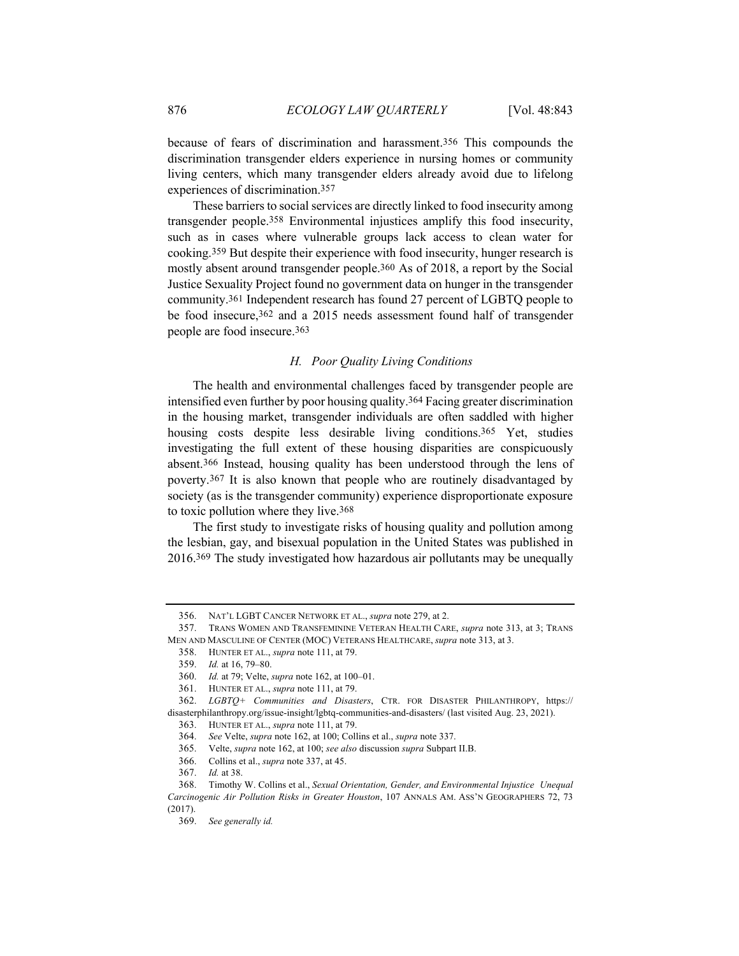because of fears of discrimination and harassment.356 This compounds the

discrimination transgender elders experience in nursing homes or community living centers, which many transgender elders already avoid due to lifelong experiences of discrimination.357

These barriers to social services are directly linked to food insecurity among transgender people.358 Environmental injustices amplify this food insecurity, such as in cases where vulnerable groups lack access to clean water for cooking.359 But despite their experience with food insecurity, hunger research is mostly absent around transgender people.360 As of 2018, a report by the Social Justice Sexuality Project found no government data on hunger in the transgender community.361 Independent research has found 27 percent of LGBTQ people to be food insecure, 362 and a 2015 needs assessment found half of transgender people are food insecure.363

# *H. Poor Quality Living Conditions*

The health and environmental challenges faced by transgender people are intensified even further by poor housing quality.364 Facing greater discrimination in the housing market, transgender individuals are often saddled with higher housing costs despite less desirable living conditions.<sup>365</sup> Yet, studies investigating the full extent of these housing disparities are conspicuously absent.366 Instead, housing quality has been understood through the lens of poverty.367 It is also known that people who are routinely disadvantaged by society (as is the transgender community) experience disproportionate exposure to toxic pollution where they live.368

The first study to investigate risks of housing quality and pollution among the lesbian, gay, and bisexual population in the United States was published in 2016.369 The study investigated how hazardous air pollutants may be unequally

<sup>356.</sup> NAT'L LGBT CANCER NETWORK ET AL., *supra* note 279, at 2.

<sup>357.</sup> TRANS WOMEN AND TRANSFEMININE VETERAN HEALTH CARE, *supra* note 313, at 3; TRANS MEN AND MASCULINE OF CENTER (MOC) VETERANS HEALTHCARE, *supra* note 313, at 3.

<sup>358.</sup> HUNTER ET AL., *supra* note 111, at 79.

<sup>359.</sup> *Id.* at 16, 79–80.

<sup>360.</sup> *Id.* at 79; Velte, *supra* note 162, at 100–01.

<sup>361.</sup> HUNTER ET AL., *supra* note 111, at 79.

<sup>362.</sup> *LGBTQ+ Communities and Disasters*, CTR. FOR DISASTER PHILANTHROPY, https:// disasterphilanthropy.org/issue-insight/lgbtq-communities-and-disasters/ (last visited Aug. 23, 2021).

<sup>363.</sup> HUNTER ET AL., *supra* note 111, at 79.

<sup>364.</sup> *See* Velte, *supra* note 162, at 100; Collins et al., *supra* note 337.

<sup>365.</sup> Velte, *supra* note 162, at 100; *see also* discussion *supra* Subpart II.B.

<sup>366.</sup> Collins et al., *supra* note 337, at 45.

<sup>367.</sup> *Id.* at 38.

<sup>368.</sup> Timothy W. Collins et al., *Sexual Orientation, Gender, and Environmental Injustice Unequal Carcinogenic Air Pollution Risks in Greater Houston*, 107 ANNALS AM. ASS'N GEOGRAPHERS 72, 73 (2017).

<sup>369.</sup> *See generally id.*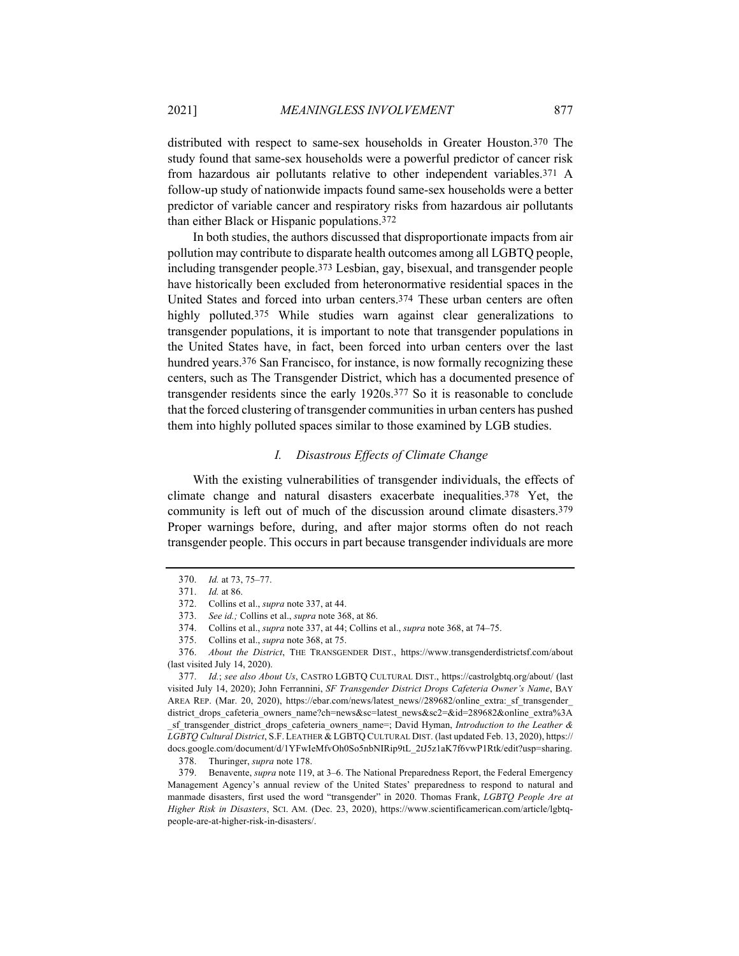distributed with respect to same-sex households in Greater Houston.370 The study found that same-sex households were a powerful predictor of cancer risk from hazardous air pollutants relative to other independent variables.371 A follow-up study of nationwide impacts found same-sex households were a better predictor of variable cancer and respiratory risks from hazardous air pollutants than either Black or Hispanic populations.372

In both studies, the authors discussed that disproportionate impacts from air pollution may contribute to disparate health outcomes among all LGBTQ people, including transgender people.373 Lesbian, gay, bisexual, and transgender people have historically been excluded from heteronormative residential spaces in the United States and forced into urban centers.374 These urban centers are often highly polluted.375 While studies warn against clear generalizations to transgender populations, it is important to note that transgender populations in the United States have, in fact, been forced into urban centers over the last hundred years.<sup>376</sup> San Francisco, for instance, is now formally recognizing these centers, such as The Transgender District, which has a documented presence of transgender residents since the early 1920s.377 So it is reasonable to conclude that the forced clustering of transgender communities in urban centers has pushed them into highly polluted spaces similar to those examined by LGB studies.

#### *I. Disastrous Effects of Climate Change*

With the existing vulnerabilities of transgender individuals, the effects of climate change and natural disasters exacerbate inequalities.378 Yet, the community is left out of much of the discussion around climate disasters.379 Proper warnings before, during, and after major storms often do not reach transgender people. This occurs in part because transgender individuals are more

<sup>370.</sup> *Id.* at 73, 75–77.

<sup>371.</sup> *Id.* at 86.

<sup>372.</sup> Collins et al., *supra* note 337, at 44.

<sup>373.</sup> *See id.;* Collins et al., *supra* note 368, at 86.

<sup>374.</sup> Collins et al., *supra* note 337, at 44; Collins et al., *supra* note 368, at 74–75.

<sup>375.</sup> Collins et al., *supra* note 368, at 75.

<sup>376.</sup> *About the District*, THE TRANSGENDER DIST., https://www.transgenderdistrictsf.com/about (last visited July 14, 2020).

<sup>377.</sup> *Id.*; *see also About Us*, CASTRO LGBTQ CULTURAL DIST., https://castrolgbtq.org/about/ (last visited July 14, 2020); John Ferrannini, *SF Transgender District Drops Cafeteria Owner's Name*, BAY AREA REP. (Mar. 20, 2020), https://ebar.com/news/latest\_news//289682/online\_extra:\_sf\_transgender district drops cafeteria owners name?ch=news&sc=latest news&sc2=&id=289682&online extra%3A \_sf\_transgender\_district\_drops\_cafeteria\_owners\_name=; David Hyman, *Introduction to the Leather & LGBTQ Cultural District*, S.F. LEATHER & LGBTQ CULTURAL DIST. (last updated Feb. 13, 2020), https:// docs.google.com/document/d/1YFwIeMfvOh0So5nbNIRip9tL\_2tJ5z1aK7f6vwP1Rtk/edit?usp=sharing.

<sup>378.</sup> Thuringer, *supra* note 178.

<sup>379.</sup> Benavente, *supra* note 119, at 3–6. The National Preparedness Report, the Federal Emergency Management Agency's annual review of the United States' preparedness to respond to natural and manmade disasters, first used the word "transgender" in 2020. Thomas Frank, *LGBTQ People Are at Higher Risk in Disasters*, SCI. AM. (Dec. 23, 2020), https://www.scientificamerican.com/article/lgbtqpeople-are-at-higher-risk-in-disasters/.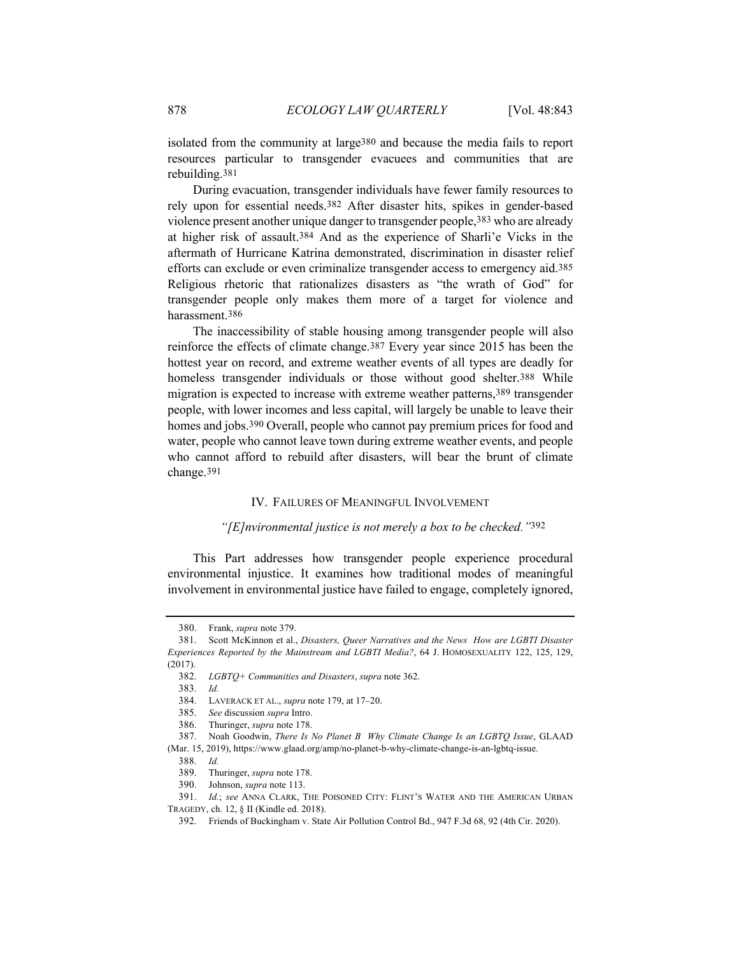isolated from the community at large380 and because the media fails to report resources particular to transgender evacuees and communities that are rebuilding.381

During evacuation, transgender individuals have fewer family resources to rely upon for essential needs.382 After disaster hits, spikes in gender-based violence present another unique danger to transgender people,383 who are already at higher risk of assault.384 And as the experience of Sharli'e Vicks in the aftermath of Hurricane Katrina demonstrated, discrimination in disaster relief efforts can exclude or even criminalize transgender access to emergency aid.385 Religious rhetoric that rationalizes disasters as "the wrath of God" for transgender people only makes them more of a target for violence and harassment.386

The inaccessibility of stable housing among transgender people will also reinforce the effects of climate change.387 Every year since 2015 has been the hottest year on record, and extreme weather events of all types are deadly for homeless transgender individuals or those without good shelter.<sup>388</sup> While migration is expected to increase with extreme weather patterns,389 transgender people, with lower incomes and less capital, will largely be unable to leave their homes and jobs.<sup>390</sup> Overall, people who cannot pay premium prices for food and water, people who cannot leave town during extreme weather events, and people who cannot afford to rebuild after disasters, will bear the brunt of climate change.391

# IV. FAILURES OF MEANINGFUL INVOLVEMENT

#### *"[E]nvironmental justice is not merely a box to be checked."*392

This Part addresses how transgender people experience procedural environmental injustice. It examines how traditional modes of meaningful involvement in environmental justice have failed to engage, completely ignored,

<sup>380.</sup> Frank, *supra* note 379.

<sup>381.</sup> Scott McKinnon et al., *Disasters, Queer Narratives and the News How are LGBTI Disaster Experiences Reported by the Mainstream and LGBTI Media?*, 64 J. HOMOSEXUALITY 122, 125, 129, (2017).

<sup>382.</sup> *LGBTQ+ Communities and Disasters*, *supra* note 362.

<sup>383.</sup> *Id.*

<sup>384.</sup> LAVERACK ET AL., *supra* note 179, at 17–20.

<sup>385.</sup> *See* discussion *supra* Intro.

<sup>386.</sup> Thuringer, *supra* note 178.

<sup>387.</sup> Noah Goodwin, *There Is No Planet B Why Climate Change Is an LGBTQ Issue*, GLAAD (Mar. 15, 2019), https://www.glaad.org/amp/no-planet-b-why-climate-change-is-an-lgbtq-issue.

<sup>388.</sup> *Id.*

<sup>389.</sup> Thuringer, *supra* note 178.

<sup>390.</sup> Johnson, *supra* note 113.

<sup>391.</sup> *Id.*; *see* ANNA CLARK, THE POISONED CITY: FLINT'S WATER AND THE AMERICAN URBAN TRAGEDY, ch. 12, § II (Kindle ed. 2018).

<sup>392.</sup> Friends of Buckingham v. State Air Pollution Control Bd., 947 F.3d 68, 92 (4th Cir. 2020).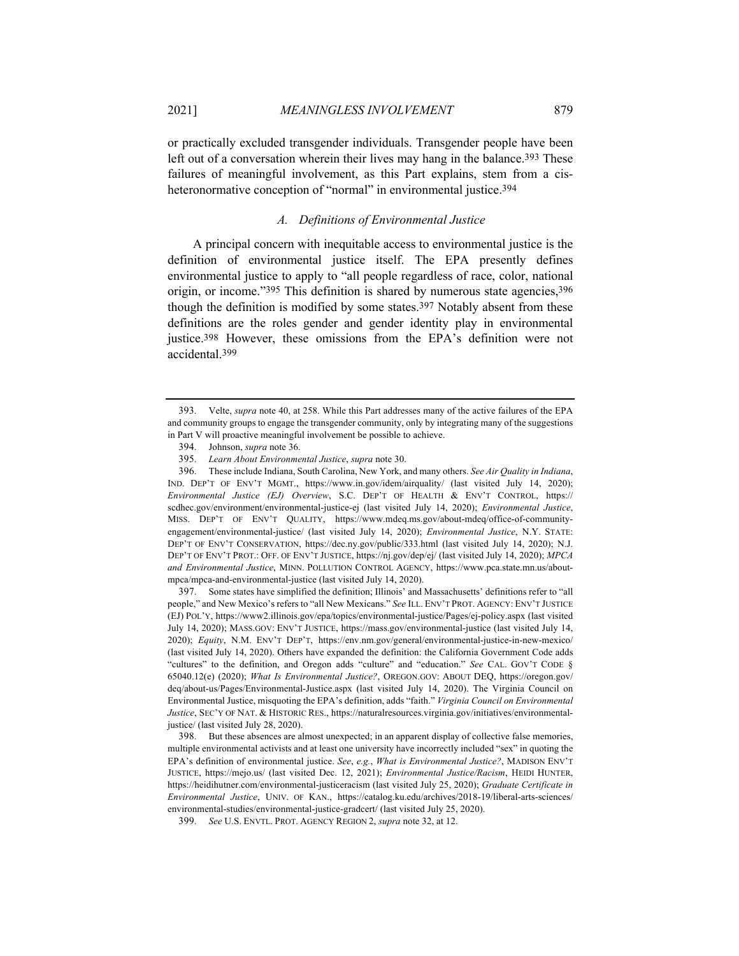or practically excluded transgender individuals. Transgender people have been left out of a conversation wherein their lives may hang in the balance.<sup>393</sup> These failures of meaningful involvement, as this Part explains, stem from a cisheteronormative conception of "normal" in environmental justice.<sup>394</sup>

# *A. Definitions of Environmental Justice*

A principal concern with inequitable access to environmental justice is the definition of environmental justice itself. The EPA presently defines environmental justice to apply to "all people regardless of race, color, national origin, or income."395 This definition is shared by numerous state agencies, 396 though the definition is modified by some states.397 Notably absent from these definitions are the roles gender and gender identity play in environmental justice.398 However, these omissions from the EPA's definition were not accidental.399

396. These include Indiana, South Carolina, New York, and many others. *See Air Quality in Indiana*, IND. DEP'T OF ENV'T MGMT., https://www.in.gov/idem/airquality/ (last visited July 14, 2020); *Environmental Justice (EJ) Overview*, S.C. DEP'T OF HEALTH & ENV'T CONTROL, https:// scdhec.gov/environment/environmental-justice-ej (last visited July 14, 2020); *Environmental Justice*, MISS. DEP'T OF ENV'T QUALITY, https://www.mdeq.ms.gov/about-mdeq/office-of-communityengagement/environmental-justice/ (last visited July 14, 2020); *Environmental Justice*, N.Y. STATE: DEP'T OF ENV'T CONSERVATION, https://dec.ny.gov/public/333.html (last visited July 14, 2020); N.J. DEP'T OF ENV'T PROT.: OFF. OF ENV'T JUSTICE, https://nj.gov/dep/ej/ (last visited July 14, 2020); *MPCA and Environmental Justice*, MINN. POLLUTION CONTROL AGENCY, https://www.pca.state.mn.us/aboutmpca/mpca-and-environmental-justice (last visited July 14, 2020).

397. Some states have simplified the definition; Illinois' and Massachusetts' definitions refer to "all people," and New Mexico's refers to "all New Mexicans." *See* ILL. ENV'T PROT. AGENCY: ENV'T JUSTICE (EJ) POL'Y, https://www2.illinois.gov/epa/topics/environmental-justice/Pages/ej-policy.aspx (last visited July 14, 2020); MASS.GOV: ENV'T JUSTICE, https://mass.gov/environmental-justice (last visited July 14, 2020); *Equity*, N.M. ENV'T DEP'T, https://env.nm.gov/general/environmental-justice-in-new-mexico/ (last visited July 14, 2020). Others have expanded the definition: the California Government Code adds "cultures" to the definition, and Oregon adds "culture" and "education." *See* CAL. GOV'T CODE § 65040.12(e) (2020); *What Is Environmental Justice?*, OREGON.GOV: ABOUT DEQ, https://oregon.gov/ deq/about-us/Pages/Environmental-Justice.aspx (last visited July 14, 2020). The Virginia Council on Environmental Justice, misquoting the EPA's definition, adds "faith." *Virginia Council on Environmental Justice*, SEC'Y OF NAT. & HISTORIC RES., https://naturalresources.virginia.gov/initiatives/environmentaljustice/ (last visited July 28, 2020).

<sup>393.</sup> Velte, *supra* note 40, at 258. While this Part addresses many of the active failures of the EPA and community groups to engage the transgender community, only by integrating many of the suggestions in Part V will proactive meaningful involvement be possible to achieve.

<sup>394.</sup> Johnson, *supra* note 36.

<sup>395.</sup> *Learn About Environmental Justice*, *supra* note 30.

<sup>398.</sup> But these absences are almost unexpected; in an apparent display of collective false memories, multiple environmental activists and at least one university have incorrectly included "sex" in quoting the EPA's definition of environmental justice. *See*, *e.g.*, *What is Environmental Justice?*, MADISON ENV'T JUSTICE, https://mejo.us/ (last visited Dec. 12, 2021); *Environmental Justice/Racism*, HEIDI HUNTER, https://heidihutner.com/environmental-justiceracism (last visited July 25, 2020); *Graduate Certificate in Environmental Justice*, UNIV. OF KAN., https://catalog.ku.edu/archives/2018-19/liberal-arts-sciences/ environmental-studies/environmental-justice-gradcert/ (last visited July 25, 2020).

<sup>399.</sup> *See* U.S. ENVTL. PROT. AGENCY REGION 2, *supra* note 32, at 12.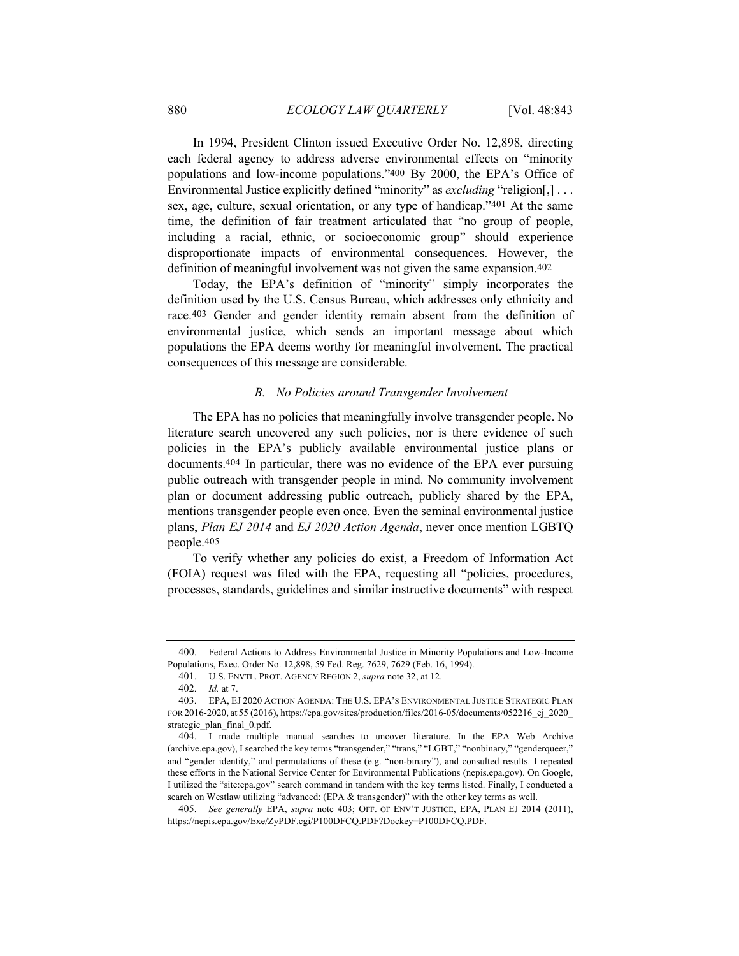In 1994, President Clinton issued Executive Order No. 12,898, directing each federal agency to address adverse environmental effects on "minority populations and low-income populations."400 By 2000, the EPA's Office of Environmental Justice explicitly defined "minority" as *excluding* "religion[,] . . . sex, age, culture, sexual orientation, or any type of handicap."401 At the same time, the definition of fair treatment articulated that "no group of people, including a racial, ethnic, or socioeconomic group" should experience disproportionate impacts of environmental consequences. However, the definition of meaningful involvement was not given the same expansion.402

Today, the EPA's definition of "minority" simply incorporates the definition used by the U.S. Census Bureau, which addresses only ethnicity and race.403 Gender and gender identity remain absent from the definition of environmental justice, which sends an important message about which populations the EPA deems worthy for meaningful involvement. The practical consequences of this message are considerable.

#### *B. No Policies around Transgender Involvement*

The EPA has no policies that meaningfully involve transgender people. No literature search uncovered any such policies, nor is there evidence of such policies in the EPA's publicly available environmental justice plans or documents.404 In particular, there was no evidence of the EPA ever pursuing public outreach with transgender people in mind. No community involvement plan or document addressing public outreach, publicly shared by the EPA, mentions transgender people even once. Even the seminal environmental justice plans, *Plan EJ 2014* and *EJ 2020 Action Agenda*, never once mention LGBTQ people.405

To verify whether any policies do exist, a Freedom of Information Act (FOIA) request was filed with the EPA, requesting all "policies, procedures, processes, standards, guidelines and similar instructive documents" with respect

<sup>400.</sup> Federal Actions to Address Environmental Justice in Minority Populations and Low-Income Populations, Exec. Order No. 12,898, 59 Fed. Reg. 7629, 7629 (Feb. 16, 1994).

<sup>401.</sup> U.S. ENVTL. PROT. AGENCY REGION 2, *supra* note 32, at 12.

<sup>402.</sup> *Id.* at 7.

<sup>403.</sup> EPA, EJ 2020 ACTION AGENDA: THE U.S. EPA'S ENVIRONMENTAL JUSTICE STRATEGIC PLAN FOR 2016-2020, at 55 (2016), https://epa.gov/sites/production/files/2016-05/documents/052216\_ej\_2020\_ strategic\_plan\_final\_0.pdf.

<sup>404.</sup> I made multiple manual searches to uncover literature. In the EPA Web Archive (archive.epa.gov), I searched the key terms "transgender," "trans," "LGBT," "nonbinary," "genderqueer," and "gender identity," and permutations of these (e.g. "non-binary"), and consulted results. I repeated these efforts in the National Service Center for Environmental Publications (nepis.epa.gov). On Google, I utilized the "site:epa.gov" search command in tandem with the key terms listed. Finally, I conducted a search on Westlaw utilizing "advanced: (EPA & transgender)" with the other key terms as well.

<sup>405.</sup> *See generally* EPA, *supra* note 403; OFF. OF ENV'T JUSTICE, EPA, PLAN EJ 2014 (2011), https://nepis.epa.gov/Exe/ZyPDF.cgi/P100DFCQ.PDF?Dockey=P100DFCQ.PDF.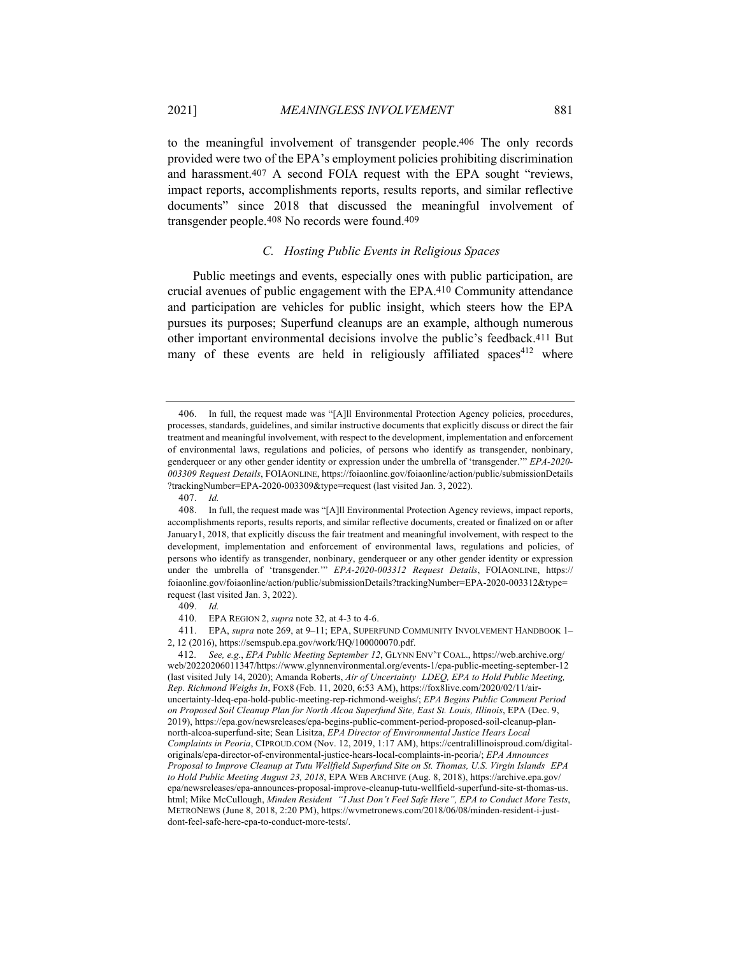to the meaningful involvement of transgender people.406 The only records provided were two of the EPA's employment policies prohibiting discrimination and harassment.407 A second FOIA request with the EPA sought "reviews, impact reports, accomplishments reports, results reports, and similar reflective documents" since 2018 that discussed the meaningful involvement of transgender people.408 No records were found.409

## *C. Hosting Public Events in Religious Spaces*

Public meetings and events, especially ones with public participation, are crucial avenues of public engagement with the EPA.410 Community attendance and participation are vehicles for public insight, which steers how the EPA pursues its purposes; Superfund cleanups are an example, although numerous other important environmental decisions involve the public's feedback.411 But many of these events are held in religiously affiliated spaces<sup>412</sup> where

410. EPA REGION 2, *supra* note 32, at 4-3 to 4-6.

411. EPA, *supra* note 269, at 9–11; EPA, SUPERFUND COMMUNITY INVOLVEMENT HANDBOOK 1– 2, 12 (2016), https://semspub.epa.gov/work/HQ/100000070.pdf.

<sup>406.</sup> In full, the request made was "[A]ll Environmental Protection Agency policies, procedures, processes, standards, guidelines, and similar instructive documents that explicitly discuss or direct the fair treatment and meaningful involvement, with respect to the development, implementation and enforcement of environmental laws, regulations and policies, of persons who identify as transgender, nonbinary, genderqueer or any other gender identity or expression under the umbrella of 'transgender.'" *EPA-2020- 003309 Request Details*, FOIAONLINE, https://foiaonline.gov/foiaonline/action/public/submissionDetails ?trackingNumber=EPA-2020-003309&type=request (last visited Jan. 3, 2022).

<sup>407.</sup> *Id.*

<sup>408.</sup> In full, the request made was "[A]ll Environmental Protection Agency reviews, impact reports, accomplishments reports, results reports, and similar reflective documents, created or finalized on or after January1, 2018, that explicitly discuss the fair treatment and meaningful involvement, with respect to the development, implementation and enforcement of environmental laws, regulations and policies, of persons who identify as transgender, nonbinary, genderqueer or any other gender identity or expression under the umbrella of 'transgender.'" *EPA-2020-003312 Request Details*, FOIAONLINE, https:// foiaonline.gov/foiaonline/action/public/submissionDetails?trackingNumber=EPA-2020-003312&type= request (last visited Jan. 3, 2022).

<sup>409.</sup> *Id.*

<sup>412.</sup> *See, e.g.*, *EPA Public Meeting September 12*, GLYNN ENV'T COAL., https://web.archive.org/ web/20220206011347/https://www.glynnenvironmental.org/events-1/epa-public-meeting-september-12 (last visited July 14, 2020); Amanda Roberts, *Air of Uncertainty LDEQ, EPA to Hold Public Meeting, Rep. Richmond Weighs In*, FOX8 (Feb. 11, 2020, 6:53 AM), https://fox8live.com/2020/02/11/airuncertainty-ldeq-epa-hold-public-meeting-rep-richmond-weighs/; *EPA Begins Public Comment Period on Proposed Soil Cleanup Plan for North Alcoa Superfund Site, East St. Louis, Illinois*, EPA (Dec. 9, 2019), https://epa.gov/newsreleases/epa-begins-public-comment-period-proposed-soil-cleanup-plannorth-alcoa-superfund-site; Sean Lisitza, *EPA Director of Environmental Justice Hears Local Complaints in Peoria*, CIPROUD.COM (Nov. 12, 2019, 1:17 AM), https://centralillinoisproud.com/digitaloriginals/epa-director-of-environmental-justice-hears-local-complaints-in-peoria/; *EPA Announces Proposal to Improve Cleanup at Tutu Wellfield Superfund Site on St. Thomas, U.S. Virgin Islands EPA to Hold Public Meeting August 23, 2018*, EPA WEB ARCHIVE (Aug. 8, 2018), https://archive.epa.gov/ epa/newsreleases/epa-announces-proposal-improve-cleanup-tutu-wellfield-superfund-site-st-thomas-us. html; Mike McCullough, *Minden Resident "I Just Don't Feel Safe Here", EPA to Conduct More Tests*, METRONEWS (June 8, 2018, 2:20 PM), https://wvmetronews.com/2018/06/08/minden-resident-i-justdont-feel-safe-here-epa-to-conduct-more-tests/.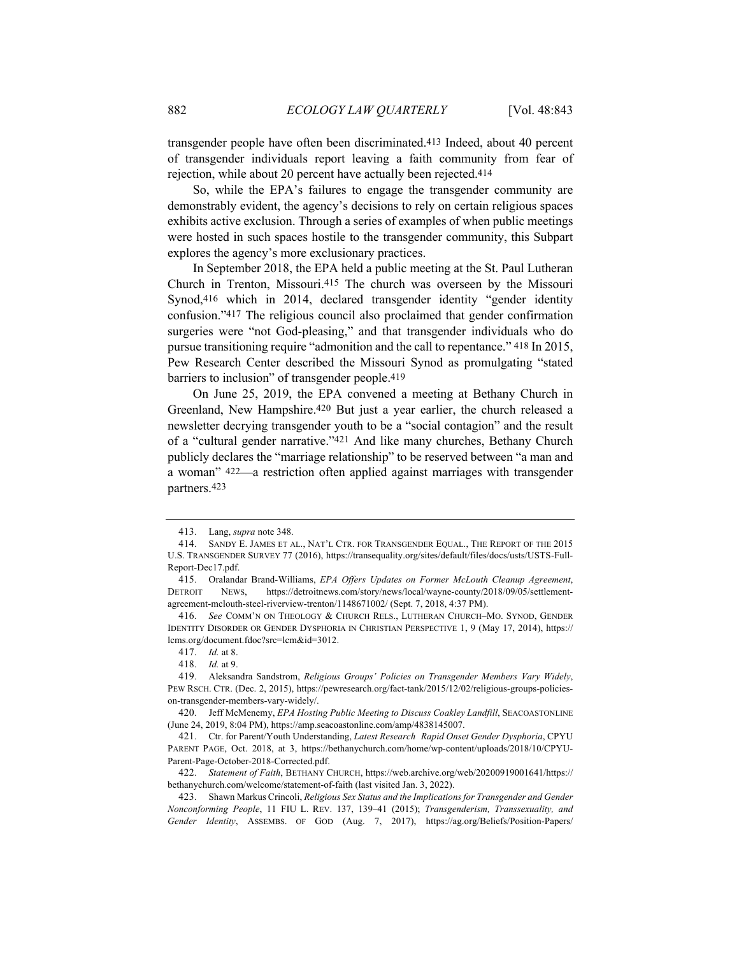transgender people have often been discriminated.413 Indeed, about 40 percent of transgender individuals report leaving a faith community from fear of rejection, while about 20 percent have actually been rejected.414

So, while the EPA's failures to engage the transgender community are demonstrably evident, the agency's decisions to rely on certain religious spaces exhibits active exclusion. Through a series of examples of when public meetings were hosted in such spaces hostile to the transgender community, this Subpart explores the agency's more exclusionary practices.

In September 2018, the EPA held a public meeting at the St. Paul Lutheran Church in Trenton, Missouri.415 The church was overseen by the Missouri Synod,416 which in 2014, declared transgender identity "gender identity confusion."417 The religious council also proclaimed that gender confirmation surgeries were "not God-pleasing," and that transgender individuals who do pursue transitioning require "admonition and the call to repentance." 418 In 2015, Pew Research Center described the Missouri Synod as promulgating "stated barriers to inclusion" of transgender people.419

On June 25, 2019, the EPA convened a meeting at Bethany Church in Greenland, New Hampshire.420 But just a year earlier, the church released a newsletter decrying transgender youth to be a "social contagion" and the result of a "cultural gender narrative."421 And like many churches, Bethany Church publicly declares the "marriage relationship" to be reserved between "a man and a woman" 422—a restriction often applied against marriages with transgender partners.423

<sup>413.</sup> Lang, *supra* note 348.

<sup>414.</sup> SANDY E. JAMES ET AL., NAT'L CTR. FOR TRANSGENDER EQUAL., THE REPORT OF THE 2015 U.S. TRANSGENDER SURVEY 77 (2016), https://transequality.org/sites/default/files/docs/usts/USTS-Full-Report-Dec17.pdf.

<sup>415.</sup> Oralandar Brand-Williams, *EPA Offers Updates on Former McLouth Cleanup Agreement*, DETROIT NEWS, https://detroitnews.com/story/news/local/wayne-county/2018/09/05/settlementagreement-mclouth-steel-riverview-trenton/1148671002/ (Sept. 7, 2018, 4:37 PM).

<sup>416.</sup> *See* COMM'N ON THEOLOGY & CHURCH RELS., LUTHERAN CHURCH–MO. SYNOD, GENDER IDENTITY DISORDER OR GENDER DYSPHORIA IN CHRISTIAN PERSPECTIVE 1, 9 (May 17, 2014), https:// lcms.org/document.fdoc?src=lcm&id=3012.

<sup>417.</sup> *Id.* at 8.

<sup>418.</sup> *Id.* at 9.

<sup>419.</sup> Aleksandra Sandstrom, *Religious Groups' Policies on Transgender Members Vary Widely*, PEW RSCH. CTR. (Dec. 2, 2015), https://pewresearch.org/fact-tank/2015/12/02/religious-groups-policieson-transgender-members-vary-widely/.

<sup>420.</sup> Jeff McMenemy, *EPA Hosting Public Meeting to Discuss Coakley Landfill*, SEACOASTONLINE (June 24, 2019, 8:04 PM), https://amp.seacoastonline.com/amp/4838145007.

<sup>421.</sup> Ctr. for Parent/Youth Understanding, *Latest Research Rapid Onset Gender Dysphoria*, CPYU PARENT PAGE, Oct. 2018, at 3, https://bethanychurch.com/home/wp-content/uploads/2018/10/CPYU-Parent-Page-October-2018-Corrected.pdf.

<sup>422.</sup> *Statement of Faith*, BETHANY CHURCH, https://web.archive.org/web/20200919001641/https:// bethanychurch.com/welcome/statement-of-faith (last visited Jan. 3, 2022).

<sup>423.</sup> Shawn Markus Crincoli, *Religious Sex Status and the Implications for Transgender and Gender Nonconforming People*, 11 FIU L. REV. 137, 139–41 (2015); *Transgenderism, Transsexuality, and Gender Identity*, ASSEMBS. OF GOD (Aug. 7, 2017), https://ag.org/Beliefs/Position-Papers/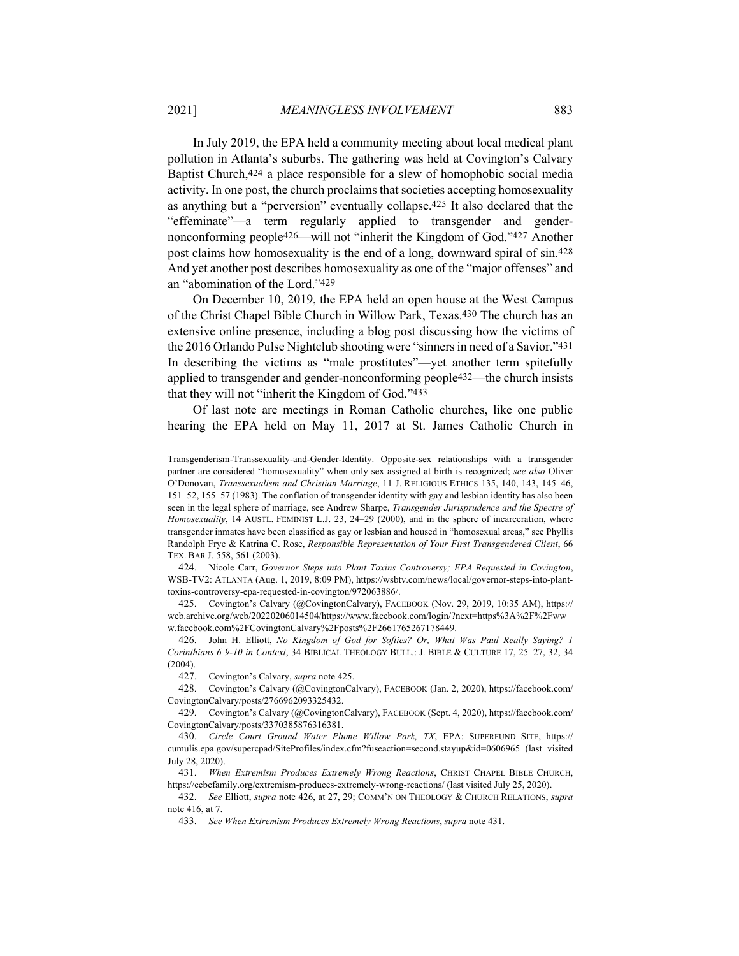In July 2019, the EPA held a community meeting about local medical plant pollution in Atlanta's suburbs. The gathering was held at Covington's Calvary Baptist Church,424 a place responsible for a slew of homophobic social media activity. In one post, the church proclaims that societies accepting homosexuality as anything but a "perversion" eventually collapse.425 It also declared that the "effeminate"—a term regularly applied to transgender and gendernonconforming people426—will not "inherit the Kingdom of God."427 Another post claims how homosexuality is the end of a long, downward spiral of sin.428 And yet another post describes homosexuality as one of the "major offenses" and an "abomination of the Lord."429

On December 10, 2019, the EPA held an open house at the West Campus of the Christ Chapel Bible Church in Willow Park, Texas.430 The church has an extensive online presence, including a blog post discussing how the victims of the 2016 Orlando Pulse Nightclub shooting were "sinners in need of a Savior."431 In describing the victims as "male prostitutes"—yet another term spitefully applied to transgender and gender-nonconforming people432—the church insists that they will not "inherit the Kingdom of God."433

Of last note are meetings in Roman Catholic churches, like one public hearing the EPA held on May 11, 2017 at St. James Catholic Church in

425. Covington's Calvary (@CovingtonCalvary), FACEBOOK (Nov. 29, 2019, 10:35 AM), https:// web.archive.org/web/20220206014504/https://www.facebook.com/login/?next=https%3A%2F%2Fww w.facebook.com%2FCovingtonCalvary%2Fposts%2F2661765267178449.

426. John H. Elliott, *No Kingdom of God for Softies? Or, What Was Paul Really Saying? 1 Corinthians 6 9-10 in Context*, 34 BIBLICAL THEOLOGY BULL.: J. BIBLE & CULTURE 17, 25–27, 32, 34 (2004).

429. Covington's Calvary (@CovingtonCalvary), FACEBOOK (Sept. 4, 2020), https://facebook.com/ CovingtonCalvary/posts/3370385876316381.

431. *When Extremism Produces Extremely Wrong Reactions*, CHRIST CHAPEL BIBLE CHURCH, https://ccbcfamily.org/extremism-produces-extremely-wrong-reactions/ (last visited July 25, 2020).

Transgenderism-Transsexuality-and-Gender-Identity. Opposite-sex relationships with a transgender partner are considered "homosexuality" when only sex assigned at birth is recognized; *see also* Oliver O'Donovan, *Transsexualism and Christian Marriage*, 11 J. RELIGIOUS ETHICS 135, 140, 143, 145–46, 151–52, 155–57 (1983). The conflation of transgender identity with gay and lesbian identity has also been seen in the legal sphere of marriage, see Andrew Sharpe, *Transgender Jurisprudence and the Spectre of Homosexuality*, 14 AUSTL. FEMINIST L.J. 23, 24–29 (2000), and in the sphere of incarceration, where transgender inmates have been classified as gay or lesbian and housed in "homosexual areas," see Phyllis Randolph Frye & Katrina C. Rose, *Responsible Representation of Your First Transgendered Client*, 66 TEX. BAR J. 558, 561 (2003).

<sup>424.</sup> Nicole Carr, *Governor Steps into Plant Toxins Controversy; EPA Requested in Covington*, WSB-TV2: ATLANTA (Aug. 1, 2019, 8:09 PM), https://wsbtv.com/news/local/governor-steps-into-planttoxins-controversy-epa-requested-in-covington/972063886/.

<sup>427.</sup> Covington's Calvary, *supra* note 425.

<sup>428.</sup> Covington's Calvary (@CovingtonCalvary), FACEBOOK (Jan. 2, 2020), https://facebook.com/ CovingtonCalvary/posts/2766962093325432.

<sup>430.</sup> *Circle Court Ground Water Plume Willow Park, TX*, EPA: SUPERFUND SITE, https:// cumulis.epa.gov/supercpad/SiteProfiles/index.cfm?fuseaction=second.stayup&id=0606965 (last visited July 28, 2020).

<sup>432.</sup> *See* Elliott, *supra* note 426, at 27, 29; COMM'N ON THEOLOGY & CHURCH RELATIONS, *supra*  note 416, at 7.

<sup>433.</sup> *See When Extremism Produces Extremely Wrong Reactions*, *supra* note 431.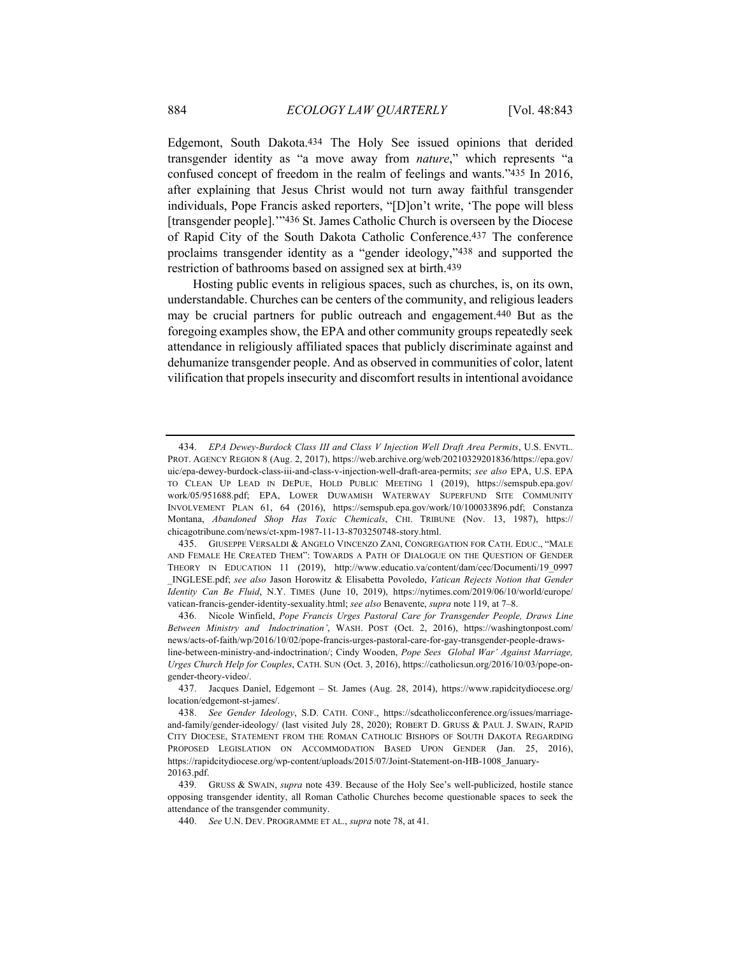Edgemont, South Dakota.434 The Holy See issued opinions that derided transgender identity as "a move away from *nature*," which represents "a confused concept of freedom in the realm of feelings and wants."435 In 2016, after explaining that Jesus Christ would not turn away faithful transgender individuals, Pope Francis asked reporters, "[D]on't write, 'The pope will bless [transgender people].'"436 St. James Catholic Church is overseen by the Diocese of Rapid City of the South Dakota Catholic Conference.437 The conference proclaims transgender identity as a "gender ideology,"438 and supported the restriction of bathrooms based on assigned sex at birth.439

Hosting public events in religious spaces, such as churches, is, on its own, understandable. Churches can be centers of the community, and religious leaders may be crucial partners for public outreach and engagement.440 But as the foregoing examples show, the EPA and other community groups repeatedly seek attendance in religiously affiliated spaces that publicly discriminate against and dehumanize transgender people. And as observed in communities of color, latent vilification that propels insecurity and discomfort results in intentional avoidance

<sup>434.</sup> *EPA Dewey-Burdock Class III and Class V Injection Well Draft Area Permits*, U.S. ENVTL. PROT. AGENCY REGION 8 (Aug. 2, 2017), https://web.archive.org/web/20210329201836/https://epa.gov/ uic/epa-dewey-burdock-class-iii-and-class-v-injection-well-draft-area-permits; *see also* EPA, U.S. EPA TO CLEAN UP LEAD IN DEPUE, HOLD PUBLIC MEETING 1 (2019), https://semspub.epa.gov/ work/05/951688.pdf; EPA, LOWER DUWAMISH WATERWAY SUPERFUND SITE COMMUNITY INVOLVEMENT PLAN 61, 64 (2016), https://semspub.epa.gov/work/10/100033896.pdf; Constanza Montana, *Abandoned Shop Has Toxic Chemicals*, CHI. TRIBUNE (Nov. 13, 1987), https:// chicagotribune.com/news/ct-xpm-1987-11-13-8703250748-story.html.

<sup>435.</sup> GIUSEPPE VERSALDI & ANGELO VINCENZO ZANI, CONGREGATION FOR CATH. EDUC., "MALE AND FEMALE HE CREATED THEM": TOWARDS A PATH OF DIALOGUE ON THE QUESTION OF GENDER THEORY IN EDUCATION 11 (2019), http://www.educatio.va/content/dam/cec/Documenti/19\_0997 \_INGLESE.pdf; *see also* Jason Horowitz & Elisabetta Povoledo, *Vatican Rejects Notion that Gender Identity Can Be Fluid*, N.Y. TIMES (June 10, 2019), https://nytimes.com/2019/06/10/world/europe/ vatican-francis-gender-identity-sexuality.html; *see also* Benavente, *supra* note 119, at 7–8.

<sup>436.</sup> Nicole Winfield, *Pope Francis Urges Pastoral Care for Transgender People, Draws Line Between Ministry and Indoctrination'*, WASH. POST (Oct. 2, 2016), https://washingtonpost.com/ news/acts-of-faith/wp/2016/10/02/pope-francis-urges-pastoral-care-for-gay-transgender-people-drawsline-between-ministry-and-indoctrination/; Cindy Wooden, *Pope Sees Global War' Against Marriage,* 

*Urges Church Help for Couples*, CATH. SUN (Oct. 3, 2016), https://catholicsun.org/2016/10/03/pope-ongender-theory-video/.

<sup>437.</sup> Jacques Daniel, Edgemont – St. James (Aug. 28, 2014), https://www.rapidcitydiocese.org/ location/edgemont-st-james/.

<sup>438.</sup> *See Gender Ideology*, S.D. CATH. CONF., https://sdcatholicconference.org/issues/marriageand-family/gender-ideology/ (last visited July 28, 2020); ROBERT D. GRUSS & PAUL J. SWAIN, RAPID CITY DIOCESE, STATEMENT FROM THE ROMAN CATHOLIC BISHOPS OF SOUTH DAKOTA REGARDING PROPOSED LEGISLATION ON ACCOMMODATION BASED UPON GENDER (Jan. 25, 2016), https://rapidcitydiocese.org/wp-content/uploads/2015/07/Joint-Statement-on-HB-1008\_January-20163.pdf.

<sup>439.</sup> GRUSS & SWAIN, *supra* note 439. Because of the Holy See's well-publicized, hostile stance opposing transgender identity, all Roman Catholic Churches become questionable spaces to seek the attendance of the transgender community.

<sup>440.</sup> *See* U.N. DEV. PROGRAMME ET AL., *supra* note 78, at 41.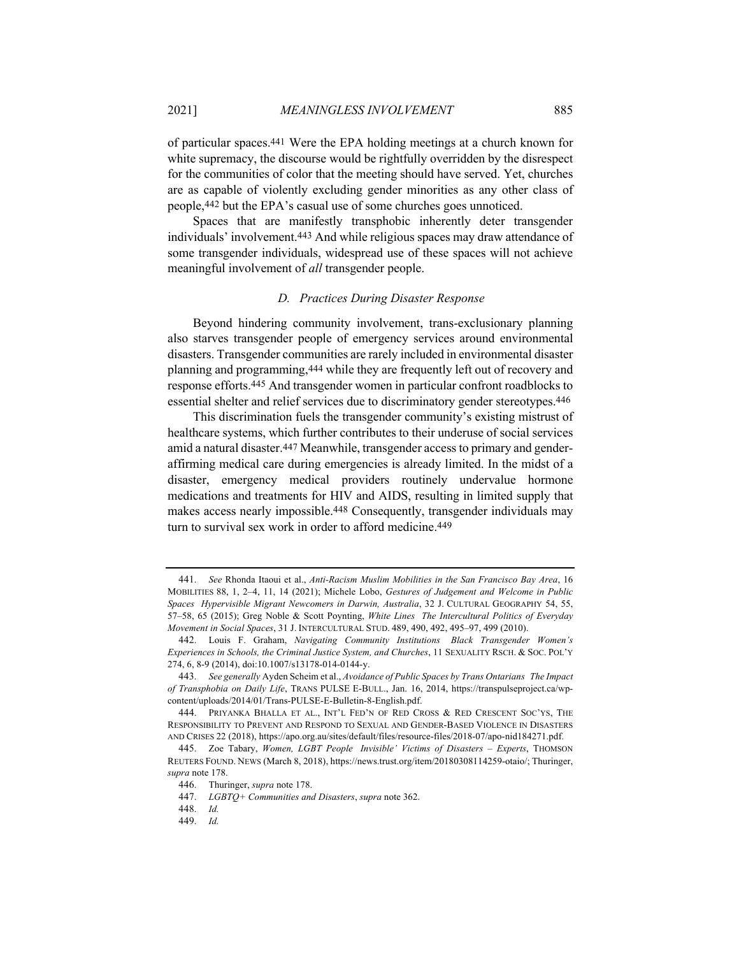of particular spaces.441 Were the EPA holding meetings at a church known for white supremacy, the discourse would be rightfully overridden by the disrespect for the communities of color that the meeting should have served. Yet, churches are as capable of violently excluding gender minorities as any other class of people,442 but the EPA's casual use of some churches goes unnoticed.

Spaces that are manifestly transphobic inherently deter transgender individuals' involvement.443 And while religious spaces may draw attendance of some transgender individuals, widespread use of these spaces will not achieve meaningful involvement of *all* transgender people.

#### *D. Practices During Disaster Response*

Beyond hindering community involvement, trans-exclusionary planning also starves transgender people of emergency services around environmental disasters. Transgender communities are rarely included in environmental disaster planning and programming,444 while they are frequently left out of recovery and response efforts.445 And transgender women in particular confront roadblocks to essential shelter and relief services due to discriminatory gender stereotypes.446

This discrimination fuels the transgender community's existing mistrust of healthcare systems, which further contributes to their underuse of social services amid a natural disaster.447 Meanwhile, transgender access to primary and genderaffirming medical care during emergencies is already limited. In the midst of a disaster, emergency medical providers routinely undervalue hormone medications and treatments for HIV and AIDS, resulting in limited supply that makes access nearly impossible.448 Consequently, transgender individuals may turn to survival sex work in order to afford medicine.449

<sup>441.</sup> *See* Rhonda Itaoui et al., *Anti-Racism Muslim Mobilities in the San Francisco Bay Area*, 16 MOBILITIES 88, 1, 2–4, 11, 14 (2021); Michele Lobo, *Gestures of Judgement and Welcome in Public Spaces Hypervisible Migrant Newcomers in Darwin, Australia*, 32 J. CULTURAL GEOGRAPHY 54, 55, 57–58, 65 (2015); Greg Noble & Scott Poynting, *White Lines The Intercultural Politics of Everyday Movement in Social Spaces*, 31 J. INTERCULTURAL STUD. 489, 490, 492, 495–97, 499 (2010).

<sup>442.</sup> Louis F. Graham, *Navigating Community Institutions Black Transgender Women's Experiences in Schools, the Criminal Justice System, and Churches*, 11 SEXUALITY RSCH. & SOC. POL'Y 274, 6, 8-9 (2014), doi:10.1007/s13178-014-0144-y.

<sup>443.</sup> *See generally* Ayden Scheim et al., *Avoidance of Public Spaces by Trans Ontarians The Impact of Transphobia on Daily Life*, TRANS PULSE E-BULL., Jan. 16, 2014, https://transpulseproject.ca/wpcontent/uploads/2014/01/Trans-PULSE-E-Bulletin-8-English.pdf.

<sup>444.</sup> PRIYANKA BHALLA ET AL., INT'L FED'N OF RED CROSS & RED CRESCENT SOC'YS, THE RESPONSIBILITY TO PREVENT AND RESPOND TO SEXUAL AND GENDER-BASED VIOLENCE IN DISASTERS AND CRISES 22 (2018), https://apo.org.au/sites/default/files/resource-files/2018-07/apo-nid184271.pdf.

<sup>445.</sup> Zoe Tabary, *Women, LGBT People Invisible' Victims of Disasters – Experts*, THOMSON REUTERS FOUND. NEWS (March 8, 2018), https://news.trust.org/item/20180308114259-otaio/; Thuringer, *supra* note 178.

<sup>446.</sup> Thuringer, *supra* note 178.

<sup>447.</sup> *LGBTQ+ Communities and Disasters*, *supra* note 362.

<sup>448.</sup> *Id.*

<sup>449.</sup> *Id.*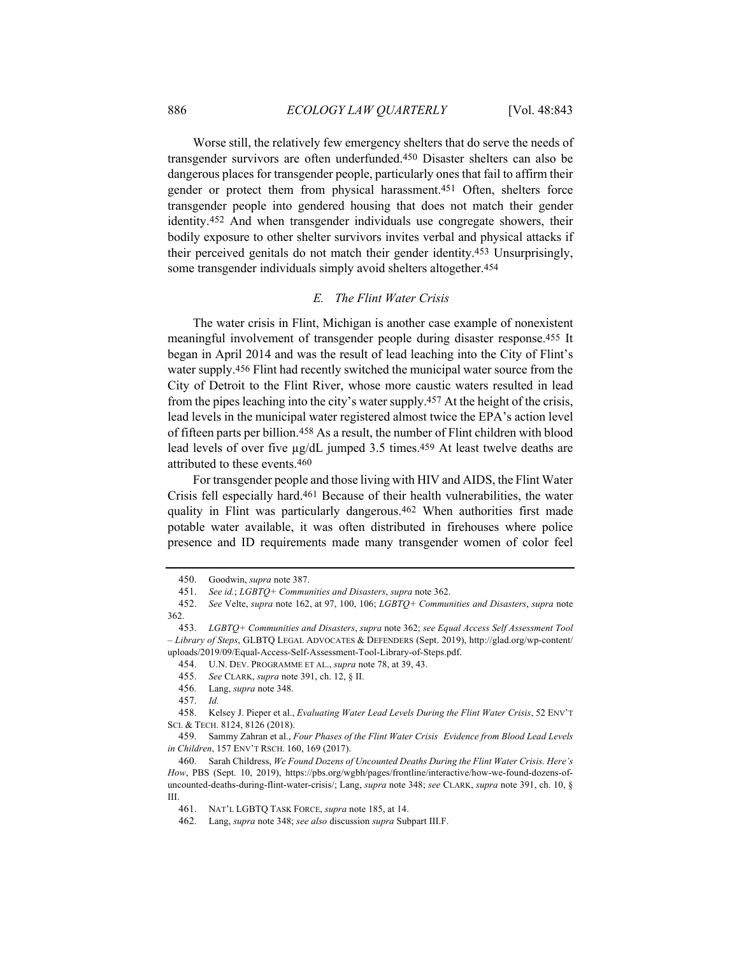Worse still, the relatively few emergency shelters that do serve the needs of transgender survivors are often underfunded.450 Disaster shelters can also be dangerous places for transgender people, particularly ones that fail to affirm their gender or protect them from physical harassment.451 Often, shelters force transgender people into gendered housing that does not match their gender identity.452 And when transgender individuals use congregate showers, their bodily exposure to other shelter survivors invites verbal and physical attacks if their perceived genitals do not match their gender identity.453 Unsurprisingly, some transgender individuals simply avoid shelters altogether.454

## *E. The Flint Water Crisis*

The water crisis in Flint, Michigan is another case example of nonexistent meaningful involvement of transgender people during disaster response.455 It began in April 2014 and was the result of lead leaching into the City of Flint's water supply.456 Flint had recently switched the municipal water source from the City of Detroit to the Flint River, whose more caustic waters resulted in lead from the pipes leaching into the city's water supply.457 At the height of the crisis, lead levels in the municipal water registered almost twice the EPA's action level of fifteen parts per billion.458 As a result, the number of Flint children with blood lead levels of over five  $\mu$ g/dL jumped 3.5 times.<sup>459</sup> At least twelve deaths are attributed to these events.460

For transgender people and those living with HIV and AIDS, the Flint Water Crisis fell especially hard.461 Because of their health vulnerabilities, the water quality in Flint was particularly dangerous.<sup>462</sup> When authorities first made potable water available, it was often distributed in firehouses where police presence and ID requirements made many transgender women of color feel

<sup>450.</sup> Goodwin, *supra* note 387.

<sup>451.</sup> *See id.*; *LGBTQ+ Communities and Disasters*, *supra* note 362.

<sup>452.</sup> *See* Velte, *supra* note 162, at 97, 100, 106; *LGBTQ+ Communities and Disasters*, *supra* note 362.

<sup>453.</sup> *LGBTQ+ Communities and Disasters*, *supra* note 362; *see Equal Access Self Assessment Tool – Library of Steps*, GLBTQ LEGAL ADVOCATES & DEFENDERS (Sept. 2019), http://glad.org/wp-content/ uploads/2019/09/Equal-Access-Self-Assessment-Tool-Library-of-Steps.pdf.

<sup>454.</sup> U.N. DEV. PROGRAMME ET AL., *supra* note 78, at 39, 43.

<sup>455.</sup> *See* CLARK, *supra* note 391, ch. 12, § II.

<sup>456.</sup> Lang, *supra* note 348.

<sup>457.</sup> *Id.*

<sup>458.</sup> Kelsey J. Pieper et al., *Evaluating Water Lead Levels During the Flint Water Crisis*, 52 ENV'T SCI. & TECH. 8124, 8126 (2018).

<sup>459.</sup> Sammy Zahran et al., *Four Phases of the Flint Water Crisis Evidence from Blood Lead Levels in Children*, 157 ENV'T RSCH. 160, 169 (2017).

<sup>460.</sup> Sarah Childress, *We Found Dozens of Uncounted Deaths During the Flint Water Crisis. Here's How*, PBS (Sept. 10, 2019), https://pbs.org/wgbh/pages/frontline/interactive/how-we-found-dozens-ofuncounted-deaths-during-flint-water-crisis/; Lang, *supra* note 348; *see* CLARK, *supra* note 391, ch. 10, § III.

<sup>461.</sup> NAT'L LGBTQ TASK FORCE, *supra* note 185, at 14.

<sup>462.</sup> Lang, *supra* note 348; *see also* discussion *supra* Subpart III.F.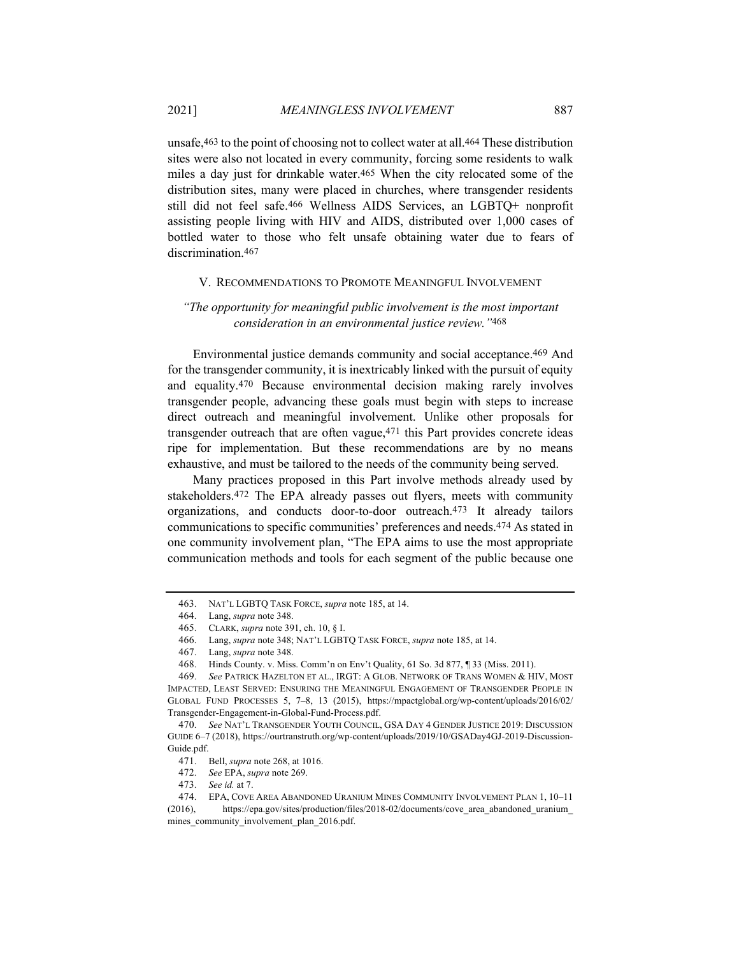unsafe,463 to the point of choosing not to collect water at all.464 These distribution sites were also not located in every community, forcing some residents to walk miles a day just for drinkable water.465 When the city relocated some of the distribution sites, many were placed in churches, where transgender residents still did not feel safe.466 Wellness AIDS Services, an LGBTQ+ nonprofit assisting people living with HIV and AIDS, distributed over 1,000 cases of bottled water to those who felt unsafe obtaining water due to fears of discrimination.<sup>467</sup>

#### V. RECOMMENDATIONS TO PROMOTE MEANINGFUL INVOLVEMENT

# *"The opportunity for meaningful public involvement is the most important consideration in an environmental justice review."*468

Environmental justice demands community and social acceptance.469 And for the transgender community, it is inextricably linked with the pursuit of equity and equality.470 Because environmental decision making rarely involves transgender people, advancing these goals must begin with steps to increase direct outreach and meaningful involvement. Unlike other proposals for transgender outreach that are often vague,471 this Part provides concrete ideas ripe for implementation. But these recommendations are by no means exhaustive, and must be tailored to the needs of the community being served.

Many practices proposed in this Part involve methods already used by stakeholders.472 The EPA already passes out flyers, meets with community organizations, and conducts door-to-door outreach.473 It already tailors communications to specific communities' preferences and needs.474 As stated in one community involvement plan, "The EPA aims to use the most appropriate communication methods and tools for each segment of the public because one

<sup>463.</sup> NAT'L LGBTQ TASK FORCE, *supra* note 185, at 14.

<sup>464.</sup> Lang, *supra* note 348.

<sup>465.</sup> CLARK, *supra* note 391, ch. 10, § I.

<sup>466.</sup> Lang, *supra* note 348; NAT'L LGBTQ TASK FORCE, *supra* note 185, at 14.

<sup>467.</sup> Lang, *supra* note 348.

<sup>468.</sup> Hinds County. v. Miss. Comm'n on Env't Quality, 61 So. 3d 877, ¶ 33 (Miss. 2011).

<sup>469.</sup> *See* PATRICK HAZELTON ET AL., IRGT: A GLOB. NETWORK OF TRANS WOMEN & HIV, MOST IMPACTED, LEAST SERVED: ENSURING THE MEANINGFUL ENGAGEMENT OF TRANSGENDER PEOPLE IN GLOBAL FUND PROCESSES 5, 7–8, 13 (2015), https://mpactglobal.org/wp-content/uploads/2016/02/ Transgender-Engagement-in-Global-Fund-Process.pdf.

<sup>470.</sup> *See* NAT'L TRANSGENDER YOUTH COUNCIL, GSA DAY 4 GENDER JUSTICE 2019: DISCUSSION GUIDE 6–7 (2018), https://ourtranstruth.org/wp-content/uploads/2019/10/GSADay4GJ-2019-Discussion-Guide.pdf.

<sup>471.</sup> Bell, *supra* note 268, at 1016.

<sup>472.</sup> *See* EPA, *supra* note 269.

<sup>473.</sup> *See id.* at 7.

<sup>474.</sup> EPA, COVE AREA ABANDONED URANIUM MINES COMMUNITY INVOLVEMENT PLAN 1, 10–11 (2016), https://epa.gov/sites/production/files/2018-02/documents/cove\_area\_abandoned\_uranium\_ mines\_community\_involvement\_plan\_2016.pdf.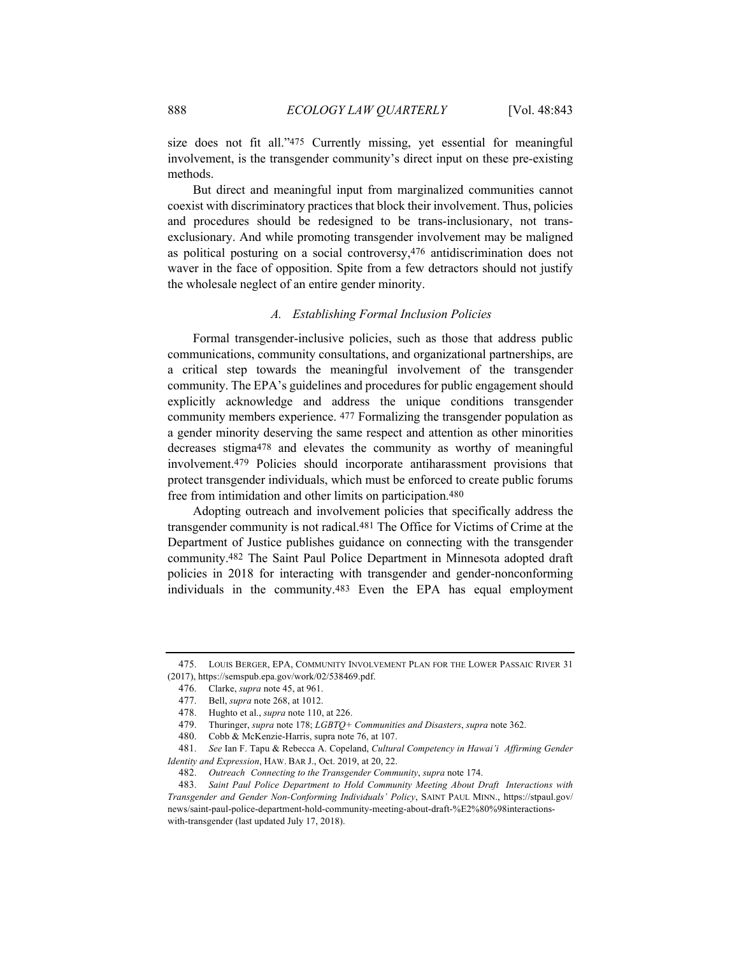size does not fit all."475 Currently missing, yet essential for meaningful involvement, is the transgender community's direct input on these pre-existing methods.

But direct and meaningful input from marginalized communities cannot coexist with discriminatory practices that block their involvement. Thus, policies and procedures should be redesigned to be trans-inclusionary, not transexclusionary. And while promoting transgender involvement may be maligned as political posturing on a social controversy,476 antidiscrimination does not waver in the face of opposition. Spite from a few detractors should not justify the wholesale neglect of an entire gender minority.

#### *A. Establishing Formal Inclusion Policies*

Formal transgender-inclusive policies, such as those that address public communications, community consultations, and organizational partnerships, are a critical step towards the meaningful involvement of the transgender community. The EPA's guidelines and procedures for public engagement should explicitly acknowledge and address the unique conditions transgender community members experience. 477 Formalizing the transgender population as a gender minority deserving the same respect and attention as other minorities decreases stigma478 and elevates the community as worthy of meaningful involvement.479 Policies should incorporate antiharassment provisions that protect transgender individuals, which must be enforced to create public forums free from intimidation and other limits on participation.480

Adopting outreach and involvement policies that specifically address the transgender community is not radical.481 The Office for Victims of Crime at the Department of Justice publishes guidance on connecting with the transgender community.482 The Saint Paul Police Department in Minnesota adopted draft policies in 2018 for interacting with transgender and gender-nonconforming individuals in the community.483 Even the EPA has equal employment

<sup>475.</sup> LOUIS BERGER, EPA, COMMUNITY INVOLVEMENT PLAN FOR THE LOWER PASSAIC RIVER 31 (2017), https://semspub.epa.gov/work/02/538469.pdf.

<sup>476.</sup> Clarke, *supra* note 45, at 961.

<sup>477.</sup> Bell, *supra* note 268, at 1012.

<sup>478.</sup> Hughto et al., *supra* note 110, at 226.

<sup>479.</sup> Thuringer, *supra* note 178; *LGBTQ+ Communities and Disasters*, *supra* note 362.

<sup>480.</sup> Cobb & McKenzie-Harris, supra note 76, at 107.

<sup>481.</sup> *See* Ian F. Tapu & Rebecca A. Copeland, *Cultural Competency in Hawai'i Affirming Gender Identity and Expression*, HAW. BAR J., Oct. 2019, at 20, 22.

<sup>482.</sup> *Outreach Connecting to the Transgender Community*, *supra* note 174.

<sup>483.</sup> *Saint Paul Police Department to Hold Community Meeting About Draft Interactions with Transgender and Gender Non-Conforming Individuals' Policy*, SAINT PAUL MINN., https://stpaul.gov/ news/saint-paul-police-department-hold-community-meeting-about-draft-%E2%80%98interactionswith-transgender (last updated July 17, 2018).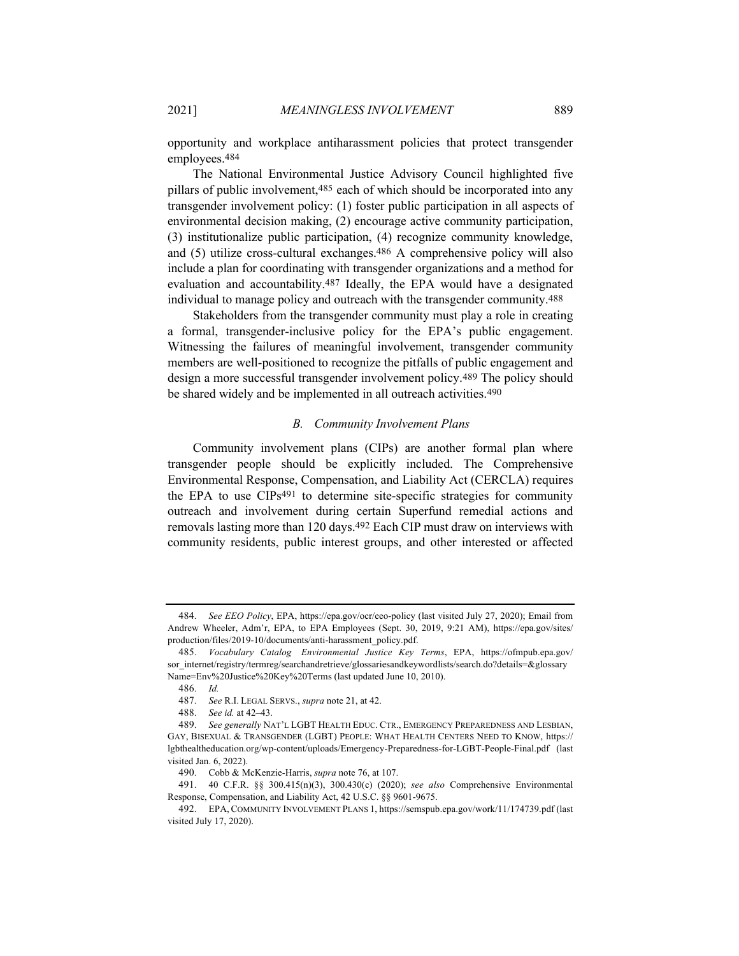opportunity and workplace antiharassment policies that protect transgender employees.484

The National Environmental Justice Advisory Council highlighted five pillars of public involvement,485 each of which should be incorporated into any transgender involvement policy: (1) foster public participation in all aspects of environmental decision making, (2) encourage active community participation, (3) institutionalize public participation, (4) recognize community knowledge, and (5) utilize cross-cultural exchanges.486 A comprehensive policy will also include a plan for coordinating with transgender organizations and a method for evaluation and accountability.487 Ideally, the EPA would have a designated individual to manage policy and outreach with the transgender community.488

Stakeholders from the transgender community must play a role in creating a formal, transgender-inclusive policy for the EPA's public engagement. Witnessing the failures of meaningful involvement, transgender community members are well-positioned to recognize the pitfalls of public engagement and design a more successful transgender involvement policy.489 The policy should be shared widely and be implemented in all outreach activities.490

#### *B. Community Involvement Plans*

Community involvement plans (CIPs) are another formal plan where transgender people should be explicitly included. The Comprehensive Environmental Response, Compensation, and Liability Act (CERCLA) requires the EPA to use CIPs491 to determine site-specific strategies for community outreach and involvement during certain Superfund remedial actions and removals lasting more than 120 days.492 Each CIP must draw on interviews with community residents, public interest groups, and other interested or affected

<sup>484.</sup> *See EEO Policy*, EPA, https://epa.gov/ocr/eeo-policy (last visited July 27, 2020); Email from Andrew Wheeler, Adm'r, EPA, to EPA Employees (Sept. 30, 2019, 9:21 AM), https://epa.gov/sites/ production/files/2019-10/documents/anti-harassment\_policy.pdf.

<sup>485.</sup> *Vocabulary Catalog Environmental Justice Key Terms*, EPA, https://ofmpub.epa.gov/ sor\_internet/registry/termreg/searchandretrieve/glossariesandkeywordlists/search.do?details=&glossary Name=Env%20Justice%20Key%20Terms (last updated June 10, 2010).

<sup>486.</sup> *Id.* 

<sup>487.</sup> *See* R.I. LEGAL SERVS., *supra* note 21, at 42.

<sup>488.</sup> *See id.* at 42–43.

<sup>489.</sup> *See generally* NAT'L LGBT HEALTH EDUC. CTR., EMERGENCY PREPAREDNESS AND LESBIAN, GAY, BISEXUAL & TRANSGENDER (LGBT) PEOPLE: WHAT HEALTH CENTERS NEED TO KNOW, https:// lgbthealtheducation.org/wp-content/uploads/Emergency-Preparedness-for-LGBT-People-Final.pdf (last visited Jan. 6, 2022).

<sup>490.</sup> Cobb & McKenzie-Harris, *supra* note 76, at 107.

<sup>491. 40</sup> C.F.R. §§ 300.415(n)(3), 300.430(c) (2020); *see also* Comprehensive Environmental Response, Compensation, and Liability Act, 42 U.S.C. §§ 9601-9675.

<sup>492.</sup> EPA, COMMUNITY INVOLVEMENT PLANS 1, https://semspub.epa.gov/work/11/174739.pdf (last visited July 17, 2020).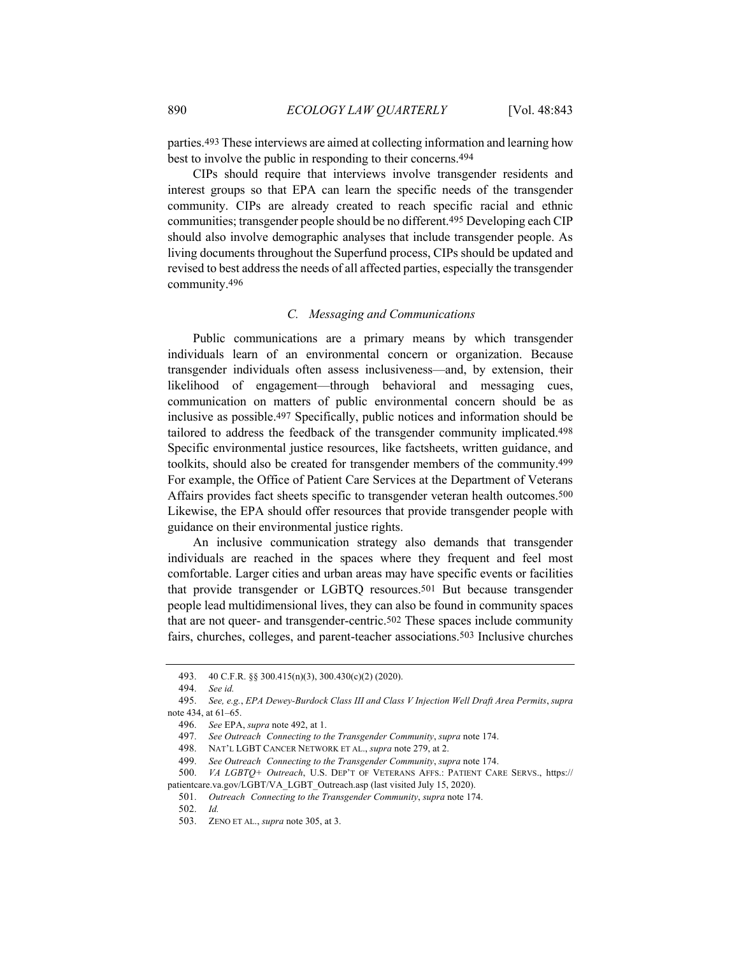parties.493 These interviews are aimed at collecting information and learning how best to involve the public in responding to their concerns.494

CIPs should require that interviews involve transgender residents and interest groups so that EPA can learn the specific needs of the transgender community. CIPs are already created to reach specific racial and ethnic communities; transgender people should be no different.495 Developing each CIP should also involve demographic analyses that include transgender people. As living documents throughout the Superfund process, CIPs should be updated and revised to best address the needs of all affected parties, especially the transgender community.496

#### *C. Messaging and Communications*

Public communications are a primary means by which transgender individuals learn of an environmental concern or organization. Because transgender individuals often assess inclusiveness—and, by extension, their likelihood of engagement—through behavioral and messaging cues, communication on matters of public environmental concern should be as inclusive as possible.497 Specifically, public notices and information should be tailored to address the feedback of the transgender community implicated.498 Specific environmental justice resources, like factsheets, written guidance, and toolkits, should also be created for transgender members of the community.499 For example, the Office of Patient Care Services at the Department of Veterans Affairs provides fact sheets specific to transgender veteran health outcomes.500 Likewise, the EPA should offer resources that provide transgender people with guidance on their environmental justice rights.

An inclusive communication strategy also demands that transgender individuals are reached in the spaces where they frequent and feel most comfortable. Larger cities and urban areas may have specific events or facilities that provide transgender or LGBTQ resources.501 But because transgender people lead multidimensional lives, they can also be found in community spaces that are not queer- and transgender-centric.502 These spaces include community fairs, churches, colleges, and parent-teacher associations.503 Inclusive churches

<sup>493. 40</sup> C.F.R. §§ 300.415(n)(3), 300.430(c)(2) (2020).

<sup>494.</sup> *See id.* 

<sup>495.</sup> *See, e.g.*, *EPA Dewey-Burdock Class III and Class V Injection Well Draft Area Permits*, *supra*  note 434, at 61–65.

<sup>496.</sup> *See* EPA, *supra* note 492, at 1.

<sup>497.</sup> *See Outreach Connecting to the Transgender Community*, *supra* note 174.

<sup>498.</sup> NAT'L LGBT CANCER NETWORK ET AL., *supra* note 279, at 2.

<sup>499.</sup> *See Outreach Connecting to the Transgender Community*, *supra* note 174.

<sup>500.</sup> *VA LGBTQ+ Outreach*, U.S. DEP'T OF VETERANS AFFS.: PATIENT CARE SERVS., https:// patientcare.va.gov/LGBT/VA\_LGBT\_Outreach.asp (last visited July 15, 2020).

<sup>501.</sup> *Outreach Connecting to the Transgender Community*, *supra* note 174.

<sup>502.</sup> *Id.*

<sup>503.</sup> ZENO ET AL., *supra* note 305, at 3.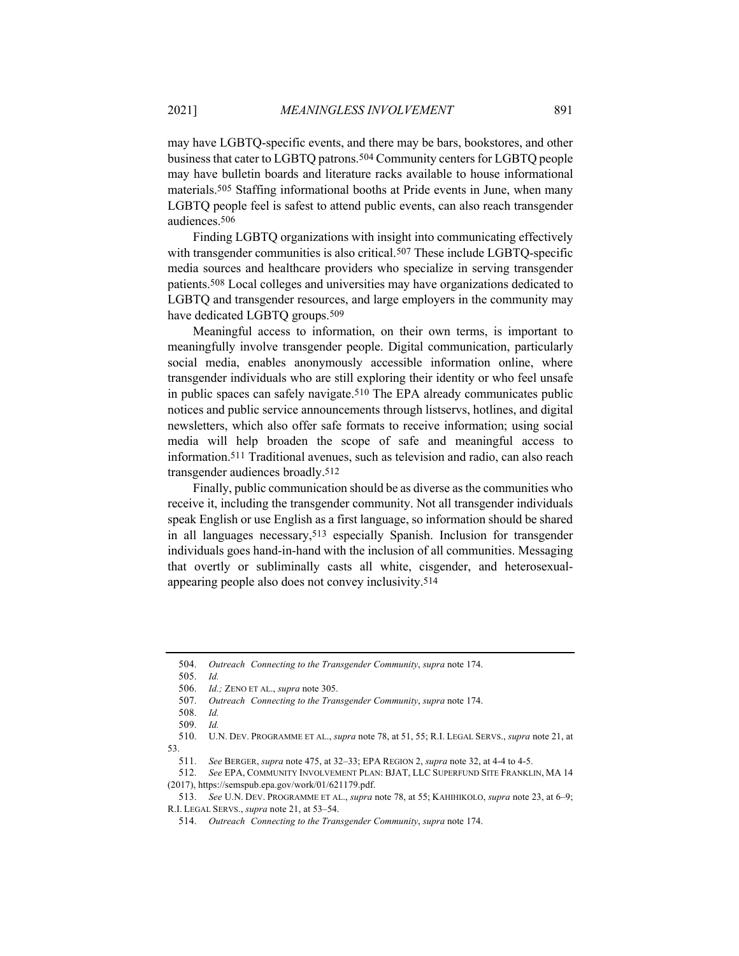may have LGBTQ-specific events, and there may be bars, bookstores, and other business that cater to LGBTQ patrons.504 Community centers for LGBTQ people may have bulletin boards and literature racks available to house informational materials.505 Staffing informational booths at Pride events in June, when many LGBTQ people feel is safest to attend public events, can also reach transgender audiences.506

Finding LGBTQ organizations with insight into communicating effectively with transgender communities is also critical.<sup>507</sup> These include LGBTQ-specific media sources and healthcare providers who specialize in serving transgender patients.508 Local colleges and universities may have organizations dedicated to LGBTQ and transgender resources, and large employers in the community may have dedicated LGBTQ groups.509

Meaningful access to information, on their own terms, is important to meaningfully involve transgender people. Digital communication, particularly social media, enables anonymously accessible information online, where transgender individuals who are still exploring their identity or who feel unsafe in public spaces can safely navigate.510 The EPA already communicates public notices and public service announcements through listservs, hotlines, and digital newsletters, which also offer safe formats to receive information; using social media will help broaden the scope of safe and meaningful access to information.511 Traditional avenues, such as television and radio, can also reach transgender audiences broadly.512

Finally, public communication should be as diverse as the communities who receive it, including the transgender community. Not all transgender individuals speak English or use English as a first language, so information should be shared in all languages necessary,513 especially Spanish. Inclusion for transgender individuals goes hand-in-hand with the inclusion of all communities. Messaging that overtly or subliminally casts all white, cisgender, and heterosexualappearing people also does not convey inclusivity.514

505. *Id.*

<sup>504.</sup> *Outreach Connecting to the Transgender Community*, *supra* note 174.

<sup>506.</sup> *Id.;* ZENO ET AL., *supra* note 305.

<sup>507.</sup> *Outreach Connecting to the Transgender Community*, *supra* note 174.

<sup>508.</sup> *Id.*

<sup>509.</sup> *Id.*

<sup>510.</sup> U.N. DEV. PROGRAMME ET AL., *supra* note 78, at 51, 55; R.I. LEGAL SERVS., *supra* note 21, at 53.

<sup>511.</sup> *See* BERGER, *supra* note 475, at 32–33; EPA REGION 2, *supra* note 32, at 4-4 to 4-5.

<sup>512.</sup> *See* EPA, COMMUNITY INVOLVEMENT PLAN: BJAT, LLC SUPERFUND SITE FRANKLIN, MA 14 (2017), https://semspub.epa.gov/work/01/621179.pdf.

<sup>513.</sup> *See* U.N. DEV. PROGRAMME ET AL., *supra* note 78, at 55; KAHIHIKOLO, *supra* note 23, at 6–9; R.I. LEGAL SERVS., *supra* note 21, at 53–54.

<sup>514.</sup> *Outreach Connecting to the Transgender Community*, *supra* note 174.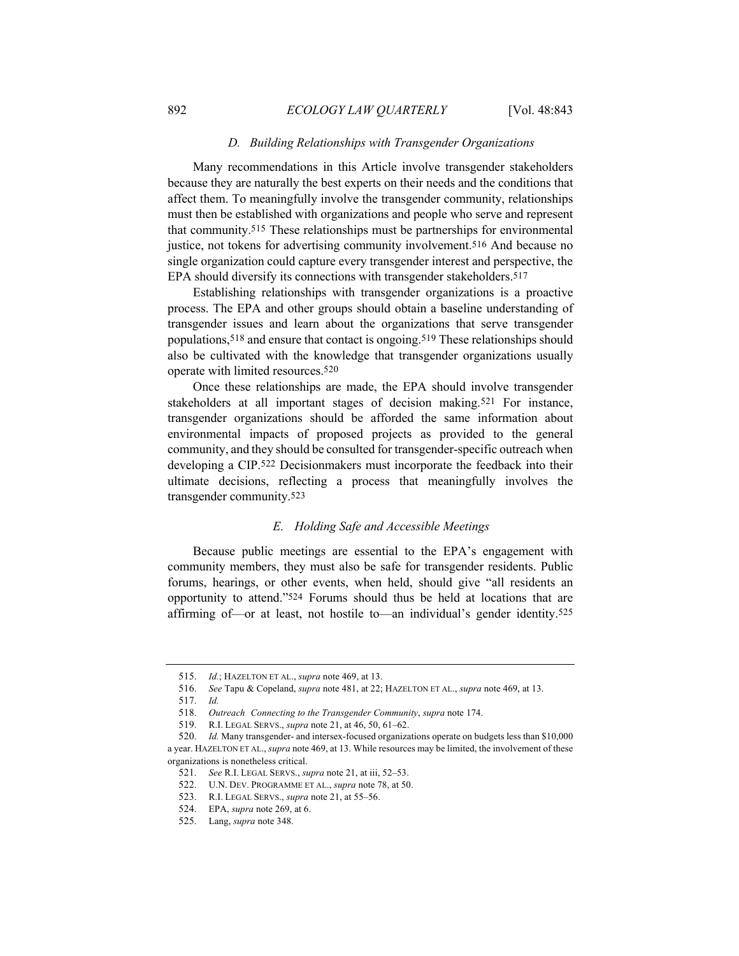#### *D. Building Relationships with Transgender Organizations*

Many recommendations in this Article involve transgender stakeholders because they are naturally the best experts on their needs and the conditions that affect them. To meaningfully involve the transgender community, relationships must then be established with organizations and people who serve and represent that community.515 These relationships must be partnerships for environmental justice, not tokens for advertising community involvement.<sup>516</sup> And because no single organization could capture every transgender interest and perspective, the EPA should diversify its connections with transgender stakeholders.517

Establishing relationships with transgender organizations is a proactive process. The EPA and other groups should obtain a baseline understanding of transgender issues and learn about the organizations that serve transgender populations,518 and ensure that contact is ongoing.519 These relationships should also be cultivated with the knowledge that transgender organizations usually operate with limited resources.520

Once these relationships are made, the EPA should involve transgender stakeholders at all important stages of decision making.521 For instance, transgender organizations should be afforded the same information about environmental impacts of proposed projects as provided to the general community, and they should be consulted for transgender-specific outreach when developing a CIP.522 Decisionmakers must incorporate the feedback into their ultimate decisions, reflecting a process that meaningfully involves the transgender community.523

# *E. Holding Safe and Accessible Meetings*

Because public meetings are essential to the EPA's engagement with community members, they must also be safe for transgender residents. Public forums, hearings, or other events, when held, should give "all residents an opportunity to attend."524 Forums should thus be held at locations that are affirming of—or at least, not hostile to—an individual's gender identity.525

<sup>515.</sup> *Id.*; HAZELTON ET AL., *supra* note 469, at 13.

<sup>516.</sup> *See* Tapu & Copeland, *supra* note 481, at 22; HAZELTON ET AL., *supra* note 469, at 13.

<sup>517.</sup> *Id.*

<sup>518.</sup> *Outreach Connecting to the Transgender Community*, *supra* note 174.

<sup>519.</sup> R.I. LEGAL SERVS., *supra* note 21, at 46, 50, 61–62.

<sup>520.</sup> *Id.* Many transgender- and intersex-focused organizations operate on budgets less than \$10,000 a year. HAZELTON ET AL., *supra* note 469, at 13. While resources may be limited, the involvement of these organizations is nonetheless critical.

<sup>521.</sup> *See* R.I. LEGAL SERVS., *supra* note 21, at iii, 52–53.

<sup>522.</sup> U.N. DEV. PROGRAMME ET AL., *supra* note 78, at 50.

<sup>523.</sup> R.I. LEGAL SERVS., *supra* note 21, at 55–56.

<sup>524.</sup> EPA, *supra* note 269, at 6.

<sup>525.</sup> Lang, *supra* note 348.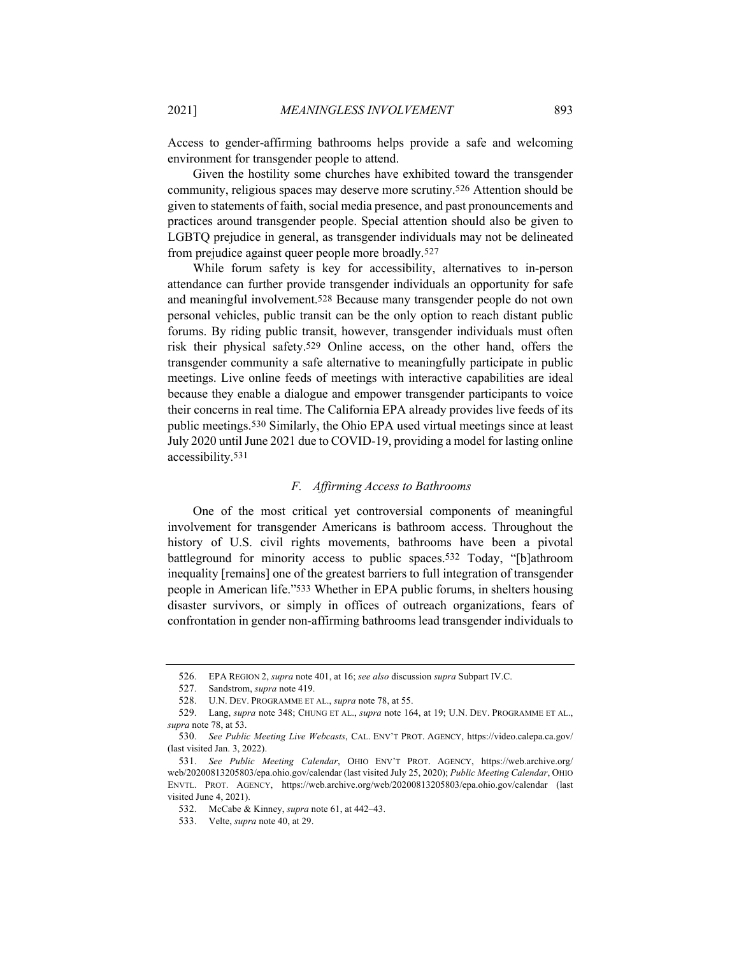Access to gender-affirming bathrooms helps provide a safe and welcoming environment for transgender people to attend.

Given the hostility some churches have exhibited toward the transgender community, religious spaces may deserve more scrutiny.526 Attention should be given to statements of faith, social media presence, and past pronouncements and practices around transgender people. Special attention should also be given to LGBTQ prejudice in general, as transgender individuals may not be delineated from prejudice against queer people more broadly.527

While forum safety is key for accessibility, alternatives to in-person attendance can further provide transgender individuals an opportunity for safe and meaningful involvement.528 Because many transgender people do not own personal vehicles, public transit can be the only option to reach distant public forums. By riding public transit, however, transgender individuals must often risk their physical safety.529 Online access, on the other hand, offers the transgender community a safe alternative to meaningfully participate in public meetings. Live online feeds of meetings with interactive capabilities are ideal because they enable a dialogue and empower transgender participants to voice their concerns in real time. The California EPA already provides live feeds of its public meetings.530 Similarly, the Ohio EPA used virtual meetings since at least July 2020 until June 2021 due to COVID-19, providing a model for lasting online accessibility.531

#### *F. Affirming Access to Bathrooms*

One of the most critical yet controversial components of meaningful involvement for transgender Americans is bathroom access. Throughout the history of U.S. civil rights movements, bathrooms have been a pivotal battleground for minority access to public spaces.532 Today, "[b]athroom inequality [remains] one of the greatest barriers to full integration of transgender people in American life."533 Whether in EPA public forums, in shelters housing disaster survivors, or simply in offices of outreach organizations, fears of confrontation in gender non-affirming bathrooms lead transgender individuals to

<sup>526.</sup> EPA REGION 2, *supra* note 401, at 16; *see also* discussion *supra* Subpart IV.C.

<sup>527.</sup> Sandstrom, *supra* note 419.

<sup>528.</sup> U.N. DEV. PROGRAMME ET AL., *supra* note 78, at 55.

<sup>529.</sup> Lang, *supra* note 348; CHUNG ET AL., *supra* note 164, at 19; U.N. DEV. PROGRAMME ET AL., *supra* note 78, at 53.

<sup>530.</sup> *See Public Meeting Live Webcasts*, CAL. ENV'T PROT. AGENCY, https://video.calepa.ca.gov/ (last visited Jan. 3, 2022).

<sup>531.</sup> *See Public Meeting Calendar*, OHIO ENV'T PROT. AGENCY, https://web.archive.org/ web/20200813205803/epa.ohio.gov/calendar (last visited July 25, 2020); *Public Meeting Calendar*, OHIO ENVTL. PROT. AGENCY, https://web.archive.org/web/20200813205803/epa.ohio.gov/calendar (last visited June 4, 2021).

<sup>532.</sup> McCabe & Kinney, *supra* note 61, at 442–43.

<sup>533.</sup> Velte, *supra* note 40, at 29.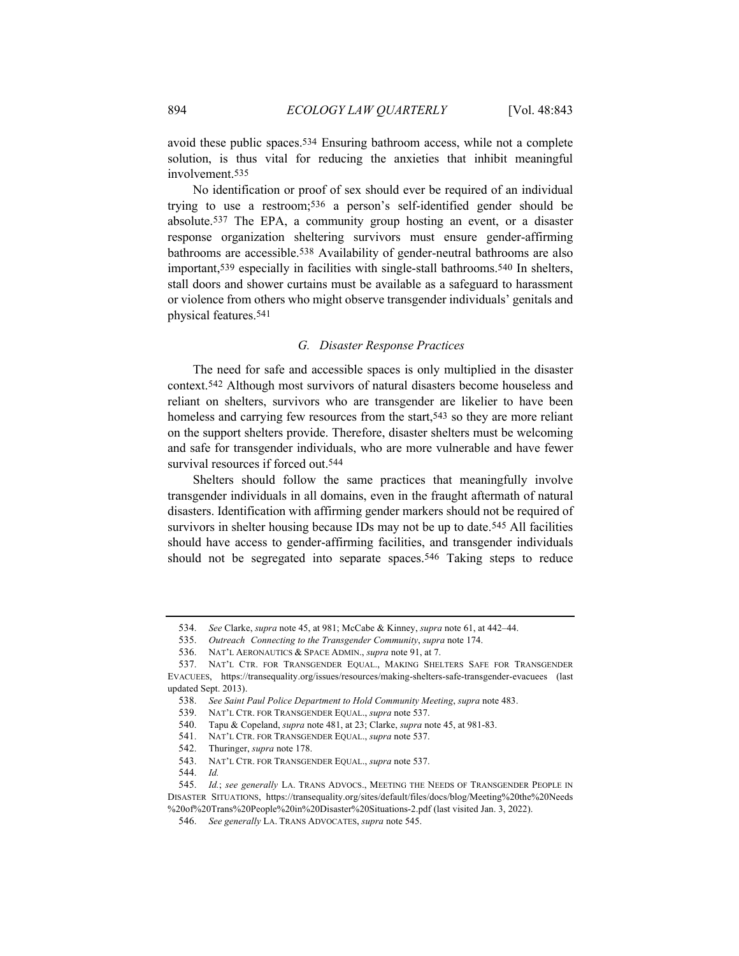avoid these public spaces.534 Ensuring bathroom access, while not a complete solution, is thus vital for reducing the anxieties that inhibit meaningful involvement.535

No identification or proof of sex should ever be required of an individual trying to use a restroom;536 a person's self-identified gender should be absolute.537 The EPA, a community group hosting an event, or a disaster response organization sheltering survivors must ensure gender-affirming bathrooms are accessible.538 Availability of gender-neutral bathrooms are also important,539 especially in facilities with single-stall bathrooms.540 In shelters, stall doors and shower curtains must be available as a safeguard to harassment or violence from others who might observe transgender individuals' genitals and physical features.541

# *G. Disaster Response Practices*

The need for safe and accessible spaces is only multiplied in the disaster context.542 Although most survivors of natural disasters become houseless and reliant on shelters, survivors who are transgender are likelier to have been homeless and carrying few resources from the start,<sup>543</sup> so they are more reliant on the support shelters provide. Therefore, disaster shelters must be welcoming and safe for transgender individuals, who are more vulnerable and have fewer survival resources if forced out.544

Shelters should follow the same practices that meaningfully involve transgender individuals in all domains, even in the fraught aftermath of natural disasters. Identification with affirming gender markers should not be required of survivors in shelter housing because IDs may not be up to date.<sup>545</sup> All facilities should have access to gender-affirming facilities, and transgender individuals should not be segregated into separate spaces.546 Taking steps to reduce

535. *Outreach Connecting to the Transgender Community*, *supra* note 174.

<sup>534.</sup> *See* Clarke, *supra* note 45, at 981; McCabe & Kinney, *supra* note 61, at 442–44.

<sup>536.</sup> NAT'L AERONAUTICS & SPACE ADMIN., *supra* note 91, at 7.

<sup>537.</sup> NAT'L CTR. FOR TRANSGENDER EQUAL., MAKING SHELTERS SAFE FOR TRANSGENDER EVACUEES, https://transequality.org/issues/resources/making-shelters-safe-transgender-evacuees (last updated Sept. 2013).

<sup>538.</sup> *See Saint Paul Police Department to Hold Community Meeting*, *supra* note 483.

<sup>539.</sup> NAT'L CTR. FOR TRANSGENDER EQUAL., *supra* note 537.

<sup>540.</sup> Tapu & Copeland, *supra* note 481, at 23; Clarke, *supra* note 45, at 981-83.

<sup>541.</sup> NAT'L CTR. FOR TRANSGENDER EQUAL., *supra* note 537.

<sup>542.</sup> Thuringer, *supra* note 178.

<sup>543.</sup> NAT'L CTR. FOR TRANSGENDER EQUAL., *supra* note 537.

<sup>544.</sup> *Id.*

<sup>545.</sup> *Id.*; *see generally* LA. TRANS ADVOCS., MEETING THE NEEDS OF TRANSGENDER PEOPLE IN DISASTER SITUATIONS, https://transequality.org/sites/default/files/docs/blog/Meeting%20the%20Needs %20of%20Trans%20People%20in%20Disaster%20Situations-2.pdf (last visited Jan. 3, 2022).

<sup>546.</sup> *See generally* LA. TRANS ADVOCATES, *supra* note 545.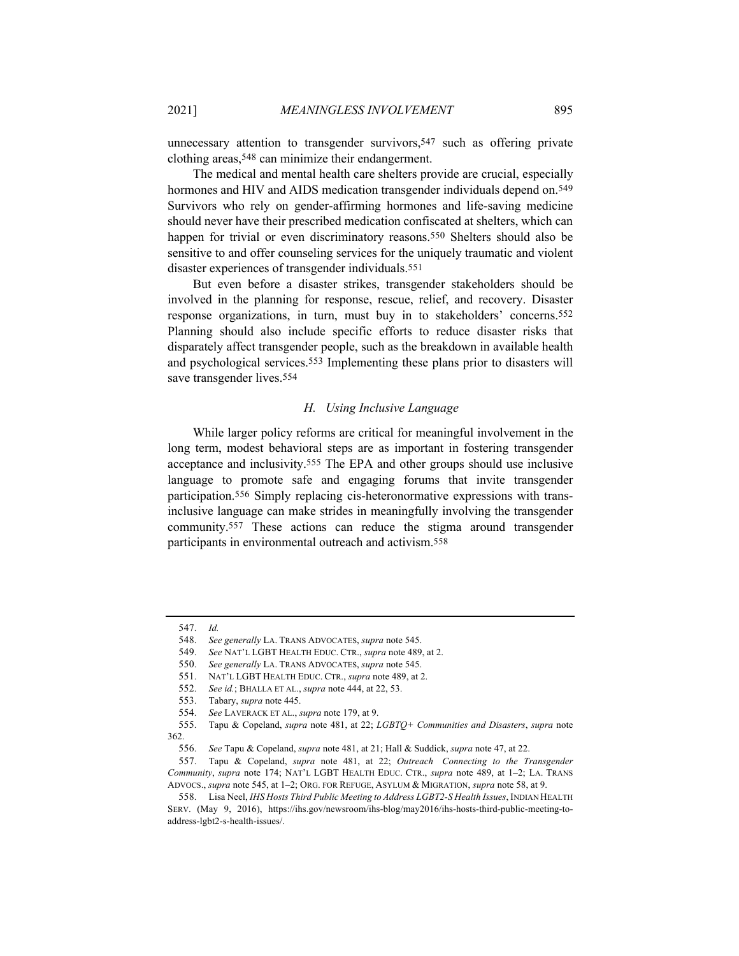unnecessary attention to transgender survivors,<sup>547</sup> such as offering private clothing areas,548 can minimize their endangerment.

The medical and mental health care shelters provide are crucial, especially hormones and HIV and AIDS medication transgender individuals depend on.<sup>549</sup> Survivors who rely on gender-affirming hormones and life-saving medicine should never have their prescribed medication confiscated at shelters, which can happen for trivial or even discriminatory reasons.<sup>550</sup> Shelters should also be sensitive to and offer counseling services for the uniquely traumatic and violent disaster experiences of transgender individuals.551

But even before a disaster strikes, transgender stakeholders should be involved in the planning for response, rescue, relief, and recovery. Disaster response organizations, in turn, must buy in to stakeholders' concerns.552 Planning should also include specific efforts to reduce disaster risks that disparately affect transgender people, such as the breakdown in available health and psychological services.553 Implementing these plans prior to disasters will save transgender lives.554

#### *H. Using Inclusive Language*

While larger policy reforms are critical for meaningful involvement in the long term, modest behavioral steps are as important in fostering transgender acceptance and inclusivity.555 The EPA and other groups should use inclusive language to promote safe and engaging forums that invite transgender participation.556 Simply replacing cis-heteronormative expressions with transinclusive language can make strides in meaningfully involving the transgender community.557 These actions can reduce the stigma around transgender participants in environmental outreach and activism.558

<sup>547.</sup> *Id.*

<sup>548.</sup> *See generally* LA. TRANS ADVOCATES, *supra* note 545.

<sup>549.</sup> *See* NAT'L LGBT HEALTH EDUC. CTR., *supra* note 489, at 2.

<sup>550.</sup> *See generally* LA. TRANS ADVOCATES, *supra* note 545.

<sup>551.</sup> NAT'L LGBT HEALTH EDUC. CTR., *supra* note 489, at 2.

<sup>552.</sup> *See id.*; BHALLA ET AL., *supra* note 444, at 22, 53.

<sup>553.</sup> Tabary, *supra* note 445.

<sup>554.</sup> *See* LAVERACK ET AL., *supra* note 179, at 9.

<sup>555.</sup> Tapu & Copeland, *supra* note 481, at 22; *LGBTQ+ Communities and Disasters*, *supra* note 362.

<sup>556.</sup> *See* Tapu & Copeland, *supra* note 481, at 21; Hall & Suddick, *supra* note 47, at 22.

<sup>557.</sup> Tapu & Copeland, *supra* note 481, at 22; *Outreach Connecting to the Transgender Community*, *supra* note 174; NAT'L LGBT HEALTH EDUC. CTR., *supra* note 489, at 1–2; LA. TRANS ADVOCS., *supra* note 545, at 1–2; ORG. FOR REFUGE, ASYLUM & MIGRATION, *supra* note 58, at 9.

<sup>558.</sup> Lisa Neel, *IHS Hosts Third Public Meeting to Address LGBT2-S Health Issues*, INDIAN HEALTH SERV. (May 9, 2016), https://ihs.gov/newsroom/ihs-blog/may2016/ihs-hosts-third-public-meeting-toaddress-lgbt2-s-health-issues/.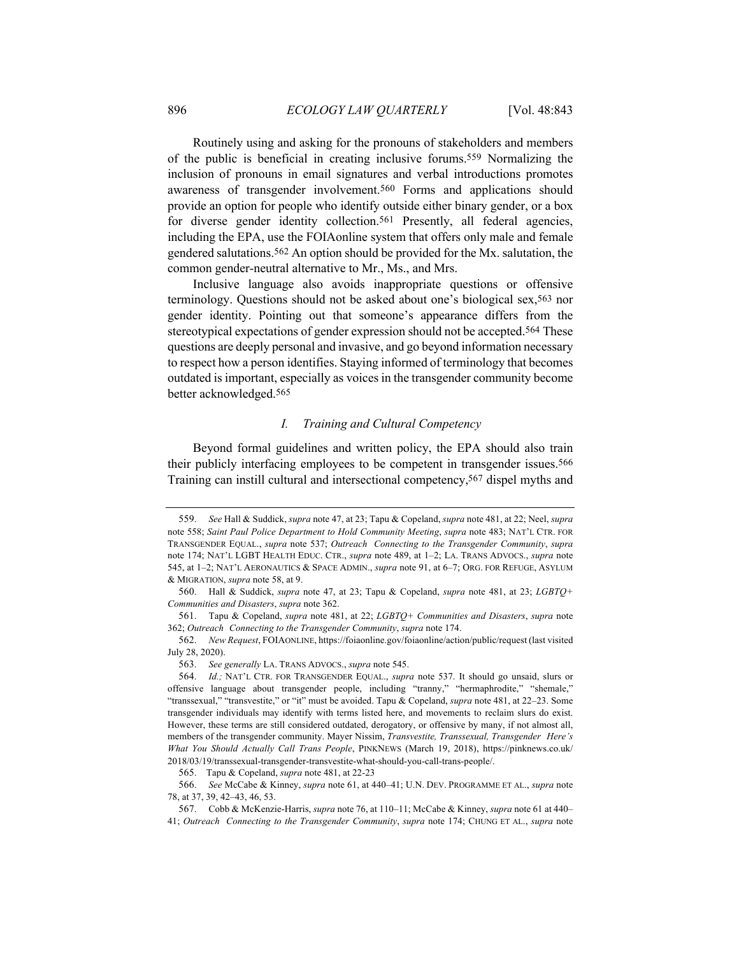Routinely using and asking for the pronouns of stakeholders and members of the public is beneficial in creating inclusive forums.559 Normalizing the inclusion of pronouns in email signatures and verbal introductions promotes awareness of transgender involvement.560 Forms and applications should provide an option for people who identify outside either binary gender, or a box for diverse gender identity collection.<sup>561</sup> Presently, all federal agencies, including the EPA, use the FOIAonline system that offers only male and female gendered salutations.562 An option should be provided for the Mx. salutation, the common gender-neutral alternative to Mr., Ms., and Mrs.

Inclusive language also avoids inappropriate questions or offensive terminology. Questions should not be asked about one's biological sex,563 nor gender identity. Pointing out that someone's appearance differs from the stereotypical expectations of gender expression should not be accepted.564 These questions are deeply personal and invasive, and go beyond information necessary to respect how a person identifies. Staying informed of terminology that becomes outdated is important, especially as voices in the transgender community become better acknowledged.565

## *I. Training and Cultural Competency*

Beyond formal guidelines and written policy, the EPA should also train their publicly interfacing employees to be competent in transgender issues.566 Training can instill cultural and intersectional competency,567 dispel myths and

563. *See generally* LA. TRANS ADVOCS., *supra* note 545.

<sup>559.</sup> *See* Hall & Suddick, *supra* note 47, at 23; Tapu & Copeland, *supra* note 481, at 22; Neel, *supra*  note 558; *Saint Paul Police Department to Hold Community Meeting*, *supra* note 483; NAT'L CTR. FOR TRANSGENDER EQUAL., *supra* note 537; *Outreach Connecting to the Transgender Community*, *supra* note 174; NAT'L LGBT HEALTH EDUC. CTR., *supra* note 489, at 1–2; LA. TRANS ADVOCS., *supra* note 545, at 1–2; NAT'L AERONAUTICS & SPACE ADMIN., *supra* note 91, at 6–7; ORG. FOR REFUGE, ASYLUM & MIGRATION, *supra* note 58, at 9.

<sup>560.</sup> Hall & Suddick, *supra* note 47, at 23; Tapu & Copeland, *supra* note 481, at 23; *LGBTQ+ Communities and Disasters*, *supra* note 362.

<sup>561.</sup> Tapu & Copeland, *supra* note 481, at 22; *LGBTQ+ Communities and Disasters*, *supra* note 362; *Outreach Connecting to the Transgender Community*, *supra* note 174.

<sup>562.</sup> *New Request*, FOIAONLINE, https://foiaonline.gov/foiaonline/action/public/request (last visited July 28, 2020).

<sup>564.</sup> *Id.;* NAT'L CTR. FOR TRANSGENDER EQUAL., *supra* note 537. It should go unsaid, slurs or offensive language about transgender people, including "tranny," "hermaphrodite," "shemale," "transsexual," "transvestite," or "it" must be avoided. Tapu & Copeland, *supra* note 481, at 22–23. Some transgender individuals may identify with terms listed here, and movements to reclaim slurs do exist. However, these terms are still considered outdated, derogatory, or offensive by many, if not almost all, members of the transgender community. Mayer Nissim, *Transvestite, Transsexual, Transgender Here's What You Should Actually Call Trans People*, PINKNEWS (March 19, 2018), https://pinknews.co.uk/ 2018/03/19/transsexual-transgender-transvestite-what-should-you-call-trans-people/.

<sup>565.</sup> Tapu & Copeland, *supra* note 481, at 22-23

<sup>566.</sup> *See* McCabe & Kinney, *supra* note 61, at 440–41; U.N. DEV. PROGRAMME ET AL., *supra* note 78, at 37, 39, 42–43, 46, 53.

<sup>567.</sup> Cobb & McKenzie-Harris, *supra* note 76, at 110–11; McCabe & Kinney, *supra* note 61 at 440– 41; *Outreach Connecting to the Transgender Community*, *supra* note 174; CHUNG ET AL., *supra* note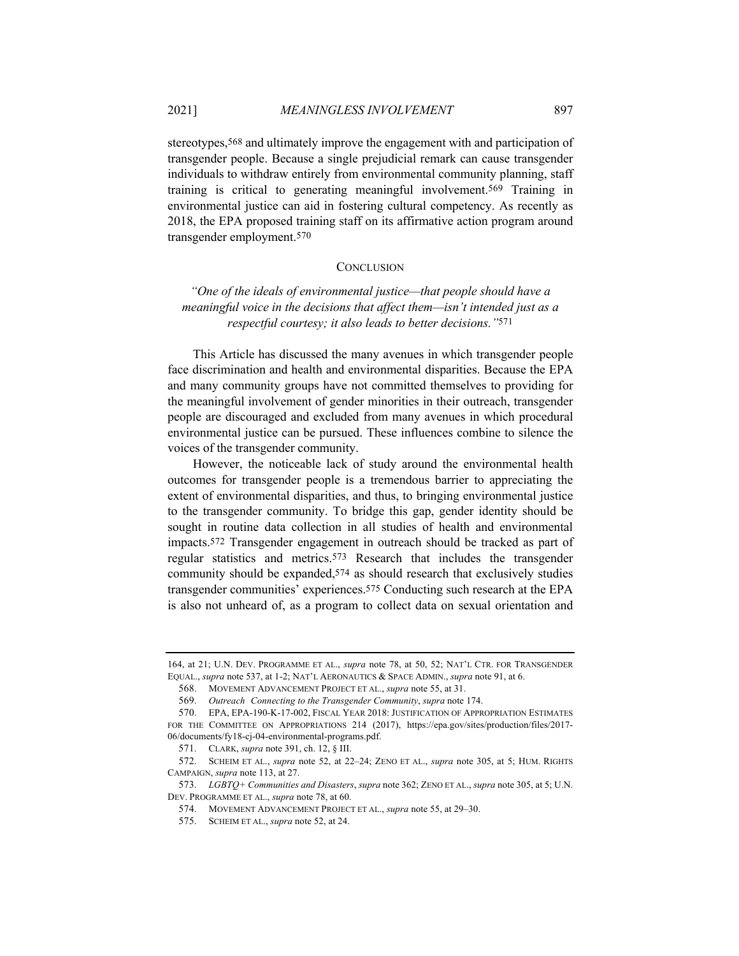stereotypes,568 and ultimately improve the engagement with and participation of transgender people. Because a single prejudicial remark can cause transgender individuals to withdraw entirely from environmental community planning, staff training is critical to generating meaningful involvement.569 Training in environmental justice can aid in fostering cultural competency. As recently as 2018, the EPA proposed training staff on its affirmative action program around transgender employment.570

#### **CONCLUSION**

*"One of the ideals of environmental justice—that people should have a meaningful voice in the decisions that affect them—isn't intended just as a respectful courtesy; it also leads to better decisions."*571

This Article has discussed the many avenues in which transgender people face discrimination and health and environmental disparities. Because the EPA and many community groups have not committed themselves to providing for the meaningful involvement of gender minorities in their outreach, transgender people are discouraged and excluded from many avenues in which procedural environmental justice can be pursued. These influences combine to silence the voices of the transgender community.

However, the noticeable lack of study around the environmental health outcomes for transgender people is a tremendous barrier to appreciating the extent of environmental disparities, and thus, to bringing environmental justice to the transgender community. To bridge this gap, gender identity should be sought in routine data collection in all studies of health and environmental impacts.572 Transgender engagement in outreach should be tracked as part of regular statistics and metrics.573 Research that includes the transgender community should be expanded,574 as should research that exclusively studies transgender communities' experiences.575 Conducting such research at the EPA is also not unheard of, as a program to collect data on sexual orientation and

<sup>164,</sup> at 21; U.N. DEV. PROGRAMME ET AL., *supra* note 78, at 50, 52; NAT'L CTR. FOR TRANSGENDER EQUAL., *supra* note 537, at 1-2; NAT'L AERONAUTICS & SPACE ADMIN., *supra* note 91, at 6.

<sup>568.</sup> MOVEMENT ADVANCEMENT PROJECT ET AL., *supra* note 55, at 31.

<sup>569.</sup> *Outreach Connecting to the Transgender Community*, *supra* note 174.

<sup>570.</sup> EPA, EPA-190-K-17-002, FISCAL YEAR 2018: JUSTIFICATION OF APPROPRIATION ESTIMATES FOR THE COMMITTEE ON APPROPRIATIONS 214 (2017), https://epa.gov/sites/production/files/2017- 06/documents/fy18-cj-04-environmental-programs.pdf.

<sup>571.</sup> CLARK, *supra* note 391, ch. 12, § III.

<sup>572.</sup> SCHEIM ET AL., *supra* note 52, at 22–24; ZENO ET AL., *supra* note 305, at 5; HUM. RIGHTS CAMPAIGN, *supra* note 113, at 27.

<sup>573.</sup> *LGBTQ+ Communities and Disasters*, *supra* note 362; ZENO ET AL., *supra* note 305, at 5; U.N. DEV. PROGRAMME ET AL., *supra* note 78, at 60.

<sup>574.</sup> MOVEMENT ADVANCEMENT PROJECT ET AL., *supra* note 55, at 29–30.

<sup>575.</sup> SCHEIM ET AL., *supra* note 52, at 24.